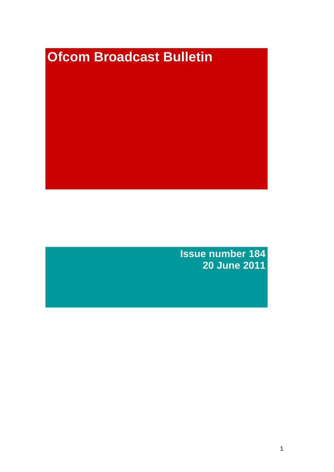# **Ofcom Broadcast Bulletin**

**Issue number 184 20 June 2011**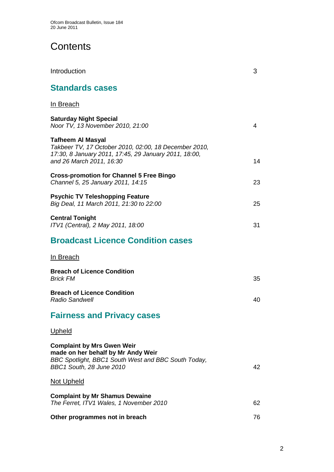# **Contents**

| Introduction                                                                                                                                                    | 3  |
|-----------------------------------------------------------------------------------------------------------------------------------------------------------------|----|
| <b>Standards cases</b>                                                                                                                                          |    |
| In Breach                                                                                                                                                       |    |
| <b>Saturday Night Special</b><br>Noor TV, 13 November 2010, 21:00                                                                                               | 4  |
| Tafheem Al Masyal<br>Takbeer TV, 17 October 2010, 02:00, 18 December 2010,<br>17:30, 8 January 2011, 17:45, 29 January 2011, 18:00,<br>and 26 March 2011, 16:30 | 14 |
| <b>Cross-promotion for Channel 5 Free Bingo</b><br>Channel 5, 25 January 2011, 14:15                                                                            | 23 |
| <b>Psychic TV Teleshopping Feature</b><br>Big Deal, 11 March 2011, 21:30 to 22:00                                                                               | 25 |
| <b>Central Tonight</b><br>ITV1 (Central), 2 May 2011, 18:00                                                                                                     | 31 |
| <b>Broadcast Licence Condition cases</b>                                                                                                                        |    |
| In Breach                                                                                                                                                       |    |
| <b>Breach of Licence Condition</b><br><b>Brick FM</b>                                                                                                           | 35 |
| <b>Breach of Licence Condition</b><br><b>Radio Sandwell</b>                                                                                                     | 40 |
| <b>Fairness and Privacy cases</b>                                                                                                                               |    |
| <u>Upheld</u>                                                                                                                                                   |    |
| <b>Complaint by Mrs Gwen Weir</b><br>made on her behalf by Mr Andy Weir<br>BBC Spotlight, BBC1 South West and BBC South Today,<br>BBC1 South, 28 June 2010      | 42 |
| Not Upheld                                                                                                                                                      |    |
| <b>Complaint by Mr Shamus Dewaine</b><br>The Ferret, ITV1 Wales, 1 November 2010                                                                                | 62 |
| Other programmes not in breach                                                                                                                                  | 76 |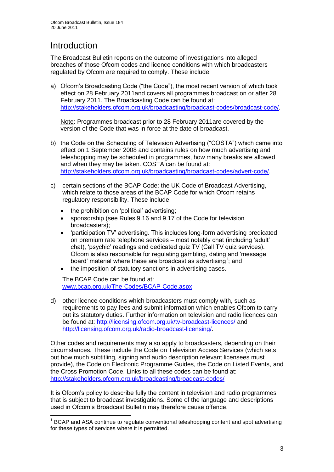# **Introduction**

1

The Broadcast Bulletin reports on the outcome of investigations into alleged breaches of those Ofcom codes and licence conditions with which broadcasters regulated by Ofcom are required to comply. These include:

a) Ofcom"s Broadcasting Code ("the Code"), the most recent version of which took effect on 28 February 2011and covers all programmes broadcast on or after 28 February 2011. The Broadcasting Code can be found at: [http://stakeholders.ofcom.org.uk/broadcasting/broadcast-codes/broadcast-code/.](http://stakeholders.ofcom.org.uk/broadcasting/broadcast-codes/broadcast-code/)

Note: Programmes broadcast prior to 28 February 2011are covered by the version of the Code that was in force at the date of broadcast.

- b) the Code on the Scheduling of Television Advertising ("COSTA") which came into effect on 1 September 2008 and contains rules on how much advertising and teleshopping may be scheduled in programmes, how many breaks are allowed and when they may be taken. COSTA can be found at: [http://stakeholders.ofcom.org.uk/broadcasting/broadcast-codes/advert-code/.](http://stakeholders.ofcom.org.uk/broadcasting/broadcast-codes/advert-code/)
- c) certain sections of the BCAP Code: the UK Code of Broadcast Advertising, which relate to those areas of the BCAP Code for which Ofcom retains regulatory responsibility. These include:
	- the prohibition on "political" advertising;
	- sponsorship (see Rules 9.16 and 9.17 of the Code for television broadcasters);
	- "participation TV" advertising. This includes long-form advertising predicated on premium rate telephone services – most notably chat (including "adult" chat), "psychic" readings and dedicated quiz TV (Call TV quiz services). Ofcom is also responsible for regulating gambling, dating and "message board' material where these are broadcast as advertising<sup>1</sup>; and
	- the imposition of statutory sanctions in advertising cases.

The BCAP Code can be found at: [www.bcap.org.uk/The-Codes/BCAP-Code.aspx](http://www.bcap.org.uk/The-Codes/BCAP-Code.aspx)

d) other licence conditions which broadcasters must comply with, such as requirements to pay fees and submit information which enables Ofcom to carry out its statutory duties. Further information on television and radio licences can be found at:<http://licensing.ofcom.org.uk/tv-broadcast-licences/> and [http://licensing.ofcom.org.uk/radio-broadcast-licensing/.](http://licensing.ofcom.org.uk/radio-broadcast-licensing/)

Other codes and requirements may also apply to broadcasters, depending on their circumstances. These include the Code on Television Access Services (which sets out how much subtitling, signing and audio description relevant licensees must provide), the Code on Electronic Programme Guides, the Code on Listed Events, and the Cross Promotion Code. Links to all these codes can be found at: <http://stakeholders.ofcom.org.uk/broadcasting/broadcast-codes/>

It is Ofcom"s policy to describe fully the content in television and radio programmes that is subject to broadcast investigations. Some of the language and descriptions used in Ofcom"s Broadcast Bulletin may therefore cause offence.

<sup>&</sup>lt;sup>1</sup> BCAP and ASA continue to regulate conventional teleshopping content and spot advertising for these types of services where it is permitted.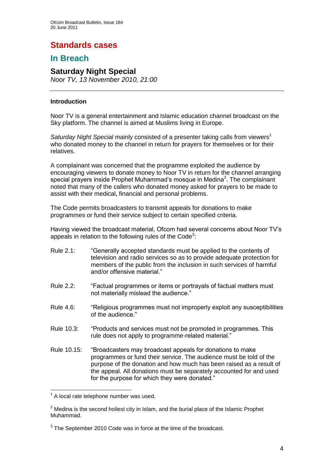# **Standards cases**

## **In Breach**

## **Saturday Night Special**

*Noor TV, 13 November 2010, 21:00*

#### **Introduction**

Noor TV is a general entertainment and Islamic education channel broadcast on the Sky platform. The channel is aimed at Muslims living in Europe.

*Saturday Night Special* mainly consisted of a presenter taking calls from viewers<sup>1</sup> who donated money to the channel in return for prayers for themselves or for their relatives.

A complainant was concerned that the programme exploited the audience by encouraging viewers to donate money to Noor TV in return for the channel arranging special prayers inside Prophet Muhammad's mosque in Medina<sup>2</sup>. The complainant noted that many of the callers who donated money asked for prayers to be made to assist with their medical, financial and personal problems.

The Code permits broadcasters to transmit appeals for donations to make programmes or fund their service subject to certain specified criteria.

Having viewed the broadcast material, Ofcom had several concerns about Noor TV"s appeals in relation to the following rules of the Code<sup>3</sup>:

- Rule 2.1: "Generally accepted standards must be applied to the contents of television and radio services so as to provide adequate protection for members of the public from the inclusion in such services of harmful and/or offensive material."
- Rule 2.2: "Factual programmes or items or portrayals of factual matters must not materially mislead the audience."
- Rule 4.6: "Religious programmes must not improperly exploit any susceptibilities of the audience."
- Rule 10.3: "Products and services must not be promoted in programmes. This rule does not apply to programme-related material."
- Rule 10.15: "Broadcasters may broadcast appeals for donations to make programmes or fund their service. The audience must be told of the purpose of the donation and how much has been raised as a result of the appeal. All donations must be separately accounted for and used for the purpose for which they were donated."

 $<sup>1</sup>$  A local rate telephone number was used.</sup>

 $2$  Medina is the second holiest city in Islam, and the burial place of the Islamic Prophet Muhammad.

 $3$  The September 2010 Code was in force at the time of the broadcast.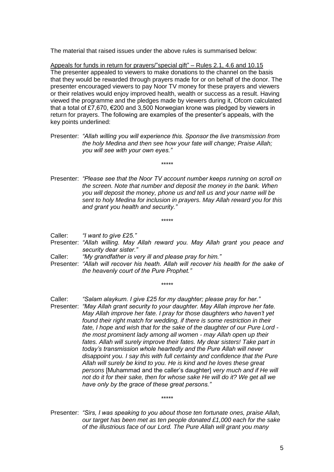The material that raised issues under the above rules is summarised below:

Appeals for funds in return for prayers/"special gift" – Rules 2.1, 4.6 and 10.15 The presenter appealed to viewers to make donations to the channel on the basis that they would be rewarded through prayers made for or on behalf of the donor. The presenter encouraged viewers to pay Noor TV money for these prayers and viewers or their relatives would enjoy improved health, wealth or success as a result. Having viewed the programme and the pledges made by viewers during it, Ofcom calculated that a total of £7,670, €200 and 3,500 Norwegian krone was pledged by viewers in return for prayers. The following are examples of the presenter"s appeals, with the key points underlined:

Presenter: *"Allah willing you will experience this. Sponsor the live transmission from the holy Medina and then see how your fate will change; Praise Allah; you will see with your own eyes."*

*\*\*\*\*\**

Presenter: *"Please see that the Noor TV account number keeps running on scroll on the screen. Note that number and deposit the money in the bank. When you will deposit the money, phone us and tell us and your name will be sent to holy Medina for inclusion in prayers. May Allah reward you for this and grant you health and security."*

Caller: *"I want to give £25."*

Presenter: *"Allah willing. May Allah reward you. May Allah grant you peace and security dear sister."*

*\*\*\*\*\**

- Caller: *"My grandfather is very ill and please pray for him."*
- Presenter: *"Allah will recover his heath. Allah will recover his health for the sake of the heavenly court of the Pure Prophet."*

*\*\*\*\*\**

Caller: *"Salam alaykum. I give £25 for my daughter; please pray for her."*

Presenter: *"May Allah grant security to your daughter. May Allah improve her fate. May Allah improve her fate. I pray for those daughters who haven"t yet found their right match for wedding, if there is some restriction in their fate, I hope and wish that for the sake of the daughter of our Pure Lord the most prominent lady among all women - may Allah open up their*  fates. Allah will surely improve their fates. My dear sisters! Take part in *today"s transmission whole heartedly and the Pure Allah will never disappoint you. I say this with full certainty and confidence that the Pure Allah will surely be kind to you. He is kind and he loves these great persons* [Muhammad and the caller"s daughter] *very much and if He will not do it for their sake, then for whose sake He will do it? We get all we have only by the grace of these great persons."*

Presenter: *"Sirs, I was speaking to you about those ten fortunate ones, praise Allah, our target has been met as ten people donated £1,000 each for the sake of the illustrious face of our Lord. The Pure Allah will grant you many* 

*\*\*\*\*\**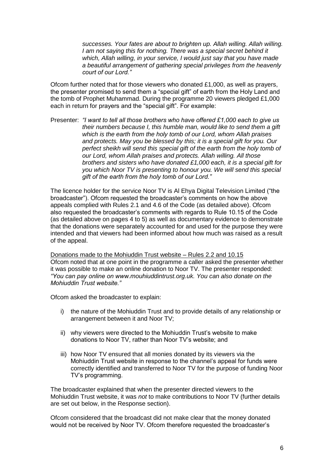*successes. Your fates are about to brighten up. Allah willing. Allah willing. I am not saying this for nothing. There was a special secret behind it which, Allah willing, in your service, I would just say that you have made a beautiful arrangement of gathering special privileges from the heavenly court of our Lord."*

Ofcom further noted that for those viewers who donated £1,000, as well as prayers, the presenter promised to send them a "special gift" of earth from the Holy Land and the tomb of Prophet Muhammad. During the programme 20 viewers pledged £1,000 each in return for prayers and the "special gift". For example:

Presenter: *"I want to tell all those brothers who have offered £1,000 each to give us their numbers because I, this humble man, would like to send them a gift which is the earth from the holy tomb of our Lord, whom Allah praises and protects. May you be blessed by this; it is a special gift for you. Our perfect sheikh will send this special gift of the earth from the holy tomb of our Lord, whom Allah praises and protects. Allah willing. All those brothers and sisters who have donated £1,000 each, it is a special gift for you which Noor TV is presenting to honour you. We will send this special gift of the earth from the holy tomb of our Lord."*

The licence holder for the service Noor TV is Al Ehya Digital Television Limited ("the broadcaster"). Ofcom requested the broadcaster"s comments on how the above appeals complied with Rules 2.1 and 4.6 of the Code (as detailed above). Ofcom also requested the broadcaster"s comments with regards to Rule 10.15 of the Code (as detailed above on pages 4 to 5) as well as documentary evidence to demonstrate that the donations were separately accounted for and used for the purpose they were intended and that viewers had been informed about how much was raised as a result of the appeal.

Donations made to the Mohiuddin Trust website – Rules 2.2 and 10.15 Ofcom noted that at one point in the programme a caller asked the presenter whether it was possible to make an online donation to Noor TV. The presenter responded: *"You can pay online on www.mouhiuddintrust.org.uk. You can also donate on the Mohiuddin Trust website."*

Ofcom asked the broadcaster to explain:

- i) the nature of the Mohiuddin Trust and to provide details of any relationship or arrangement between it and Noor TV;
- ii) why viewers were directed to the Mohiuddin Trust"s website to make donations to Noor TV, rather than Noor TV"s website; and
- iii) how Noor TV ensured that all monies donated by its viewers via the Mohiuddin Trust website in response to the channel"s appeal for funds were correctly identified and transferred to Noor TV for the purpose of funding Noor TV"s programming.

The broadcaster explained that when the presenter directed viewers to the Mohiuddin Trust website, it was *not* to make contributions to Noor TV (further details are set out below, in the Response section).

Ofcom considered that the broadcast did not make clear that the money donated would not be received by Noor TV. Ofcom therefore requested the broadcaster"s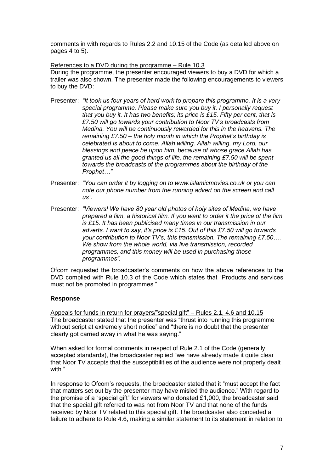comments in with regards to Rules 2.2 and 10.15 of the Code (as detailed above on pages 4 to 5).

References to a DVD during the programme – Rule 10.3 During the programme, the presenter encouraged viewers to buy a DVD for which a trailer was also shown. The presenter made the following encouragements to viewers to buy the DVD:

- Presenter: *"It took us four years of hard work to prepare this programme. It is a very special programme. Please make sure you buy it. I personally request that you buy it. It has two benefits; its price is £15. Fifty per cent, that is £7.50 will go towards your contribution to Noor TV"s broadcasts from Medina. You will be continuously rewarded for this in the heavens. The remaining £7.50 – the holy month in which the Prophet"s birthday is celebrated is about to come. Allah willing. Allah willing, my Lord, our blessings and peace be upon him, because of whose grace Allah has granted us all the good things of life, the remaining £7.50 will be spent towards the broadcasts of the programmes about the birthday of the Prophet…"*
- Presenter: *"You can order it by logging on to www.islamicmovies.co.uk or you can note our phone number from the running advert on the screen and call us".*
- Presenter: *"Viewers! We have 80 year old photos of holy sites of Medina, we have prepared a film, a historical film. If you want to order it the price of the film is £15. It has been publicised many times in our transmission in our adverts. I want to say, it"s price is £15. Out of this £7.50 will go towards your contribution to Noor TV"s, this transmission. The remaining £7.50…. We show from the whole world, via live transmission, recorded programmes, and this money will be used in purchasing those programmes".*

Ofcom requested the broadcaster"s comments on how the above references to the DVD complied with Rule 10.3 of the Code which states that "Products and services must not be promoted in programmes."

#### **Response**

Appeals for funds in return for prayers/"special gift" – Rules 2.1, 4.6 and 10.15 The broadcaster stated that the presenter was "thrust into running this programme without script at extremely short notice" and "there is no doubt that the presenter clearly got carried away in what he was saying."

When asked for formal comments in respect of Rule 2.1 of the Code (generally accepted standards), the broadcaster replied "we have already made it quite clear that Noor TV accepts that the susceptibilities of the audience were not properly dealt with."

In response to Ofcom"s requests, the broadcaster stated that it "must accept the fact that matters set out by the presenter may have misled the audience." With regard to the promise of a "special gift" for viewers who donated  $£1,000$ , the broadcaster said that the special gift referred to was not from Noor TV and that none of the funds received by Noor TV related to this special gift. The broadcaster also conceded a failure to adhere to Rule 4.6, making a similar statement to its statement in relation to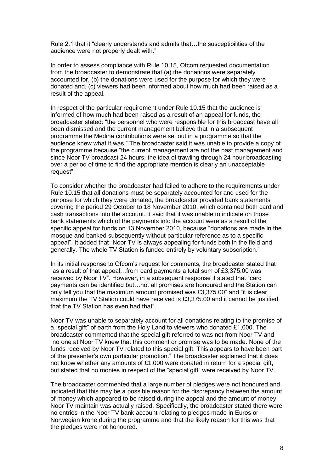Rule 2.1 that it "clearly understands and admits that…the susceptibilities of the audience were not properly dealt with."

In order to assess compliance with Rule 10.15, Ofcom requested documentation from the broadcaster to demonstrate that (a) the donations were separately accounted for, (b) the donations were used for the purpose for which they were donated and, (c) viewers had been informed about how much had been raised as a result of the appeal.

In respect of the particular requirement under Rule 10.15 that the audience is informed of how much had been raised as a result of an appeal for funds, the broadcaster stated: "the personnel who were responsible for this broadcast have all been dismissed and the current management believe that in a subsequent programme the Medina contributions were set out in a programme so that the audience knew what it was." The broadcaster said it was unable to provide a copy of the programme because "the current management are not the past management and since Noor TV broadcast 24 hours, the idea of trawling through 24 hour broadcasting over a period of time to find the appropriate mention is clearly an unacceptable request".

To consider whether the broadcaster had failed to adhere to the requirements under Rule 10.15 that all donations must be separately accounted for and used for the purpose for which they were donated, the broadcaster provided bank statements covering the period 29 October to 18 November 2010, which contained both card and cash transactions into the account. It said that it was unable to indicate on those bank statements which of the payments into the account were as a result of the specific appeal for funds on 13 November 2010, because "donations are made in the mosque and banked subsequently without particular reference as to a specific appeal". It added that "Noor TV is always appealing for funds both in the field and generally. The whole TV Station is funded entirely by voluntary subscription."

In its initial response to Ofcom"s request for comments, the broadcaster stated that "as a result of that appeal…from card payments a total sum of £3,375.00 was received by Noor TV". However, in a subsequent response it stated that "card payments can be identified but…not all promises are honoured and the Station can only tell you that the maximum amount promised was £3,375.00" and "it is clear maximum the TV Station could have received is £3,375.00 and it cannot be justified that the TV Station has even had that".

Noor TV was unable to separately account for all donations relating to the promise of a "special gift" of earth from the Holy Land to viewers who donated £1,000. The broadcaster commented that the special gift referred to was not from Noor TV and "no one at Noor TV knew that this comment or promise was to be made. None of the funds received by Noor TV related to this special gift. This appears to have been part of the presenter"s own particular promotion." The broadcaster explained that it does not know whether any amounts of £1,000 were donated in return for a special gift, but stated that no monies in respect of the "special gift" were received by Noor TV.

The broadcaster commented that a large number of pledges were not honoured and indicated that this may be a possible reason for the discrepancy between the amount of money which appeared to be raised during the appeal and the amount of money Noor TV maintain was actually raised. Specifically, the broadcaster stated there were no entries in the Noor TV bank account relating to pledges made in Euros or Norwegian krone during the programme and that the likely reason for this was that the pledges were not honoured.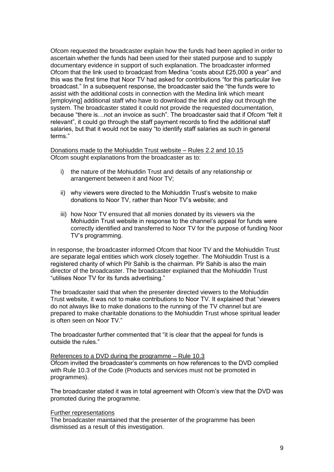Ofcom requested the broadcaster explain how the funds had been applied in order to ascertain whether the funds had been used for their stated purpose and to supply documentary evidence in support of such explanation. The broadcaster informed Ofcom that the link used to broadcast from Medina "costs about £25,000 a year" and this was the first time that Noor TV had asked for contributions "for this particular live broadcast." In a subsequent response, the broadcaster said the "the funds were to assist with the additional costs in connection with the Medina link which meant [employing] additional staff who have to download the link and play out through the system. The broadcaster stated it could not provide the requested documentation, because "there is…not an invoice as such". The broadcaster said that if Ofcom "felt it relevant", it could go through the staff payment records to find the additional staff salaries, but that it would not be easy "to identify staff salaries as such in general terms."

Donations made to the Mohiuddin Trust website – Rules 2.2 and 10.15 Ofcom sought explanations from the broadcaster as to:

- i) the nature of the Mohiuddin Trust and details of any relationship or arrangement between it and Noor TV;
- ii) why viewers were directed to the Mohiuddin Trust's website to make donations to Noor TV, rather than Noor TV"s website; and
- iii) how Noor TV ensured that all monies donated by its viewers via the Mohiuddin Trust website in response to the channel"s appeal for funds were correctly identified and transferred to Noor TV for the purpose of funding Noor TV"s programming.

In response, the broadcaster informed Ofcom that Noor TV and the Mohiuddin Trust are separate legal entities which work closely together. The Mohiuddin Trust is a registered charity of which Pīr Sahib is the chairman. Pīr Sahib is also the main director of the broadcaster. The broadcaster explained that the Mohiuddin Trust "utilises Noor TV for its funds advertising."

The broadcaster said that when the presenter directed viewers to the Mohiuddin Trust website, it was not to make contributions to Noor TV. It explained that "viewers do not always like to make donations to the running of the TV channel but are prepared to make charitable donations to the Mohiuddin Trust whose spiritual leader is often seen on Noor TV."

The broadcaster further commented that "it is clear that the appeal for funds is outside the rules."

#### References to a DVD during the programme – Rule 10.3

Ofcom invited the broadcaster"s comments on how references to the DVD complied with Rule 10.3 of the Code (Products and services must not be promoted in programmes).

The broadcaster stated it was in total agreement with Ofcom"s view that the DVD was promoted during the programme.

#### Further representations

The broadcaster maintained that the presenter of the programme has been dismissed as a result of this investigation.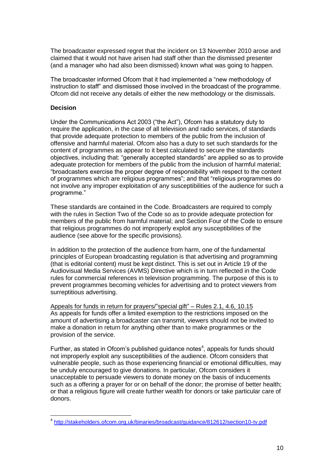The broadcaster expressed regret that the incident on 13 November 2010 arose and claimed that it would not have arisen had staff other than the dismissed presenter (and a manager who had also been dismissed) known what was going to happen.

The broadcaster informed Ofcom that it had implemented a "new methodology of instruction to staff" and dismissed those involved in the broadcast of the programme. Ofcom did not receive any details of either the new methodology or the dismissals.

#### **Decision**

Under the Communications Act 2003 ("the Act"), Ofcom has a statutory duty to require the application, in the case of all television and radio services, of standards that provide adequate protection to members of the public from the inclusion of offensive and harmful material. Ofcom also has a duty to set such standards for the content of programmes as appear to it best calculated to secure the standards objectives, including that: "generally accepted standards" are applied so as to provide adequate protection for members of the public from the inclusion of harmful material; "broadcasters exercise the proper degree of responsibility with respect to the content of programmes which are religious programmes"; and that "religious programmes do not involve any improper exploitation of any susceptibilities of the audience for such a programme."

These standards are contained in the Code. Broadcasters are required to comply with the rules in Section Two of the Code so as to provide adequate protection for members of the public from harmful material; and Section Four of the Code to ensure that religious programmes do not improperly exploit any susceptibilities of the audience (see above for the specific provisions).

In addition to the protection of the audience from harm, one of the fundamental principles of European broadcasting regulation is that advertising and programming (that is editorial content) must be kept distinct. This is set out in Article 19 of the Audiovisual Media Services (AVMS) Directive which is in turn reflected in the Code rules for commercial references in television programming. The purpose of this is to prevent programmes becoming vehicles for advertising and to protect viewers from surreptitious advertising.

Appeals for funds in return for prayers/"special gift" – Rules 2.1, 4.6, 10.15 As appeals for funds offer a limited exemption to the restrictions imposed on the amount of advertising a broadcaster can transmit, viewers should not be invited to make a donation in return for anything other than to make programmes or the provision of the service.

Further, as stated in Ofcom's published guidance notes<sup>4</sup>, appeals for funds should not improperly exploit any susceptibilities of the audience. Ofcom considers that vulnerable people, such as those experiencing financial or emotional difficulties, may be unduly encouraged to give donations. In particular, Ofcom considers it unacceptable to persuade viewers to donate money on the basis of inducements such as a offering a prayer for or on behalf of the donor; the promise of better health; or that a religious figure will create further wealth for donors or take particular care of donors.

 4 <http://stakeholders.ofcom.org.uk/binaries/broadcast/guidance/812612/section10-tv.pdf>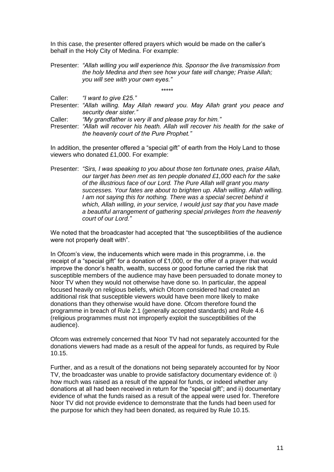In this case, the presenter offered prayers which would be made on the caller"s behalf in the Holy City of Medina. For example:

Presenter: *"Allah willing you will experience this. Sponsor the live transmission from the holy Medina and then see how your fate will change; Praise Allah; you will see with your own eyes."*

*\*\*\*\*\** Caller: *"I want to give £25."*

Presenter: *"Allah willing. May Allah reward you. May Allah grant you peace and security dear sister."*

Caller: *"My grandfather is very ill and please pray for him."*

Presenter: *"Allah will recover his heath. Allah will recover his health for the sake of the heavenly court of the Pure Prophet."*

In addition, the presenter offered a "special gift" of earth from the Holy Land to those viewers who donated £1,000. For example:

Presenter: *"Sirs, I was speaking to you about those ten fortunate ones, praise Allah, our target has been met as ten people donated £1,000 each for the sake of the illustrious face of our Lord. The Pure Allah will grant you many successes. Your fates are about to brighten up. Allah willing. Allah willing. I am not saying this for nothing. There was a special secret behind it which, Allah willing, in your service, I would just say that you have made a beautiful arrangement of gathering special privileges from the heavenly court of our Lord."*

We noted that the broadcaster had accepted that "the susceptibilities of the audience were not properly dealt with".

In Ofcom"s view, the inducements which were made in this programme, i.e. the receipt of a "special gift" for a donation of  $£1,000$ , or the offer of a prayer that would improve the donor"s health, wealth, success or good fortune carried the risk that susceptible members of the audience may have been persuaded to donate money to Noor TV when they would not otherwise have done so. In particular, the appeal focused heavily on religious beliefs, which Ofcom considered had created an additional risk that susceptible viewers would have been more likely to make donations than they otherwise would have done. Ofcom therefore found the programme in breach of Rule 2.1 (generally accepted standards) and Rule 4.6 (religious programmes must not improperly exploit the susceptibilities of the audience).

Ofcom was extremely concerned that Noor TV had not separately accounted for the donations viewers had made as a result of the appeal for funds, as required by Rule 10.15.

Further, and as a result of the donations not being separately accounted for by Noor TV, the broadcaster was unable to provide satisfactory documentary evidence of: i) how much was raised as a result of the appeal for funds, or indeed whether any donations at all had been received in return for the "special gift"; and ii) documentary evidence of what the funds raised as a result of the appeal were used for. Therefore Noor TV did not provide evidence to demonstrate that the funds had been used for the purpose for which they had been donated, as required by Rule 10.15.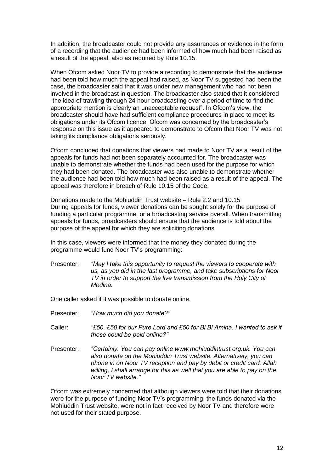In addition, the broadcaster could not provide any assurances or evidence in the form of a recording that the audience had been informed of how much had been raised as a result of the appeal, also as required by Rule 10.15.

When Ofcom asked Noor TV to provide a recording to demonstrate that the audience had been told how much the appeal had raised, as Noor TV suggested had been the case, the broadcaster said that it was under new management who had not been involved in the broadcast in question. The broadcaster also stated that it considered "the idea of trawling through 24 hour broadcasting over a period of time to find the appropriate mention is clearly an unacceptable request". In Ofcom"s view, the broadcaster should have had sufficient compliance procedures in place to meet its obligations under its Ofcom licence. Ofcom was concerned by the broadcaster"s response on this issue as it appeared to demonstrate to Ofcom that Noor TV was not taking its compliance obligations seriously.

Ofcom concluded that donations that viewers had made to Noor TV as a result of the appeals for funds had not been separately accounted for. The broadcaster was unable to demonstrate whether the funds had been used for the purpose for which they had been donated. The broadcaster was also unable to demonstrate whether the audience had been told how much had been raised as a result of the appeal. The appeal was therefore in breach of Rule 10.15 of the Code.

Donations made to the Mohiuddin Trust website – Rule 2.2 and 10.15 During appeals for funds, viewer donations can be sought solely for the purpose of funding a particular programme, or a broadcasting service overall. When transmitting appeals for funds, broadcasters should ensure that the audience is told about the purpose of the appeal for which they are soliciting donations.

In this case, viewers were informed that the money they donated during the programme would fund Noor TV"s programming:

Presenter: *"May I take this opportunity to request the viewers to cooperate with us, as you did in the last programme, and take subscriptions for Noor TV in order to support the live transmission from the Holy City of Medina.*

One caller asked if it was possible to donate online.

- Presenter: *"How much did you donate?"*
- Caller: *"£50. £50 for our Pure Lord and £50 for Bi Bi Amina. I wanted to ask if these could be paid online?"*
- Presenter: *"Certainly. You can pay online www.mohiuddintrust.org.uk. You can also donate on the Mohiuddin Trust website. Alternatively, you can phone in on Noor TV reception and pay by debit or credit card. Allah willing, I shall arrange for this as well that you are able to pay on the Noor TV website."*

Ofcom was extremely concerned that although viewers were told that their donations were for the purpose of funding Noor TV's programming, the funds donated via the Mohiuddin Trust website, were not in fact received by Noor TV and therefore were not used for their stated purpose.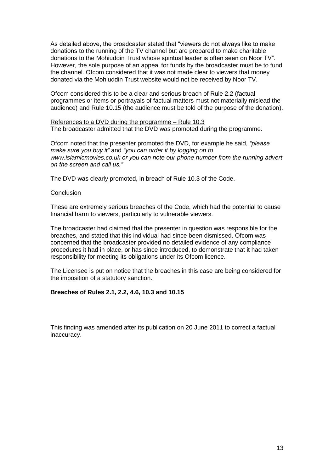As detailed above, the broadcaster stated that "viewers do not always like to make donations to the running of the TV channel but are prepared to make charitable donations to the Mohiuddin Trust whose spiritual leader is often seen on Noor TV". However, the sole purpose of an appeal for funds by the broadcaster must be to fund the channel. Ofcom considered that it was not made clear to viewers that money donated via the Mohiuddin Trust website would not be received by Noor TV.

Ofcom considered this to be a clear and serious breach of Rule 2.2 (factual programmes or items or portrayals of factual matters must not materially mislead the audience) and Rule 10.15 (the audience must be told of the purpose of the donation).

References to a DVD during the programme – Rule 10.3 The broadcaster admitted that the DVD was promoted during the programme.

Ofcom noted that the presenter promoted the DVD, for example he said, *"please make sure you buy it"* and *"you can order it by logging on to www.islamicmovies.co.uk or you can note our phone number from the running advert on the screen and call us."*

The DVD was clearly promoted, in breach of Rule 10.3 of the Code.

#### **Conclusion**

These are extremely serious breaches of the Code, which had the potential to cause financial harm to viewers, particularly to vulnerable viewers.

The broadcaster had claimed that the presenter in question was responsible for the breaches, and stated that this individual had since been dismissed. Ofcom was concerned that the broadcaster provided no detailed evidence of any compliance procedures it had in place, or has since introduced, to demonstrate that it had taken responsibility for meeting its obligations under its Ofcom licence.

The Licensee is put on notice that the breaches in this case are being considered for the imposition of a statutory sanction.

#### **Breaches of Rules 2.1, 2.2, 4.6, 10.3 and 10.15**

This finding was amended after its publication on 20 June 2011 to correct a factual inaccuracy.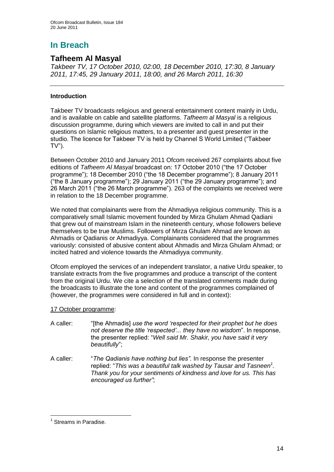# **In Breach**

## **Tafheem Al Masyal**

*Takbeer TV, 17 October 2010, 02:00, 18 December 2010, 17:30, 8 January 2011, 17:45, 29 January 2011, 18:00, and 26 March 2011, 16:30*

#### **Introduction**

Takbeer TV broadcasts religious and general entertainment content mainly in Urdu, and is available on cable and satellite platforms. *Tafheem al Masyal* is a religious discussion programme, during which viewers are invited to call in and put their questions on Islamic religious matters, to a presenter and guest presenter in the studio. The licence for Takbeer TV is held by Channel S World Limited ("Takbeer  $TV$ ").

Between October 2010 and January 2011 Ofcom received 267 complaints about five editions of *Tafheem Al Masyal* broadcast on: 17 October 2010 ("the 17 October programme"); 18 December 2010 ("the 18 December programme"); 8 January 2011 ("the 8 January programme"); 29 January 2011 ("the 29 January programme"); and 26 March 2011 ("the 26 March programme"). 263 of the complaints we received were in relation to the 18 December programme.

We noted that complainants were from the Ahmadiyya religious community. This is a comparatively small Islamic movement founded by Mirza Ghulam Ahmad Qadiani that grew out of mainstream Islam in the nineteenth century, whose followers believe themselves to be true Muslims. Followers of Mirza Ghulam Ahmad are known as Ahmadis or Qadianis or Ahmadiyya. Complainants considered that the programmes variously: consisted of abusive content about Ahmadis and Mirza Ghulam Ahmad; or incited hatred and violence towards the Ahmadiyya community.

Ofcom employed the services of an independent translator, a native Urdu speaker, to translate extracts from the five programmes and produce a transcript of the content from the original Urdu. We cite a selection of the translated comments made during the broadcasts to illustrate the tone and content of the programmes complained of (however, the programmes were considered in full and in context):

#### 17 October programme:

- A caller: "[the Ahmadis] *use the word "respected for their prophet but he does not deserve the title "respected"... they have no wisdom*". In response, the presenter replied: "*Well said Mr. Shakir, you have said it very beautifully*";
- A caller: "*The Qadianis have nothing but lies".* In response the presenter replied: "*This was a beautiful talk washed by Tausar and Tasneen<sup>1</sup> . Thank you for your sentiments of kindness and love for us. This has encouraged us further"*;

<sup>&</sup>lt;sup>1</sup> Streams in Paradise.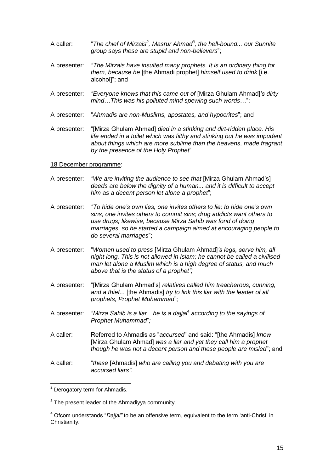- A caller: "*The chief of Mirzais<sup>2</sup> , Masrur Ahmad<sup>3</sup> , the hell-bound... our Sunnite group says these are stupid and non-believers*";
- A presenter: *"The Mirzais have insulted many prophets. It is an ordinary thing for them, because he* [the Ahmadi prophet] *himself used to drink* [i.e. alcohol]"; and
- A presenter: *"Everyone knows that this came out of* [Mirza Ghulam Ahmad]*"s dirty mind*…*This was his polluted mind spewing such words*…";
- A presenter: "*Ahmadis are non-Muslims, apostates, and hypocrites*"; and
- A presenter: "[Mirza Ghulam Ahmad] *died in a stinking and dirt-ridden place. His life ended in a toilet which was filthy and stinking but he was impudent about things which are more sublime than the heavens, made fragrant by the presence of the Holy Prophet*".

#### 18 December programme:

- A presenter: *"We are inviting the audience to see that* [Mirza Ghulam Ahmad"s] *deeds are below the dignity of a human... and it is difficult to accept him as a decent person let alone a prophet*";
- A presenter: *"To hide one"s own lies, one invites others to lie; to hide one"s own sins, one invites others to commit sins; drug addicts want others to use drugs; likewise, because Mirza Sahib was fond of doing marriages, so he started a campaign aimed at encouraging people to do several marriages*";
- A presenter: "*Women used to press* [Mirza Ghulam Ahmad]*"s legs, serve him, all night long. This is not allowed in Islam; he cannot be called a civilised man let alone a Muslim which is a high degree of status, and much above that is the status of a prophet";*
- A presenter: "[Mirza Ghulam Ahmad"s] *relatives called him treacherous, cunning, and a thief...* [the Ahmadis] *try to link this liar with the leader of all prophets, Prophet Muhammad*";
- A presenter: *"Mirza Sahib is a liar…he is a dajjal<sup>4</sup> according to the sayings of Prophet Muhammad*"*;*
- A caller: Referred to Ahmadis as "*accursed*" and said: "[the Ahmadis] *know* [Mirza Ghulam Ahmad] *was a liar and yet they call him a prophet though he was not a decent person and these people are misled*"; and
- A caller: "*these* [Ahmadis] *who are calling you and debating with you are accursed liars"*.

 $2$  Derogatory term for Ahmadis.

 $3$  The present leader of the Ahmadiyya community.

<sup>4</sup> Ofcom understands "*Dajjal"* to be an offensive term, equivalent to the term "anti-Christ" in Christianity.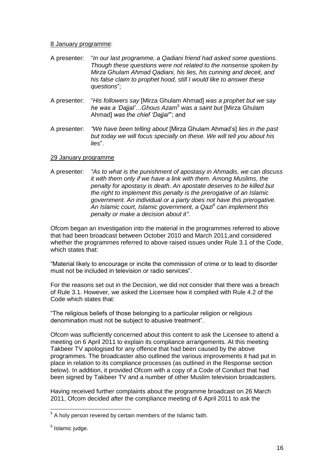#### 8 January programme:

- A presenter: "*In our last programme, a Qadiani friend had asked some questions. Though these questions were not related to the nonsense spoken by Mirza Ghulam Ahmad Qadiani, his lies, his cunning and deceit, and his false claim to prophet hood, still I would like to answer these questions*";
- A presenter: "*His followers say* [Mirza Ghulam Ahmad] *was a prophet but we say he was a "Dajjal"*…*Ghous Azam<sup>5</sup> was a saint but* [Mirza Ghulam Ahmad] *was the chief "Dajjal"*"; and
- A presenter: *"We have been telling about* [Mirza Ghulam Ahmad"s] *lies in the past but today we will focus specially on these. We will tell you about his lies*".

#### 29 January programme

A presenter: *"As to what is the punishment of apostasy in Ahmadis, we can discuss it with them only if we have a link with them. Among Muslims, the penalty for apostasy is death. An apostate deserves to be killed but the right to implement this penalty is the prerogative of an Islamic government. An individual or a party does not have this prerogative. An Islamic court, Islamic government, a Qazi<sup>6</sup> can implement this penalty or make a decision about it"*.

Ofcom began an investigation into the material in the programmes referred to above that had been broadcast between October 2010 and March 2011,and considered whether the programmes referred to above raised issues under Rule 3.1 of the Code, which states that:

"Material likely to encourage or incite the commission of crime or to lead to disorder must not be included in television or radio services".

For the reasons set out in the Decision, we did not consider that there was a breach of Rule 3.1. However, we asked the Licensee how it complied with Rule 4.2 of the Code which states that:

"The religious beliefs of those belonging to a particular religion or religious denomination must not be subject to abusive treatment".

Ofcom was sufficiently concerned about this content to ask the Licensee to attend a meeting on 6 April 2011 to explain its compliance arrangements. At this meeting Takbeer TV apologised for any offence that had been caused by the above programmes. The broadcaster also outlined the various improvements it had put in place in relation to its compliance processes (as outlined in the Response section below). In addition, it provided Ofcom with a copy of a Code of Conduct that had been signed by Takbeer TV and a number of other Muslim television broadcasters.

Having received further complaints about the programme broadcast on 26 March 2011, Ofcom decided after the compliance meeting of 6 April 2011 to ask the

 $<sup>5</sup>$  A holy person revered by certain members of the Islamic faith.</sup>

<sup>&</sup>lt;sup>6</sup> Islamic judge.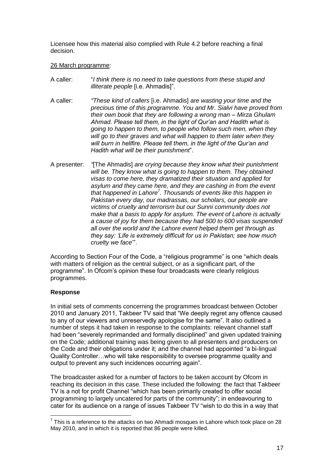Licensee how this material also complied with Rule 4.2 before reaching a final decision.

#### 26 March programme:

- A caller: "*I think there is no need to take questions from these stupid and illiterate people* [i.e. Ahmadis]".
- A caller: *"These kind of callers* [i.e. Ahmadis] *are wasting your time and the precious time of this programme. You and Mr. Sialvi have proved from their own book that they are following a wrong man – Mirza Ghulam Ahmad. Please tell them, in the light of Qur"an and Hadith what is going to happen to them, to people who follow such men, when they will go to their graves and what will happen to them later when they will burn in hellfire. Please tell them, in the light of the Qur"an and Hadith what will be their punishment*".
- A presenter: *"*[The Ahmadis] *are crying because they know what their punishment will be. They know what is going to happen to them. They obtained visas to come here, they dramatized their situation and applied for asylum and they came here, and they are cashing in from the event that happened in Lahore<sup>7</sup> . Thousands of events like this happen in Pakistan every day, our madrassas, our scholars, our people are victims of cruelty and terrorism but our Sunni community does not make that a basis to apply for asylum. The event of Lahore is actually a cause of joy for them because they had 500 to 600 visas suspended all over the world and the Lahore event helped them get through as they say: "Life is extremely difficult for us in Pakistan; see how much cruelty we face*"".

According to Section Four of the Code, a "religious programme" is one "which deals with matters of religion as the central subject, or as a significant part, of the programme". In Ofcom"s opinion these four broadcasts were clearly religious programmes.

#### **Response**

In initial sets of comments concerning the programmes broadcast between October 2010 and January 2011, Takbeer TV said that "We deeply regret any offence caused to any of our viewers and unreservedly apologise for the same". It also outlined a number of steps it had taken in response to the complaints: relevant channel staff had been "severely reprimanded and formally disciplined" and given updated training on the Code; additional training was being given to all presenters and producers on the Code and their obligations under it; and the channel had appointed "a bi-lingual Quality Controller…who will take responsibility to oversee programme quality and output to prevent any such incidences occurring again".

The broadcaster asked for a number of factors to be taken account by Ofcom in reaching its decision in this case. These included the following: the fact that Takbeer TV is a not for profit Channel "which has been primarily created to offer social programming to largely uncatered for parts of the community"; in endeavouring to cater for its audience on a range of issues Takbeer TV "wish to do this in a way that

 7 This is a reference to the attacks on two Ahmadi mosques in Lahore which took place on 28 May 2010, and in which it is reported that 86 people were killed.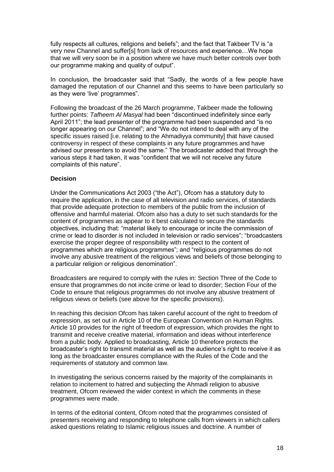fully respects all cultures, religions and beliefs"; and the fact that Takbeer TV is "a very new Channel and suffer[s] from lack of resources and experience…We hope that we will very soon be in a position where we have much better controls over both our programme making and quality of output".

In conclusion, the broadcaster said that "Sadly, the words of a few people have damaged the reputation of our Channel and this seems to have been particularly so as they were "live" programmes".

Following the broadcast of the 26 March programme, Takbeer made the following further points: *Tafheem Al Masyal* had been "discontinued indefinitely since early April 2011"; the lead presenter of the programme had been suspended and "is no longer appearing on our Channel"; and "We do not intend to deal with any of the specific issues raised [i.e. relating to the Ahmadiyya community] that have caused controversy in respect of these complaints in any future programmes and have advised our presenters to avoid the same." The broadcaster added that through the various steps it had taken, it was "confident that we will not receive any future complaints of this nature".

#### **Decision**

Under the Communications Act 2003 ("the Act"), Ofcom has a statutory duty to require the application, in the case of all television and radio services, of standards that provide adequate protection to members of the public from the inclusion of offensive and harmful material. Ofcom also has a duty to set such standards for the content of programmes as appear to it best calculated to secure the standards objectives, including that: "material likely to encourage or incite the commission of crime or lead to disorder is not included in television or radio services"; "broadcasters exercise the proper degree of responsibility with respect to the content of programmes which are religious programmes"; and "religious programmes do not involve any abusive treatment of the religious views and beliefs of those belonging to a particular religion or religious denomination".

Broadcasters are required to comply with the rules in: Section Three of the Code to ensure that programmes do not incite crime or lead to disorder; Section Four of the Code to ensure that religious programmes do not involve any abusive treatment of religious views or beliefs (see above for the specific provisions).

In reaching this decision Ofcom has taken careful account of the right to freedom of expression, as set out in Article 10 of the European Convention on Human Rights. Article 10 provides for the right of freedom of expression, which provides the right to transmit and receive creative material, information and ideas without interference from a public body. Applied to broadcasting, Article 10 therefore protects the broadcaster"s right to transmit material as well as the audience"s right to receive it as long as the broadcaster ensures compliance with the Rules of the Code and the requirements of statutory and common law.

In investigating the serious concerns raised by the majority of the complainants in relation to incitement to hatred and subjecting the Ahmadi religion to abusive treatment, Ofcom reviewed the wider context in which the comments in these programmes were made.

In terms of the editorial content, Ofcom noted that the programmes consisted of presenters receiving and responding to telephone calls from viewers in which callers asked questions relating to Islamic religious issues and doctrine. A number of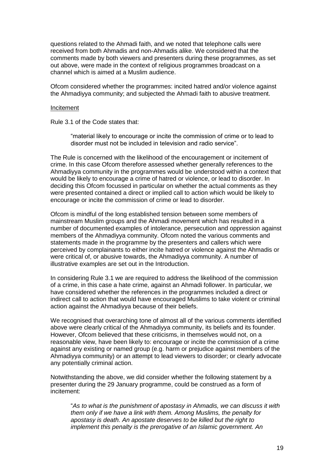questions related to the Ahmadi faith, and we noted that telephone calls were received from both Ahmadis and non-Ahmadis alike. We considered that the comments made by both viewers and presenters during these programmes, as set out above, were made in the context of religious programmes broadcast on a channel which is aimed at a Muslim audience.

Ofcom considered whether the programmes: incited hatred and/or violence against the Ahmadiyya community; and subjected the Ahmadi faith to abusive treatment.

#### Incitement

Rule 3.1 of the Code states that:

"material likely to encourage or incite the commission of crime or to lead to disorder must not be included in television and radio service".

The Rule is concerned with the likelihood of the encouragement or incitement of crime. In this case Ofcom therefore assessed whether generally references to the Ahmadiyya community in the programmes would be understood within a context that would be likely to encourage a crime of hatred or violence, or lead to disorder. In deciding this Ofcom focussed in particular on whether the actual comments as they were presented contained a direct or implied call to action which would be likely to encourage or incite the commission of crime or lead to disorder.

Ofcom is mindful of the long established tension between some members of mainstream Muslim groups and the Ahmadi movement which has resulted in a number of documented examples of intolerance, persecution and oppression against members of the Ahmadiyya community. Ofcom noted the various comments and statements made in the programme by the presenters and callers which were perceived by complainants to either incite hatred or violence against the Ahmadis or were critical of, or abusive towards, the Ahmadiyya community. A number of illustrative examples are set out in the Introduction.

In considering Rule 3.1 we are required to address the likelihood of the commission of a crime, in this case a hate crime, against an Ahmadi follower. In particular, we have considered whether the references in the programmes included a direct or indirect call to action that would have encouraged Muslims to take violent or criminal action against the Ahmadiyya because of their beliefs.

We recognised that overarching tone of almost all of the various comments identified above were clearly critical of the Ahmadiyya community, its beliefs and its founder. However, Ofcom believed that these criticisms, in themselves would not, on a reasonable view, have been likely to: encourage or incite the commission of a crime against any existing or named group (e.g. harm or prejudice against members of the Ahmadiyya community) or an attempt to lead viewers to disorder; or clearly advocate any potentially criminal action.

Notwithstanding the above, we did consider whether the following statement by a presenter during the 29 January programme, could be construed as a form of incitement:

"*As to what is the punishment of apostasy in Ahmadis, we can discuss it with them only if we have a link with them. Among Muslims, the penalty for apostasy is death. An apostate deserves to be killed but the right to implement this penalty is the prerogative of an Islamic government. An*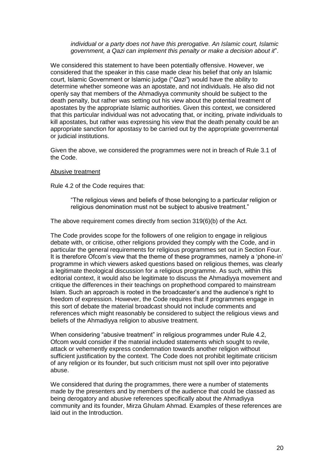#### *individual or a party does not have this prerogative. An Islamic court, Islamic government, a Qazi can implement this penalty or make a decision about it*".

We considered this statement to have been potentially offensive. However, we considered that the speaker in this case made clear his belief that only an Islamic court, Islamic Government or Islamic judge ("*Qazi"*) would have the ability to determine whether someone was an apostate, and not individuals. He also did not openly say that members of the Ahmadiyya community should be subject to the death penalty, but rather was setting out his view about the potential treatment of apostates by the appropriate Islamic authorities. Given this context, we considered that this particular individual was not advocating that, or inciting, private individuals to kill apostates, but rather was expressing his view that the death penalty could be an appropriate sanction for apostasy to be carried out by the appropriate governmental or judicial institutions.

Given the above, we considered the programmes were not in breach of Rule 3.1 of the Code.

#### Abusive treatment

Rule 4.2 of the Code requires that:

"The religious views and beliefs of those belonging to a particular religion or religious denomination must not be subject to abusive treatment."

The above requirement comes directly from section 319(6)(b) of the Act.

The Code provides scope for the followers of one religion to engage in religious debate with, or criticise, other religions provided they comply with the Code, and in particular the general requirements for religious programmes set out in Section Four. It is therefore Ofcom"s view that the theme of these programmes, namely a "phone-in" programme in which viewers asked questions based on religious themes, was clearly a legitimate theological discussion for a religious programme. As such, within this editorial context, it would also be legitimate to discuss the Ahmadiyya movement and critique the differences in their teachings on prophethood compared to mainstream Islam. Such an approach is rooted in the broadcaster"s and the audience"s right to freedom of expression. However, the Code requires that if programmes engage in this sort of debate the material broadcast should not include comments and references which might reasonably be considered to subject the religious views and beliefs of the Ahmadiyya religion to abusive treatment.

When considering "abusive treatment" in religious programmes under Rule 4.2, Ofcom would consider if the material included statements which sought to revile, attack or vehemently express condemnation towards another religion without sufficient justification by the context. The Code does not prohibit legitimate criticism of any religion or its founder, but such criticism must not spill over into pejorative abuse.

We considered that during the programmes, there were a number of statements made by the presenters and by members of the audience that could be classed as being derogatory and abusive references specifically about the Ahmadiyya community and its founder, Mirza Ghulam Ahmad. Examples of these references are laid out in the Introduction.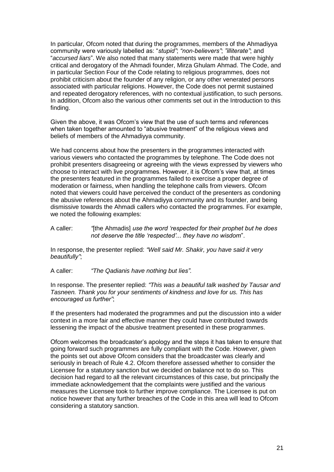In particular, Ofcom noted that during the programmes, members of the Ahmadiyya community were variously labelled as: "*stupid"*; *"non-believers"*; *"illiterate"*; and "*accursed liars*". We also noted that many statements were made that were highly critical and derogatory of the Ahmadi founder, Mirza Ghulam Ahmad. The Code, and in particular Section Four of the Code relating to religious programmes, does not prohibit criticism about the founder of any religion, or any other venerated persons associated with particular religions. However, the Code does not permit sustained and repeated derogatory references, with no contextual justification, to such persons. In addition, Ofcom also the various other comments set out in the Introduction to this finding.

Given the above, it was Ofcom"s view that the use of such terms and references when taken together amounted to "abusive treatment" of the religious views and beliefs of members of the Ahmadiyya community.

We had concerns about how the presenters in the programmes interacted with various viewers who contacted the programmes by telephone. The Code does not prohibit presenters disagreeing or agreeing with the views expressed by viewers who choose to interact with live programmes. However, it is Ofcom"s view that, at times the presenters featured in the programmes failed to exercise a proper degree of moderation or fairness, when handling the telephone calls from viewers. Ofcom noted that viewers could have perceived the conduct of the presenters as condoning the abusive references about the Ahmadiyya community and its founder, and being dismissive towards the Ahmadi callers who contacted the programmes. For example, we noted the following examples:

A caller: *"*[the Ahmadis] *use the word "respected for their prophet but he does not deserve the title "respected"... they have no wisdom*".

In response, the presenter replied: *"Well said Mr. Shakir, you have said it very beautifully"*;

A caller: *"The Qadianis have nothing but lies".*

In response. The presenter replied: *"This was a beautiful talk washed by Tausar and Tasneen. Thank you for your sentiments of kindness and love for us. This has encouraged us further"*;

If the presenters had moderated the programmes and put the discussion into a wider context in a more fair and effective manner they could have contributed towards lessening the impact of the abusive treatment presented in these programmes.

Ofcom welcomes the broadcaster"s apology and the steps it has taken to ensure that going forward such programmes are fully compliant with the Code. However, given the points set out above Ofcom considers that the broadcaster was clearly and seriously in breach of Rule 4.2. Ofcom therefore assessed whether to consider the Licensee for a statutory sanction but we decided on balance not to do so. This decision had regard to all the relevant circumstances of this case, but principally the immediate acknowledgement that the complaints were justified and the various measures the Licensee took to further improve compliance. The Licensee is put on notice however that any further breaches of the Code in this area will lead to Ofcom considering a statutory sanction.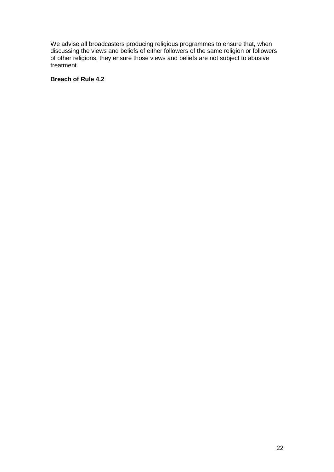We advise all broadcasters producing religious programmes to ensure that, when discussing the views and beliefs of either followers of the same religion or followers of other religions, they ensure those views and beliefs are not subject to abusive treatment.

#### **Breach of Rule 4.2**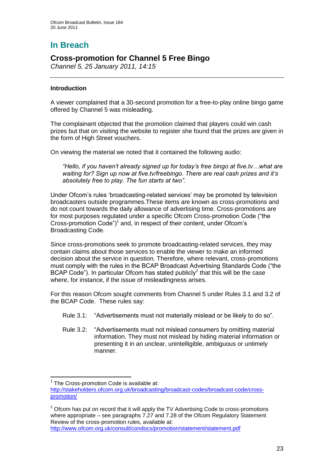# **In Breach**

## **Cross-promotion for Channel 5 Free Bingo**

*Channel 5, 25 January 2011, 14:15*

#### **Introduction**

A viewer complained that a 30-second promotion for a free-to-play online bingo game offered by Channel 5 was misleading.

The complainant objected that the promotion claimed that players could win cash prizes but that on visiting the website to register she found that the prizes are given in the form of High Street vouchers.

On viewing the material we noted that it contained the following audio:

*"Hello, if you haven"t already signed up for today"s free bingo at five.tv…what are waiting for? Sign up now at five.tv/freebingo. There are real cash prizes and it"s absolutely free to play. The fun starts at two".*

Under Ofcom"s rules "broadcasting-related services" may be promoted by television broadcasters outside programmes.These items are known as cross-promotions and do not count towards the daily allowance of advertising time. Cross-promotions are for most purposes regulated under a specific Ofcom Cross-promotion Code ("the Cross-promotion Code")<sup>1</sup> and, in respect of their content, under Ofcom's Broadcasting Code.

Since cross-promotions seek to promote broadcasting-related services, they may contain claims about those services to enable the viewer to make an informed decision about the service in question. Therefore, where relevant, cross-promotions must comply with the rules in the BCAP Broadcast Advertising Standards Code ("the BCAP Code"). In particular Ofcom has stated publicly $<sup>2</sup>$  that this will be the case</sup> where, for instance, if the issue of misleadingness arises.

For this reason Ofcom sought comments from Channel 5 under Rules 3.1 and 3.2 of the BCAP Code. These rules say:

- Rule 3.1: "Advertisements must not materially mislead or be likely to do so".
- Rule 3.2: "Advertisements must not mislead consumers by omitting material information. They must not mislead by hiding material information or presenting it in an unclear, unintelligible, ambiguous or untimely manner.

<http://www.ofcom.org.uk/consult/condocs/promotion/statement/statement.pdf>

<sup>1</sup> <sup>1</sup> The Cross-promotion Code is available at: [http://stakeholders.ofcom.org.uk/broadcasting/broadcast-codes/broadcast-code/cross](http://stakeholders.ofcom.org.uk/broadcasting/broadcast-codes/broadcast-code/cross-promotion/)[promotion/](http://stakeholders.ofcom.org.uk/broadcasting/broadcast-codes/broadcast-code/cross-promotion/)

 $2$  Ofcom has put on record that it will apply the TV Advertising Code to cross-promotions where appropriate – see paragraphs 7.27 and 7.28 of the Ofcom Regulatory Statement Review of the cross-promotion rules, available at: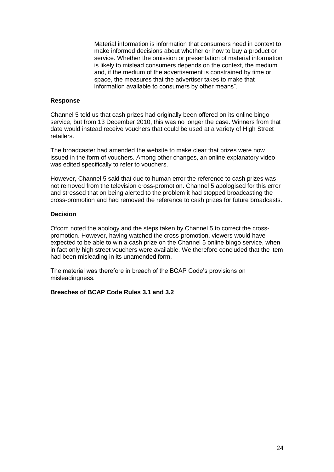Material information is information that consumers need in context to make informed decisions about whether or how to buy a product or service. Whether the omission or presentation of material information is likely to mislead consumers depends on the context, the medium and, if the medium of the advertisement is constrained by time or space, the measures that the advertiser takes to make that information available to consumers by other means".

#### **Response**

Channel 5 told us that cash prizes had originally been offered on its online bingo service, but from 13 December 2010, this was no longer the case. Winners from that date would instead receive vouchers that could be used at a variety of High Street retailers.

The broadcaster had amended the website to make clear that prizes were now issued in the form of vouchers. Among other changes, an online explanatory video was edited specifically to refer to vouchers.

However, Channel 5 said that due to human error the reference to cash prizes was not removed from the television cross-promotion. Channel 5 apologised for this error and stressed that on being alerted to the problem it had stopped broadcasting the cross-promotion and had removed the reference to cash prizes for future broadcasts.

#### **Decision**

Ofcom noted the apology and the steps taken by Channel 5 to correct the crosspromotion. However, having watched the cross-promotion, viewers would have expected to be able to win a cash prize on the Channel 5 online bingo service, when in fact only high street vouchers were available. We therefore concluded that the item had been misleading in its unamended form.

The material was therefore in breach of the BCAP Code"s provisions on misleadingness.

#### **Breaches of BCAP Code Rules 3.1 and 3.2**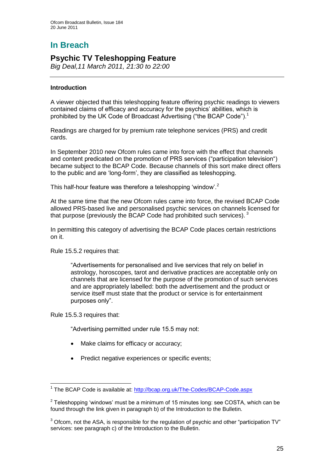# **In Breach**

## **Psychic TV Teleshopping Feature**

*Big Deal,11 March 2011, 21:30 to 22:00*

#### **Introduction**

A viewer objected that this teleshopping feature offering psychic readings to viewers contained claims of efficacy and accuracy for the psychics" abilities, which is prohibited by the UK Code of Broadcast Advertising ("the BCAP Code").<sup>1</sup>

Readings are charged for by premium rate telephone services (PRS) and credit cards.

In September 2010 new Ofcom rules came into force with the effect that channels and content predicated on the promotion of PRS services ("participation television") became subject to the BCAP Code. Because channels of this sort make direct offers to the public and are "long-form", they are classified as teleshopping.

This half-hour feature was therefore a teleshopping 'window'.<sup>2</sup>

At the same time that the new Ofcom rules came into force, the revised BCAP Code allowed PRS-based live and personalised psychic services on channels licensed for that purpose (previously the BCAP Code had prohibited such services).  $3$ 

In permitting this category of advertising the BCAP Code places certain restrictions on it.

Rule 15.5.2 requires that:

"Advertisements for personalised and live services that rely on belief in astrology, horoscopes, tarot and derivative practices are acceptable only on channels that are licensed for the purpose of the promotion of such services and are appropriately labelled: both the advertisement and the product or service itself must state that the product or service is for entertainment purposes only".

Rule 15.5.3 requires that:

1

"Advertising permitted under rule 15.5 may not:

- Make claims for efficacy or accuracy;
- Predict negative experiences or specific events;

<sup>&</sup>lt;sup>1</sup> The BCAP Code is available at:<http://bcap.org.uk/The-Codes/BCAP-Code.aspx>

 $2$  Teleshopping 'windows' must be a minimum of 15 minutes long: see COSTA, which can be found through the link given in paragraph b) of the Introduction to the Bulletin.

 $3$  Ofcom, not the ASA, is responsible for the regulation of psychic and other "participation TV" services: see paragraph c) of the Introduction to the Bulletin.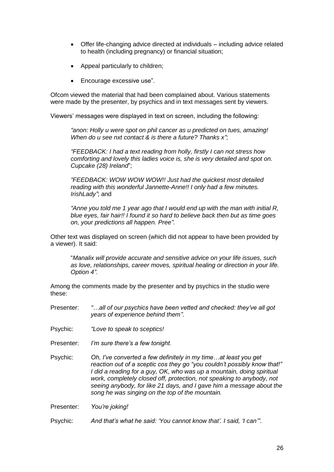- Offer life-changing advice directed at individuals including advice related to health (including pregnancy) or financial situation;
- Appeal particularly to children;
- Encourage excessive use".

Ofcom viewed the material that had been complained about. Various statements were made by the presenter, by psychics and in text messages sent by viewers.

Viewers" messages were displayed in text on screen, including the following:

*"anon: Holly u were spot on phil cancer as u predicted on tues, amazing! When do u see nxt contact & is there a future? Thanks x"*;

*"FEEDBACK: I had a text reading from holly, firstly I can not stress how comforting and lovely this ladies voice is, she is very detailed and spot on. Cupcake (28) Ireland*";

*"FEEDBACK: WOW WOW WOW!! Just had the quickest most detailed reading with this wonderful Jannette-Anne!! I only had a few minutes. IrishLady"*; and

*"Anne you told me 1 year ago that I would end up with the man with initial R, blue eyes, fair hair!! I found it so hard to believe back then but as time goes on, your predictions all happen. Pree"*.

Other text was displayed on screen (which did not appear to have been provided by a viewer). It said:

"*Manalix will provide accurate and sensitive advice on your life issues, such as love, relationships, career moves, spiritual healing or direction in your life. Option 4"*.

Among the comments made by the presenter and by psychics in the studio were these:

- Presenter: *"…all of our psychics have been vetted and checked: they"ve all got years of experience behind them"*.
- Psychic: *"Love to speak to sceptics!*
- Presenter: *I"m sure there"s a few tonight.*
- Psychic: *Oh, I"ve converted a few definitely in my time…at least you get reaction out of a sceptic cos they go "you couldn"t possibly know that!" I did a reading for a guy, OK, who was up a mountain, doing spiritual work, completely closed off, protection, not speaking to anybody, not seeing anybody, for like 21 days, and I gave him a message about the song he was singing on the top of the mountain.*

Presenter: *You"re joking!*

Psychic: *And that"s what he said: "You cannot know that". I said, "I can""*.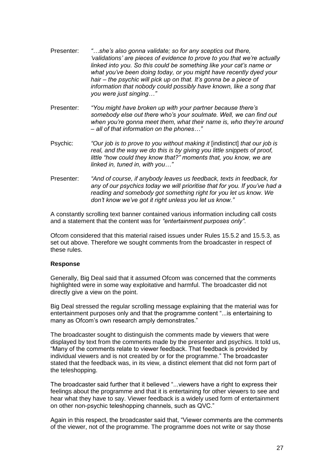- Presenter: *"…she"s also gonna validate; so for any sceptics out there, "validations" are pieces of evidence to prove to you that we"re actually linked into you. So this could be something like your cat"s name or what you"ve been doing today, or you might have recently dyed your hair – the psychic will pick up on that. It"s gonna be a piece of information that nobody could possibly have known, like a song that you were just singing…"*
- Presenter: *"You might have broken up with your partner because there"s somebody else out there who"s your soulmate. Well, we can find out when you"re gonna meet them, what their name is, who they"re around – all of that information on the phones…"*
- Psychic: *"Our job is to prove to you without making it* [indistinct] *that our job is real, and the way we do this is by giving you little snippets of proof, little "how could they know that?" moments that, you know, we are linked in, tuned in, with you…"*
- Presenter: *"And of course, if anybody leaves us feedback, texts in feedback, for any of our psychics today we will prioritise that for you. If you"ve had a reading and somebody got something right for you let us know. We don"t know we"ve got it right unless you let us know."*

A constantly scrolling text banner contained various information including call costs and a statement that the content was for *"entertainment purposes only"*.

Ofcom considered that this material raised issues under Rules 15.5.2 and 15.5.3, as set out above. Therefore we sought comments from the broadcaster in respect of these rules.

#### **Response**

Generally, Big Deal said that it assumed Ofcom was concerned that the comments highlighted were in some way exploitative and harmful. The broadcaster did not directly give a view on the point.

Big Deal stressed the regular scrolling message explaining that the material was for entertainment purposes only and that the programme content "...is entertaining to many as Ofcom's own research amply demonstrates."

The broadcaster sought to distinguish the comments made by viewers that were displayed by text from the comments made by the presenter and psychics. It told us, "Many of the comments relate to viewer feedback. That feedback is provided by individual viewers and is not created by or for the programme." The broadcaster stated that the feedback was, in its view, a distinct element that did not form part of the teleshopping.

The broadcaster said further that it believed "...viewers have a right to express their feelings about the programme and that it is entertaining for other viewers to see and hear what they have to say. Viewer feedback is a widely used form of entertainment on other non-psychic teleshopping channels, such as QVC."

Again in this respect, the broadcaster said that, "Viewer comments are the comments of the viewer, not of the programme. The programme does not write or say those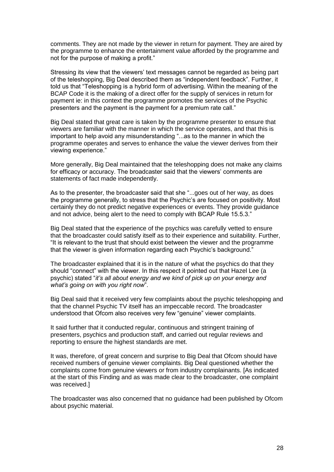comments. They are not made by the viewer in return for payment. They are aired by the programme to enhance the entertainment value afforded by the programme and not for the purpose of making a profit."

Stressing its view that the viewers" text messages cannot be regarded as being part of the teleshopping, Big Deal described them as "independent feedback". Further, it told us that "Teleshopping is a hybrid form of advertising. Within the meaning of the BCAP Code it is the making of a direct offer for the supply of services in return for payment ie: in this context the programme promotes the services of the Psychic presenters and the payment is the payment for a premium rate call."

Big Deal stated that great care is taken by the programme presenter to ensure that viewers are familiar with the manner in which the service operates, and that this is important to help avoid any misunderstanding "...as to the manner in which the programme operates and serves to enhance the value the viewer derives from their viewing experience."

More generally, Big Deal maintained that the teleshopping does not make any claims for efficacy or accuracy. The broadcaster said that the viewers" comments are statements of fact made independently.

As to the presenter, the broadcaster said that she "...goes out of her way, as does the programme generally, to stress that the Psychic's are focused on positivity. Most certainly they do not predict negative experiences or events. They provide guidance and not advice, being alert to the need to comply with BCAP Rule 15.5.3."

Big Deal stated that the experience of the psychics was carefully vetted to ensure that the broadcaster could satisfy itself as to their experience and suitability. Further, "It is relevant to the trust that should exist between the viewer and the programme that the viewer is given information regarding each Psychic's background."

The broadcaster explained that it is in the nature of what the psychics do that they should "connect" with the viewer. In this respect it pointed out that Hazel Lee (a psychic) stated "*it"s all about energy and we kind of pick up on your energy and what"s going on with you right now*".

Big Deal said that it received very few complaints about the psychic teleshopping and that the channel Psychic TV itself has an impeccable record. The broadcaster understood that Ofcom also receives very few "genuine" viewer complaints.

It said further that it conducted regular, continuous and stringent training of presenters, psychics and production staff, and carried out regular reviews and reporting to ensure the highest standards are met.

It was, therefore, of great concern and surprise to Big Deal that Ofcom should have received numbers of genuine viewer complaints. Big Deal questioned whether the complaints come from genuine viewers or from industry complainants. [As indicated at the start of this Finding and as was made clear to the broadcaster, one complaint was received.]

The broadcaster was also concerned that no guidance had been published by Ofcom about psychic material.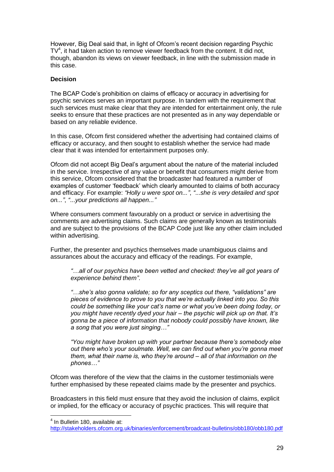However, Big Deal said that, in light of Ofcom"s recent decision regarding Psychic  $TV<sup>4</sup>$ , it had taken action to remove viewer feedback from the content. It did not, though, abandon its views on viewer feedback, in line with the submission made in this case.

#### **Decision**

The BCAP Code"s prohibition on claims of efficacy or accuracy in advertising for psychic services serves an important purpose. In tandem with the requirement that such services must make clear that they are intended for entertainment only, the rule seeks to ensure that these practices are not presented as in any way dependable or based on any reliable evidence.

In this case, Ofcom first considered whether the advertising had contained claims of efficacy or accuracy, and then sought to establish whether the service had made clear that it was intended for entertainment purposes only.

Ofcom did not accept Big Deal"s argument about the nature of the material included in the service. Irrespective of any value or benefit that consumers might derive from this service, Ofcom considered that the broadcaster had featured a number of examples of customer "feedback" which clearly amounted to claims of both accuracy and efficacy. For example: *"Holly u were spot on..."*, *"*...*she is very detailed and spot on..."*, *"*...*your predictions all happen..."*

Where consumers comment favourably on a product or service in advertising the comments are advertising claims. Such claims are generally known as testimonials and are subject to the provisions of the BCAP Code just like any other claim included within advertising.

Further, the presenter and psychics themselves made unambiguous claims and assurances about the accuracy and efficacy of the readings. For example,

*"…all of our psychics have been vetted and checked: they"ve all got years of experience behind them"*.

*"…she"s also gonna validate; so for any sceptics out there, "validations" are pieces of evidence to prove to you that we"re actually linked into you. So this could be something like your cat"s name or what you"ve been doing today, or you might have recently dyed your hair – the psychic will pick up on that. It"s gonna be a piece of information that nobody could possibly have known, like a song that you were just singing…"*

*"You might have broken up with your partner because there"s somebody else out there who"s your soulmate. Well, we can find out when you"re gonna meet them, what their name is, who they"re around – all of that information on the phones…"*

Ofcom was therefore of the view that the claims in the customer testimonials were further emphasised by these repeated claims made by the presenter and psychics.

Broadcasters in this field must ensure that they avoid the inclusion of claims, explicit or implied, for the efficacy or accuracy of psychic practices. This will require that

 4 In Bulletin 180, available at:

<http://stakeholders.ofcom.org.uk/binaries/enforcement/broadcast-bulletins/obb180/obb180.pdf>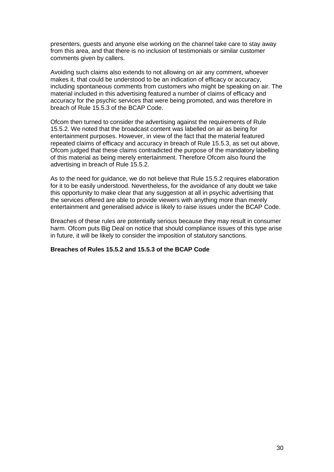presenters, guests and anyone else working on the channel take care to stay away from this area, and that there is no inclusion of testimonials or similar customer comments given by callers.

Avoiding such claims also extends to not allowing on air any comment, whoever makes it, that could be understood to be an indication of efficacy or accuracy, including spontaneous comments from customers who might be speaking on air. The material included in this advertising featured a number of claims of efficacy and accuracy for the psychic services that were being promoted, and was therefore in breach of Rule 15.5.3 of the BCAP Code.

Ofcom then turned to consider the advertising against the requirements of Rule 15.5.2. We noted that the broadcast content was labelled on air as being for entertainment purposes. However, in view of the fact that the material featured repeated claims of efficacy and accuracy in breach of Rule 15.5.3, as set out above, Ofcom judged that these claims contradicted the purpose of the mandatory labelling of this material as being merely entertainment. Therefore Ofcom also found the advertising in breach of Rule 15.5.2.

As to the need for guidance, we do not believe that Rule 15.5.2 requires elaboration for it to be easily understood. Nevertheless, for the avoidance of any doubt we take this opportunity to make clear that any suggestion at all in psychic advertising that the services offered are able to provide viewers with anything more than merely entertainment and generalised advice is likely to raise issues under the BCAP Code.

Breaches of these rules are potentially serious because they may result in consumer harm. Ofcom puts Big Deal on notice that should compliance issues of this type arise in future, it will be likely to consider the imposition of statutory sanctions.

#### **Breaches of Rules 15.5.2 and 15.5.3 of the BCAP Code**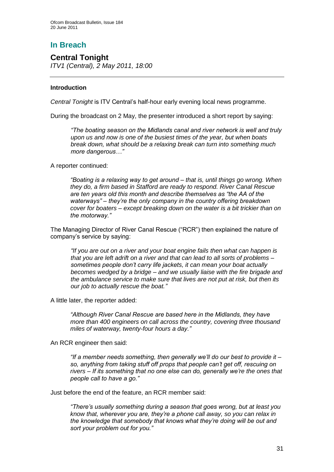## **In Breach**

## **Central Tonight** *ITV1 (Central), 2 May 2011, 18:00*

#### **Introduction**

*Central Tonight* is ITV Central"s half-hour early evening local news programme.

During the broadcast on 2 May, the presenter introduced a short report by saying:

*"The boating season on the Midlands canal and river network is well and truly upon us and now is one of the busiest times of the year, but when boats break down, what should be a relaxing break can turn into something much more dangerous…"*

A reporter continued:

*"Boating is a relaxing way to get around – that is, until things go wrong. When they do, a firm based in Stafford are ready to respond. River Canal Rescue are ten years old this month and describe themselves as "the AA of the waterways" – they"re the only company in the country offering breakdown cover for boaters – except breaking down on the water is a bit trickier than on the motorway."*

The Managing Director of River Canal Rescue ("RCR") then explained the nature of company"s service by saying:

*"If you are out on a river and your boat engine fails then what can happen is that you are left adrift on a river and that can lead to all sorts of problems – sometimes people don"t carry life jackets, it can mean your boat actually becomes wedged by a bridge – and we usually liaise with the fire brigade and the ambulance service to make sure that lives are not put at risk, but then its our job to actually rescue the boat."*

A little later, the reporter added:

*"Although River Canal Rescue are based here in the Midlands, they have more than 400 engineers on call across the country, covering three thousand miles of waterway, twenty-four hours a day."*

An RCR engineer then said:

*"If a member needs something, then generally we"ll do our best to provide it – so, anything from taking stuff off props that people can"t get off, rescuing on rivers – If its something that no one else can do, generally we"re the ones that people call to have a go."*

Just before the end of the feature, an RCR member said:

*"There"s usually something during a season that goes wrong, but at least you know that, wherever you are, they"re a phone call away, so you can relax in the knowledge that somebody that knows what they"re doing will be out and sort your problem out for you."*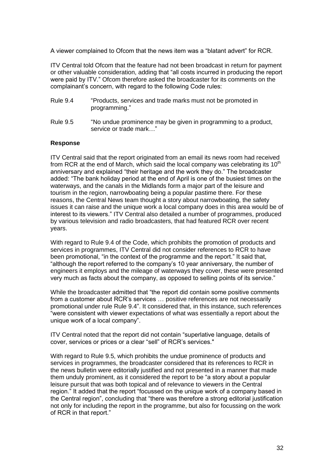A viewer complained to Ofcom that the news item was a "blatant advert" for RCR.

ITV Central told Ofcom that the feature had not been broadcast in return for payment or other valuable consideration, adding that "all costs incurred in producing the report were paid by ITV." Ofcom therefore asked the broadcaster for its comments on the complainant"s concern, with regard to the following Code rules:

| <b>Rule 9.4</b> | "Products, services and trade marks must not be promoted in |
|-----------------|-------------------------------------------------------------|
|                 | programming."                                               |

Rule 9.5 "No undue prominence may be given in programming to a product, service or trade mark…"

#### **Response**

ITV Central said that the report originated from an email its news room had received from RCR at the end of March, which said the local company was celebrating its  $10<sup>th</sup>$ anniversary and explained "their heritage and the work they do." The broadcaster added: "The bank holiday period at the end of April is one of the busiest times on the waterways, and the canals in the Midlands form a major part of the leisure and tourism in the region, narrowboating being a popular pastime there. For these reasons, the Central News team thought a story about narrowboating, the safety issues it can raise and the unique work a local company does in this area would be of interest to its viewers." ITV Central also detailed a number of programmes, produced by various television and radio broadcasters, that had featured RCR over recent years.

With regard to Rule 9.4 of the Code, which prohibits the promotion of products and services in programmes, ITV Central did not consider references to RCR to have been promotional, "in the context of the programme and the report." It said that, "although the report referred to the company"s 10 year anniversary, the number of engineers it employs and the mileage of waterways they cover, these were presented very much as facts about the company, as opposed to selling points of its service."

While the broadcaster admitted that "the report did contain some positive comments from a customer about RCR"s services … positive references are not necessarily promotional under rule Rule 9.4". It considered that, in this instance, such references "were consistent with viewer expectations of what was essentially a report about the unique work of a local company".

ITV Central noted that the report did not contain "superlative language, details of cover, services or prices or a clear "sell" of RCR"s services."

With regard to Rule 9.5, which prohibits the undue prominence of products and services in programmes, the broadcaster considered that its references to RCR in the news bulletin were editorially justified and not presented in a manner that made them unduly prominent, as it considered the report to be "a story about a popular leisure pursuit that was both topical and of relevance to viewers in the Central region." It added that the report "focussed on the unique work of a company based in the Central region", concluding that "there was therefore a strong editorial justification not only for including the report in the programme, but also for focussing on the work of RCR in that report."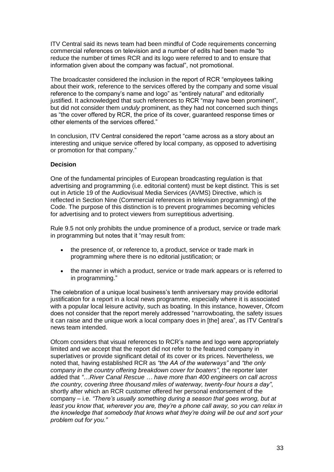ITV Central said its news team had been mindful of Code requirements concerning commercial references on television and a number of edits had been made "to reduce the number of times RCR and its logo were referred to and to ensure that information given about the company was factual", not promotional.

The broadcaster considered the inclusion in the report of RCR "employees talking about their work, reference to the services offered by the company and some visual reference to the company"s name and logo" as "entirely natural" and editorially justified. It acknowledged that such references to RCR "may have been prominent", but did not consider them *unduly* prominent, as they had not concerned such things as "the cover offered by RCR, the price of its cover, guaranteed response times or other elements of the services offered."

In conclusion, ITV Central considered the report "came across as a story about an interesting and unique service offered by local company, as opposed to advertising or promotion for that company."

#### **Decision**

One of the fundamental principles of European broadcasting regulation is that advertising and programming (i.e. editorial content) must be kept distinct. This is set out in Article 19 of the Audiovisual Media Services (AVMS) Directive, which is reflected in Section Nine (Commercial references in television programming) of the Code. The purpose of this distinction is to prevent programmes becoming vehicles for advertising and to protect viewers from surreptitious advertising.

Rule 9.5 not only prohibits the undue prominence of a product, service or trade mark in programming but notes that it "may result from:

- the presence of, or reference to, a product, service or trade mark in programming where there is no editorial justification; or
- the manner in which a product, service or trade mark appears or is referred to in programming."

The celebration of a unique local business's tenth anniversary may provide editorial justification for a report in a local news programme, especially where it is associated with a popular local leisure activity, such as boating. In this instance, however, Ofcom does not consider that the report merely addressed "narrowboating, the safety issues it can raise and the unique work a local company does in [the] area", as ITV Central"s news team intended.

Ofcom considers that visual references to RCR"s name and logo were appropriately limited and we accept that the report did not refer to the featured company in superlatives or provide significant detail of its cover or its prices. Nevertheless, we noted that, having established RCR as *"the AA of the waterways"* and *"the only company in the country offering breakdown cover for boaters"*, the reporter later added that *"…River Canal Rescue … have more than 400 engineers on call across the country, covering three thousand miles of waterway, twenty-four hours a day"*, shortly after which an RCR customer offered her personal endorsement of the company – i.e. *"There"s usually something during a season that goes wrong, but at least you know that, wherever you are, they"re a phone call away, so you can relax in the knowledge that somebody that knows what they"re doing will be out and sort your problem out for you."*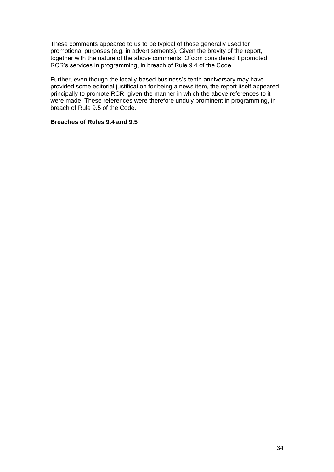These comments appeared to us to be typical of those generally used for promotional purposes (e.g. in advertisements). Given the brevity of the report, together with the nature of the above comments, Ofcom considered it promoted RCR"s services in programming, in breach of Rule 9.4 of the Code.

Further, even though the locally-based business's tenth anniversary may have provided some editorial justification for being a news item, the report itself appeared principally to promote RCR, given the manner in which the above references to it were made. These references were therefore unduly prominent in programming, in breach of Rule 9.5 of the Code.

#### **Breaches of Rules 9.4 and 9.5**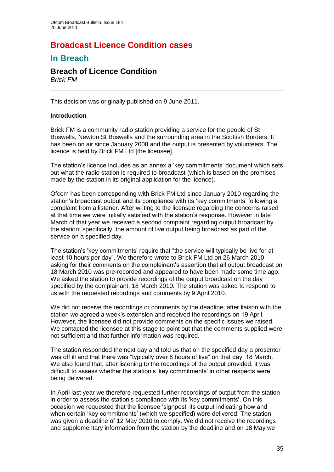## **Broadcast Licence Condition cases**

## **In Breach**

# **Breach of Licence Condition**

*Brick FM*

This decision was originally published on 9 June 2011.

#### **Introduction**

Brick FM is a community radio station providing a service for the people of St Boswells, Newton St Boswells and the surrounding area in the Scottish Borders. It has been on air since January 2008 and the output is presented by volunteers. The licence is held by Brick FM Ltd [the licensee].

The station's licence includes as an annex a 'key commitments' document which sets out what the radio station is required to broadcast (which is based on the promises made by the station in its original application for the licence).

Ofcom has been corresponding with Brick FM Ltd since January 2010 regarding the station"s broadcast output and its compliance with its "key commitments" following a complaint from a listener. After writing to the licensee regarding the concerns raised at that time we were initially satisfied with the station"s response. However in late March of that year we received a second complaint regarding output broadcast by the station; specifically, the amount of live output being broadcast as part of the service on a specified day.

The station's 'key commitments' require that "the service will typically be live for at least 10 hours per day". We therefore wrote to Brick FM Ltd on 26 March 2010 asking for their comments on the complainant"s assertion that all output broadcast on 18 March 2010 was pre-recorded and appeared to have been made some time ago. We asked the station to provide recordings of the output broadcast on the day specified by the complainant; 18 March 2010. The station was asked to respond to us with the requested recordings and comments by 9 April 2010.

We did not receive the recordings or comments by the deadline; after liaison with the station we agreed a week"s extension and received the recordings on 19 April. However, the licensee did not provide comments on the specific issues we raised. We contacted the licensee at this stage to point out that the comments supplied were not sufficient and that further information was required.

The station responded the next day and told us that on the specified day a presenter was off ill and that there was "typically over 8 hours of live" on that day, 18 March. We also found that, after listening to the recordings of the output provided, it was difficult to assess whether the station"s 'key commitments' in other respects were being delivered.

In April last year we therefore requested further recordings of output from the station in order to assess the station"s compliance with its 'key commitments'. On this occasion we requested that the licensee "signpost" its output indicating how and when certain "key commitments" (which we specified) were delivered. The station was given a deadline of 12 May 2010 to comply. We did not receive the recordings and supplementary information from the station by the deadline and on 18 May we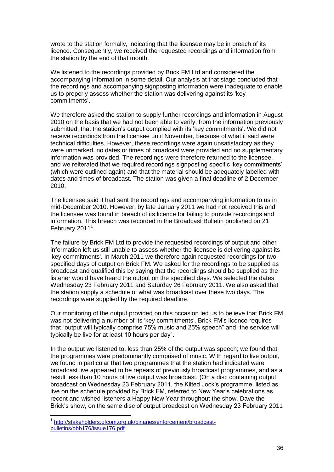wrote to the station formally, indicating that the licensee may be in breach of its licence. Consequently, we received the requested recordings and information from the station by the end of that month.

We listened to the recordings provided by Brick FM Ltd and considered the accompanying information in some detail. Our analysis at that stage concluded that the recordings and accompanying signposting information were inadequate to enable us to properly assess whether the station was delivering against its "key commitments".

We therefore asked the station to supply further recordings and information in August 2010 on the basis that we had not been able to verify, from the information previously submitted, that the station's output complied with its 'key commitments'. We did not receive recordings from the licensee until November, because of what it said were technical difficulties. However, these recordings were again unsatisfactory as they were unmarked, no dates or times of broadcast were provided and no supplementary information was provided. The recordings were therefore returned to the licensee, and we reiterated that we required recordings signposting specific 'key commitments' (which were outlined again) and that the material should be adequately labelled with dates and times of broadcast. The station was given a final deadline of 2 December 2010.

The licensee said it had sent the recordings and accompanying information to us in mid-December 2010. However, by late January 2011 we had not received this and the licensee was found in breach of its licence for failing to provide recordings and information. This breach was recorded in the Broadcast Bulletin published on 21 February  $2011<sup>1</sup>$ .

The failure by Brick FM Ltd to provide the requested recordings of output and other information left us still unable to assess whether the licensee is delivering against its 'key commitments'. In March 2011 we therefore again requested recordings for two specified days of output on Brick FM. We asked for the recordings to be supplied as broadcast and qualified this by saying that the recordings should be supplied as the listener would have heard the output on the specified days. We selected the dates Wednesday 23 February 2011 and Saturday 26 February 2011. We also asked that the station supply a schedule of what was broadcast over these two days. The recordings were supplied by the required deadline.

Our monitoring of the output provided on this occasion led us to believe that Brick FM was not delivering a number of its 'key commitments'. Brick FM"s licence requires that "output will typically comprise 75% music and 25% speech" and "the service will typically be live for at least 10 hours per day".

In the output we listened to, less than 25% of the output was speech; we found that the programmes were predominantly comprised of music. With regard to live output, we found in particular that two programmes that the station had indicated were broadcast live appeared to be repeats of previously broadcast programmes, and as a result less than 10 hours of live output was broadcast. (On a disc containing output broadcast on Wednesday 23 February 2011, the Kilted Jock"s programme, listed as live on the schedule provided by Brick FM, referred to New Year"s celebrations as recent and wished listeners a Happy New Year throughout the show. Dave the Brick"s show, on the same disc of output broadcast on Wednesday 23 February 2011

 1 [http://stakeholders.ofcom.org.uk/binaries/enforcement/broadcast](http://stakeholders.ofcom.org.uk/binaries/enforcement/broadcast-bulletins/obb176/issue176.pdf)[bulletins/obb176/issue176.pdf](http://stakeholders.ofcom.org.uk/binaries/enforcement/broadcast-bulletins/obb176/issue176.pdf)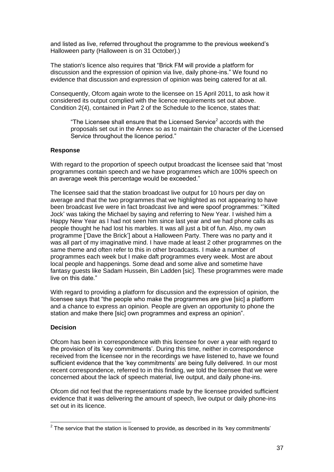and listed as live, referred throughout the programme to the previous weekend"s Halloween party (Halloween is on 31 October).)

The station's licence also requires that "Brick FM will provide a platform for discussion and the expression of opinion via live, daily phone-ins." We found no evidence that discussion and expression of opinion was being catered for at all.

Consequently, Ofcom again wrote to the licensee on 15 April 2011, to ask how it considered its output complied with the licence requirements set out above. Condition 2(4), contained in Part 2 of the Schedule to the licence, states that:

"The Licensee shall ensure that the Licensed Service<sup>2</sup> accords with the proposals set out in the Annex so as to maintain the character of the Licensed Service throughout the licence period."

#### **Response**

With regard to the proportion of speech output broadcast the licensee said that "most programmes contain speech and we have programmes which are 100% speech on an average week this percentage would be exceeded."

The licensee said that the station broadcast live output for 10 hours per day on average and that the two programmes that we highlighted as not appearing to have been broadcast live were in fact broadcast live and were spoof programmes: ""Kilted Jock" was taking the Michael by saying and referring to New Year. I wished him a Happy New Year as I had not seen him since last year and we had phone calls as people thought he had lost his marbles. It was all just a bit of fun. Also, my own programme ["Dave the Brick"] about a Halloween Party. There was no party and it was all part of my imaginative mind. I have made at least 2 other programmes on the same theme and often refer to this in other broadcasts. I make a number of programmes each week but I make daft programmes every week. Most are about local people and happenings. Some dead and some alive and sometime have fantasy guests like Sadam Hussein, Bin Ladden [sic]. These programmes were made live on this date."

With regard to providing a platform for discussion and the expression of opinion, the licensee says that "the people who make the programmes are give [sic] a platform and a chance to express an opinion. People are given an opportunity to phone the station and make there [sic] own programmes and express an opinion".

#### **Decision**

Ofcom has been in correspondence with this licensee for over a year with regard to the provision of its "key commitments". During this time, neither in correspondence received from the licensee nor in the recordings we have listened to, have we found sufficient evidence that the "key commitments" are being fully delivered. In our most recent correspondence, referred to in this finding, we told the licensee that we were concerned about the lack of speech material, live output, and daily phone-ins.

Ofcom did not feel that the representations made by the licensee provided sufficient evidence that it was delivering the amount of speech, live output or daily phone-ins set out in its licence.

 2 The service that the station is licensed to provide, as described in its "key commitments"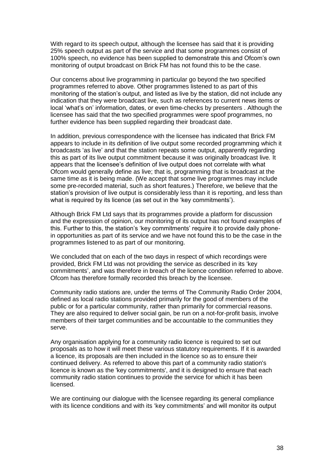With regard to its speech output, although the licensee has said that it is providing 25% speech output as part of the service and that some programmes consist of 100% speech, no evidence has been supplied to demonstrate this and Ofcom"s own monitoring of output broadcast on Brick FM has not found this to be the case.

Our concerns about live programming in particular go beyond the two specified programmes referred to above. Other programmes listened to as part of this monitoring of the station"s output, and listed as live by the station, did not include any indication that they were broadcast live, such as references to current news items or local 'what's on' information, dates, or even time-checks by presenters . Although the licensee has said that the two specified programmes were spoof programmes, no further evidence has been supplied regarding their broadcast date.

In addition, previous correspondence with the licensee has indicated that Brick FM appears to include in its definition of live output some recorded programming which it broadcasts 'as live' and that the station repeats some output, apparently regarding this as part of its live output commitment because it was originally broadcast live*.* It appears that the licensee's definition of live output does not correlate with what Ofcom would generally define as live; that is, programming that is broadcast at the same time as it is being made. (We accept that some live programmes may include some pre-recorded material, such as short features.) Therefore, we believe that the station's provision of live output is considerably less than it is reporting, and less than what is required by its licence (as set out in the 'key commitments').

Although Brick FM Ltd says that its programmes provide a platform for discussion and the expression of opinion, our monitoring of its output has not found examples of this. Further to this, the station"s "key commitments" require it to provide daily phonein opportunities as part of its service and we have not found this to be the case in the programmes listened to as part of our monitoring.

We concluded that on each of the two days in respect of which recordings were provided, Brick FM Ltd was not providing the service as described in its "key commitments', and was therefore in breach of the licence condition referred to above. Ofcom has therefore formally recorded this breach by the licensee.

Community radio stations are, under the terms of The Community Radio Order 2004, defined as local radio stations provided primarily for the good of members of the public or for a particular community, rather than primarily for commercial reasons. They are also required to deliver social gain, be run on a not-for-profit basis, involve members of their target communities and be accountable to the communities they serve.

Any organisation applying for a community radio licence is required to set out proposals as to how it will meet these various statutory requirements. If it is awarded a licence, its proposals are then included in the licence so as to ensure their continued delivery. As referred to above this part of a community radio station's licence is known as the 'key commitments', and it is designed to ensure that each community radio station continues to provide the service for which it has been licensed.

We are continuing our dialogue with the licensee regarding its general compliance with its licence conditions and with its "key commitments" and will monitor its output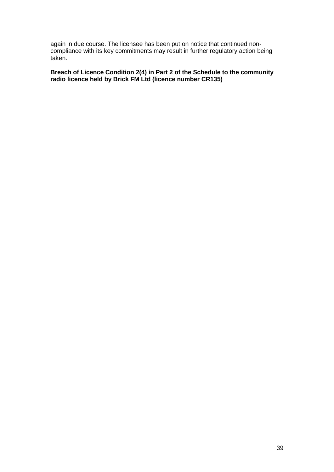again in due course. The licensee has been put on notice that continued noncompliance with its key commitments may result in further regulatory action being taken.

**Breach of Licence Condition 2(4) in Part 2 of the Schedule to the community radio licence held by Brick FM Ltd (licence number CR135)**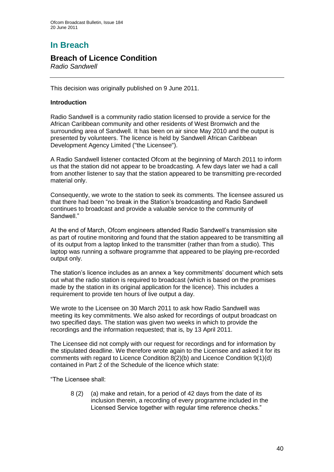# **In Breach**

## **Breach of Licence Condition**

*Radio Sandwell*

This decision was originally published on 9 June 2011.

## **Introduction**

Radio Sandwell is a community radio station licensed to provide a service for the African Caribbean community and other residents of West Bromwich and the surrounding area of Sandwell. It has been on air since May 2010 and the output is presented by volunteers. The licence is held by Sandwell African Caribbean Development Agency Limited ("the Licensee").

A Radio Sandwell listener contacted Ofcom at the beginning of March 2011 to inform us that the station did not appear to be broadcasting. A few days later we had a call from another listener to say that the station appeared to be transmitting pre-recorded material only.

Consequently, we wrote to the station to seek its comments. The licensee assured us that there had been "no break in the Station"s broadcasting and Radio Sandwell continues to broadcast and provide a valuable service to the community of Sandwell<sup>"</sup>

At the end of March, Ofcom engineers attended Radio Sandwell"s transmission site as part of routine monitoring and found that the station appeared to be transmitting all of its output from a laptop linked to the transmitter (rather than from a studio). This laptop was running a software programme that appeared to be playing pre-recorded output only.

The station's licence includes as an annex a 'key commitments' document which sets out what the radio station is required to broadcast (which is based on the promises made by the station in its original application for the licence). This includes a requirement to provide ten hours of live output a day.

We wrote to the Licensee on 30 March 2011 to ask how Radio Sandwell was meeting its key commitments. We also asked for recordings of output broadcast on two specified days. The station was given two weeks in which to provide the recordings and the information requested; that is, by 13 April 2011.

The Licensee did not comply with our request for recordings and for information by the stipulated deadline. We therefore wrote again to the Licensee and asked it for its comments with regard to Licence Condition 8(2)(b) and Licence Condition 9(1)(d) contained in Part 2 of the Schedule of the licence which state:

"The Licensee shall:

8 (2) (a) make and retain, for a period of 42 days from the date of its inclusion therein, a recording of every programme included in the Licensed Service together with regular time reference checks."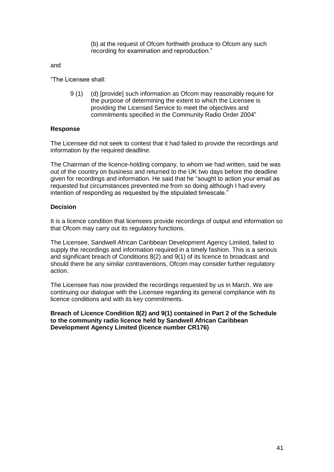(b) at the request of Ofcom forthwith produce to Ofcom any such recording for examination and reproduction."

and

"The Licensee shall:

9 (1) (d) [provide] such information as Ofcom may reasonably require for the purpose of determining the extent to which the Licensee is providing the Licensed Service to meet the objectives and commitments specified in the Community Radio Order 2004"

#### **Response**

The Licensee did not seek to contest that it had failed to provide the recordings and information by the required deadline.

The Chairman of the licence-holding company, to whom we had written, said he was out of the country on business and returned to the UK two days before the deadline given for recordings and information. He said that he "sought to action your email as requested but circumstances prevented me from so doing although I had every intention of responding as requested by the stipulated timescale."

#### **Decision**

It is a licence condition that licensees provide recordings of output and information so that Ofcom may carry out its regulatory functions.

The Licensee, Sandwell African Caribbean Development Agency Limited, failed to supply the recordings and information required in a timely fashion. This is a serious and significant breach of Conditions 8(2) and 9(1) of its licence to broadcast and should there be any similar contraventions, Ofcom may consider further regulatory action.

The Licensee has now provided the recordings requested by us in March. We are continuing our dialogue with the Licensee regarding its general compliance with its licence conditions and with its key commitments.

**Breach of Licence Condition 8(2) and 9(1) contained in Part 2 of the Schedule to the community radio licence held by Sandwell African Caribbean Development Agency Limited (licence number CR176)**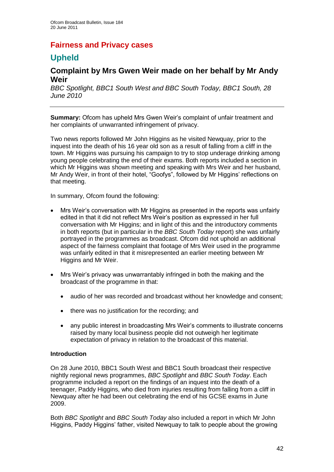# **Fairness and Privacy cases**

# **Upheld**

# **Complaint by Mrs Gwen Weir made on her behalf by Mr Andy Weir**

*BBC Spotlight, BBC1 South West and BBC South Today, BBC1 South, 28 June 2010*

**Summary:** Ofcom has upheld Mrs Gwen Weir"s complaint of unfair treatment and her complaints of unwarranted infringement of privacy.

Two news reports followed Mr John Higgins as he visited Newquay, prior to the inquest into the death of his 16 year old son as a result of falling from a cliff in the town. Mr Higgins was pursuing his campaign to try to stop underage drinking among young people celebrating the end of their exams. Both reports included a section in which Mr Higgins was shown meeting and speaking with Mrs Weir and her husband, Mr Andy Weir, in front of their hotel, "Goofys", followed by Mr Higgins' reflections on that meeting.

In summary, Ofcom found the following:

- Mrs Weir"s conversation with Mr Higgins as presented in the reports was unfairly edited in that it did not reflect Mrs Weir"s position as expressed in her full conversation with Mr Higgins; and in light of this and the introductory comments in both reports (but in particular in the *BBC South Today* report) she was unfairly portrayed in the programmes as broadcast. Ofcom did not uphold an additional aspect of the fairness complaint that footage of Mrs Weir used in the programme was unfairly edited in that it misrepresented an earlier meeting between Mr Higgins and Mr Weir.
- Mrs Weir"s privacy was unwarrantably infringed in both the making and the broadcast of the programme in that:
	- audio of her was recorded and broadcast without her knowledge and consent;
	- there was no justification for the recording; and
	- any public interest in broadcasting Mrs Weir"s comments to illustrate concerns raised by many local business people did not outweigh her legitimate expectation of privacy in relation to the broadcast of this material.

## **Introduction**

On 28 June 2010, BBC1 South West and BBC1 South broadcast their respective nightly regional news programmes, *BBC Spotlight* and *BBC South Today*. Each programme included a report on the findings of an inquest into the death of a teenager, Paddy Higgins, who died from injuries resulting from falling from a cliff in Newquay after he had been out celebrating the end of his GCSE exams in June 2009.

Both *BBC Spotlight* and *BBC South Today* also included a report in which Mr John Higgins, Paddy Higgins" father, visited Newquay to talk to people about the growing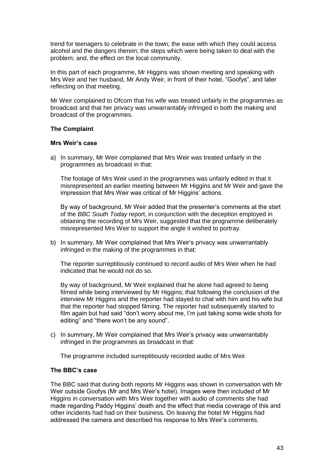trend for teenagers to celebrate in the town; the ease with which they could access alcohol and the dangers therein; the steps which were being taken to deal with the problem; and, the effect on the local community.

In this part of each programme, Mr Higgins was shown meeting and speaking with Mrs Weir and her husband, Mr Andy Weir, in front of their hotel, "Goofys", and later reflecting on that meeting.

Mr Weir complained to Ofcom that his wife was treated unfairly in the programmes as broadcast and that her privacy was unwarrantably infringed in both the making and broadcast of the programmes.

#### **The Complaint**

#### **Mrs Weir's case**

a) In summary, Mr Weir complained that Mrs Weir was treated unfairly in the programmes as broadcast in that:

The footage of Mrs Weir used in the programmes was unfairly edited in that it misrepresented an earlier meeting between Mr Higgins and Mr Weir and gave the impression that Mrs Weir was critical of Mr Higgins' actions.

By way of background, Mr Weir added that the presenter"s comments at the start of the *BBC South Today* report, in conjunction with the deception employed in obtaining the recording of Mrs Weir, suggested that the programme deliberately misrepresented Mrs Weir to support the angle it wished to portray.

b) In summary, Mr Weir complained that Mrs Weir"s privacy was unwarrantably infringed in the making of the programmes in that:

The reporter surreptitiously continued to record audio of Mrs Weir when he had indicated that he would not do so.

By way of background, Mr Weir explained that he alone had agreed to being filmed while being interviewed by Mr Higgins; that following the conclusion of the interview Mr Higgins and the reporter had stayed to chat with him and his wife but that the reporter had stopped filming. The reporter had subsequently started to film again but had said "don"t worry about me, I"m just taking some wide shots for editing" and "there won't be any sound".

c) In summary, Mr Weir complained that Mrs Weir"s privacy was unwarrantably infringed in the programmes as broadcast in that:

The programme included surreptitiously recorded audio of Mrs Weir.

## **The BBC's case**

The BBC said that during both reports Mr Higgins was shown in conversation with Mr Weir outside Goofys (Mr and Mrs Weir"s hotel). Images were then included of Mr Higgins in conversation with Mrs Weir together with audio of comments she had made regarding Paddy Higgins" death and the effect that media coverage of this and other incidents had had on their business. On leaving the hotel Mr Higgins had addressed the camera and described his response to Mrs Weir"s comments.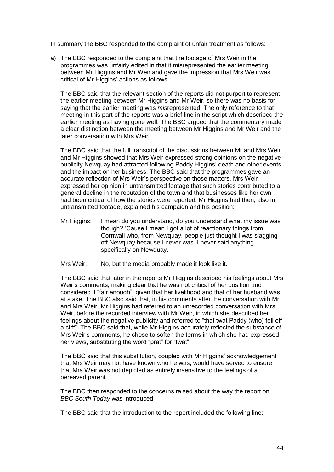In summary the BBC responded to the complaint of unfair treatment as follows:

a) The BBC responded to the complaint that the footage of Mrs Weir in the programmes was unfairly edited in that it misrepresented the earlier meeting between Mr Higgins and Mr Weir and gave the impression that Mrs Weir was critical of Mr Higgins" actions as follows.

The BBC said that the relevant section of the reports did not purport to represent the earlier meeting between Mr Higgins and Mr Weir, so there was no basis for saying that the earlier meeting was *mis*represented. The only reference to that meeting in this part of the reports was a brief line in the script which described the earlier meeting as having gone well. The BBC argued that the commentary made a clear distinction between the meeting between Mr Higgins and Mr Weir and the later conversation with Mrs Weir.

The BBC said that the full transcript of the discussions between Mr and Mrs Weir and Mr Higgins showed that Mrs Weir expressed strong opinions on the negative publicity Newquay had attracted following Paddy Higgins" death and other events and the impact on her business. The BBC said that the programmes gave an accurate reflection of Mrs Weir"s perspective on those matters. Mrs Weir expressed her opinion in untransmitted footage that such stories contributed to a general decline in the reputation of the town and that businesses like her own had been critical of how the stories were reported. Mr Higgins had then, also in untransmitted footage, explained his campaign and his position:

- Mr Higgins: I mean do you understand, do you understand what my issue was though? "Cause I mean I got a lot of reactionary things from Cornwall who, from Newquay, people just thought I was slagging off Newquay because I never was. I never said anything specifically on Newquay.
- Mrs Weir: No, but the media probably made it look like it.

The BBC said that later in the reports Mr Higgins described his feelings about Mrs Weir"s comments, making clear that he was not critical of her position and considered it "fair enough", given that her livelihood and that of her husband was at stake. The BBC also said that, in his comments after the conversation with Mr and Mrs Weir, Mr Higgins had referred to an unrecorded conversation with Mrs Weir, before the recorded interview with Mr Weir, in which she described her feelings about the negative publicity and referred to "that twat Paddy (who) fell off a cliff". The BBC said that, while Mr Higgins accurately reflected the substance of Mrs Weir"s comments, he chose to soften the terms in which she had expressed her views, substituting the word "prat" for "twat".

The BBC said that this substitution, coupled with Mr Higgins' acknowledgement that Mrs Weir may not have known who he was, would have served to ensure that Mrs Weir was not depicted as entirely insensitive to the feelings of a bereaved parent.

The BBC then responded to the concerns raised about the way the report on *BBC South Today* was introduced.

The BBC said that the introduction to the report included the following line: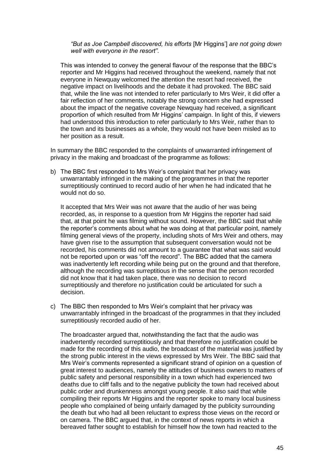*"But as Joe Campbell discovered, his efforts* [Mr Higgins"] *are not going down well with everyone in the resort"*.

This was intended to convey the general flavour of the response that the BBC"s reporter and Mr Higgins had received throughout the weekend, namely that not everyone in Newquay welcomed the attention the resort had received, the negative impact on livelihoods and the debate it had provoked. The BBC said that, while the line was not intended to refer particularly to Mrs Weir, it did offer a fair reflection of her comments, notably the strong concern she had expressed about the impact of the negative coverage Newquay had received, a significant proportion of which resulted from Mr Higgins" campaign. In light of this, if viewers had understood this introduction to refer particularly to Mrs Weir, rather than to the town and its businesses as a whole, they would not have been misled as to her position as a result.

In summary the BBC responded to the complaints of unwarranted infringement of privacy in the making and broadcast of the programme as follows:

b) The BBC first responded to Mrs Weir"s complaint that her privacy was unwarrantably infringed in the making of the programmes in that the reporter surreptitiously continued to record audio of her when he had indicated that he would not do so.

It accepted that Mrs Weir was not aware that the audio of her was being recorded, as, in response to a question from Mr Higgins the reporter had said that, at that point he was filming without sound. However, the BBC said that while the reporter"s comments about what he was doing at that particular point, namely filming general views of the property, including shots of Mrs Weir and others, may have given rise to the assumption that subsequent conversation would not be recorded, his comments did not amount to a guarantee that what was said would not be reported upon or was "off the record". The BBC added that the camera was inadvertently left recording while being put on the ground and that therefore, although the recording was surreptitious in the sense that the person recorded did not know that it had taken place, there was no decision to record surreptitiously and therefore no justification could be articulated for such a decision.

c) The BBC then responded to Mrs Weir"s complaint that her privacy was unwarrantably infringed in the broadcast of the programmes in that they included surreptitiously recorded audio of her.

The broadcaster argued that, notwithstanding the fact that the audio was inadvertently recorded surreptitiously and that therefore no justification could be made for the recording of this audio, the broadcast of the material was justified by the strong public interest in the views expressed by Mrs Weir. The BBC said that Mrs Weir"s comments represented a significant strand of opinion on a question of great interest to audiences, namely the attitudes of business owners to matters of public safety and personal responsibility in a town which had experienced two deaths due to cliff falls and to the negative publicity the town had received about public order and drunkenness amongst young people. It also said that while compiling their reports Mr Higgins and the reporter spoke to many local business people who complained of being unfairly damaged by the publicity surrounding the death but who had all been reluctant to express those views on the record or on camera. The BBC argued that, in the context of news reports in which a bereaved father sought to establish for himself how the town had reacted to the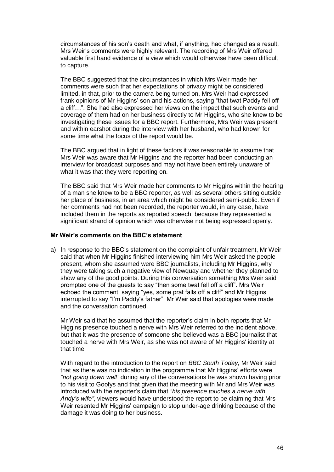circumstances of his son"s death and what, if anything, had changed as a result, Mrs Weir's comments were highly relevant. The recording of Mrs Weir offered valuable first hand evidence of a view which would otherwise have been difficult to capture.

The BBC suggested that the circumstances in which Mrs Weir made her comments were such that her expectations of privacy might be considered limited, in that, prior to the camera being turned on, Mrs Weir had expressed frank opinions of Mr Higgins' son and his actions, saying "that twat Paddy fell off a cliff…". She had also expressed her views on the impact that such events and coverage of them had on her business directly to Mr Higgins, who she knew to be investigating these issues for a BBC report. Furthermore, Mrs Weir was present and within earshot during the interview with her husband, who had known for some time what the focus of the report would be.

The BBC argued that in light of these factors it was reasonable to assume that Mrs Weir was aware that Mr Higgins and the reporter had been conducting an interview for broadcast purposes and may not have been entirely unaware of what it was that they were reporting on.

The BBC said that Mrs Weir made her comments to Mr Higgins within the hearing of a man she knew to be a BBC reporter, as well as several others sitting outside her place of business, in an area which might be considered semi-public. Even if her comments had not been recorded, the reporter would, in any case, have included them in the reports as reported speech, because they represented a significant strand of opinion which was otherwise not being expressed openly.

## **Mr Weir's comments on the BBC's statement**

a) In response to the BBC"s statement on the complaint of unfair treatment, Mr Weir said that when Mr Higgins finished interviewing him Mrs Weir asked the people present, whom she assumed were BBC journalists, including Mr Higgins, why they were taking such a negative view of Newquay and whether they planned to show any of the good points. During this conversation something Mrs Weir said prompted one of the guests to say "then some twat fell off a cliff". Mrs Weir echoed the comment, saying "yes, some prat falls off a cliff" and Mr Higgins interrupted to say "I"m Paddy's father". Mr Weir said that apologies were made and the conversation continued.

Mr Weir said that he assumed that the reporter"s claim in both reports that Mr Higgins presence touched a nerve with Mrs Weir referred to the incident above, but that it was the presence of someone she believed was a BBC journalist that touched a nerve with Mrs Weir, as she was not aware of Mr Higgins' identity at that time.

With regard to the introduction to the report on *BBC South Today*, Mr Weir said that as there was no indication in the programme that Mr Higgins' efforts were *"not going down well"* during any of the conversations he was shown having prior to his visit to Goofys and that given that the meeting with Mr and Mrs Weir was introduced with the reporter"s claim that *"his presence touches a nerve with Andy"s wife"*, viewers would have understood the report to be claiming that Mrs Weir resented Mr Higgins' campaign to stop under-age drinking because of the damage it was doing to her business.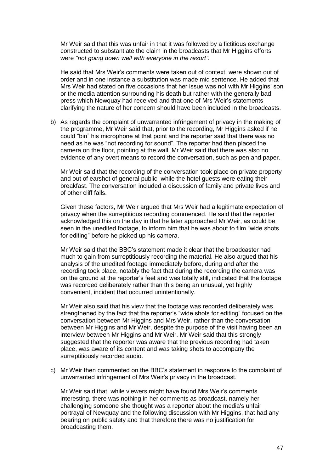Mr Weir said that this was unfair in that it was followed by a fictitious exchange constructed to substantiate the claim in the broadcasts that Mr Higgins efforts were *"not going down well with everyone in the resort".* 

He said that Mrs Weir"s comments were taken out of context, were shown out of order and in one instance a substitution was made mid sentence. He added that Mrs Weir had stated on five occasions that her issue was not with Mr Higgins" son or the media attention surrounding his death but rather with the generally bad press which Newquay had received and that one of Mrs Weir"s statements clarifying the nature of her concern should have been included in the broadcasts.

b) As regards the complaint of unwarranted infringement of privacy in the making of the programme, Mr Weir said that, prior to the recording, Mr Higgins asked if he could "bin" his microphone at that point and the reporter said that there was no need as he was "not recording for sound". The reporter had then placed the camera on the floor, pointing at the wall. Mr Weir said that there was also no evidence of any overt means to record the conversation, such as pen and paper.

Mr Weir said that the recording of the conversation took place on private property and out of earshot of general public, while the hotel guests were eating their breakfast. The conversation included a discussion of family and private lives and of other cliff falls.

Given these factors, Mr Weir argued that Mrs Weir had a legitimate expectation of privacy when the surreptitious recording commenced. He said that the reporter acknowledged this on the day in that he later approached Mr Weir, as could be seen in the unedited footage, to inform him that he was about to film "wide shots for editing" before he picked up his camera.

Mr Weir said that the BBC"s statement made it clear that the broadcaster had much to gain from surreptitiously recording the material. He also argued that his analysis of the unedited footage immediately before, during and after the recording took place, notably the fact that during the recording the camera was on the ground at the reporter"s feet and was totally still, indicated that the footage was recorded deliberately rather than this being an unusual, yet highly convenient, incident that occurred unintentionally.

Mr Weir also said that his view that the footage was recorded deliberately was strengthened by the fact that the reporter"s "wide shots for editing" focused on the conversation between Mr Higgins and Mrs Weir, rather than the conversation between Mr Higgins and Mr Weir, despite the purpose of the visit having been an interview between Mr Higgins and Mr Weir. Mr Weir said that this strongly suggested that the reporter was aware that the previous recording had taken place, was aware of its content and was taking shots to accompany the surreptitiously recorded audio.

c) Mr Weir then commented on the BBC"s statement in response to the complaint of unwarranted infringement of Mrs Weir"s privacy in the broadcast.

Mr Weir said that, while viewers might have found Mrs Weir"s comments interesting, there was nothing in her comments as broadcast, namely her challenging someone she thought was a reporter about the media's unfair portrayal of Newquay and the following discussion with Mr Higgins, that had any bearing on public safety and that therefore there was no justification for broadcasting them.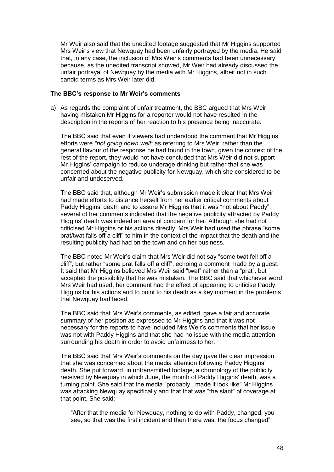Mr Weir also said that the unedited footage suggested that Mr Higgins supported Mrs Weir"s view that Newquay had been unfairly portrayed by the media. He said that, in any case, the inclusion of Mrs Weir"s comments had been unnecessary because, as the unedited transcript showed, Mr Weir had already discussed the unfair portrayal of Newquay by the media with Mr Higgins, albeit not in such candid terms as Mrs Weir later did.

#### **The BBC's response to Mr Weir's comments**

a) As regards the complaint of unfair treatment, the BBC argued that Mrs Weir having mistaken Mr Higgins for a reporter would not have resulted in the description in the reports of her reaction to his presence being inaccurate.

The BBC said that even if viewers had understood the comment that Mr Higgins" efforts were *"not going down well"* as referring to Mrs Weir, rather than the general flavour of the response he had found in the town, given the context of the rest of the report, they would not have concluded that Mrs Weir did not support Mr Higgins" campaign to reduce underage drinking but rather that she was concerned about the negative publicity for Newquay, which she considered to be unfair and undeserved.

The BBC said that, although Mr Weir"s submission made it clear that Mrs Weir had made efforts to distance herself from her earlier critical comments about Paddy Higgins' death and to assure Mr Higgins that it was "not about Paddy", several of her comments indicated that the negative publicity attracted by Paddy Higgins' death was indeed an area of concern for her. Although she had not criticised Mr Higgins or his actions directly, Mrs Weir had used the phrase "some prat/twat falls off a cliff" to him in the context of the impact that the death and the resulting publicity had had on the town and on her business.

The BBC noted Mr Weir"s claim that Mrs Weir did not say "some twat fell off a cliff", but rather "some prat falls off a cliff", echoing a comment made by a guest. It said that Mr Higgins believed Mrs Weir said "twat" rather than a "prat", but accepted the possibility that he was mistaken. The BBC said that whichever word Mrs Weir had used, her comment had the effect of appearing to criticise Paddy Higgins for his actions and to point to his death as a key moment in the problems that Newquay had faced.

The BBC said that Mrs Weir"s comments, as edited, gave a fair and accurate summary of her position as expressed to Mr Higgins and that it was not necessary for the reports to have included Mrs Weir"s comments that her issue was not with Paddy Higgins and that she had no issue with the media attention surrounding his death in order to avoid unfairness to her.

The BBC said that Mrs Weir"s comments on the day gave the clear impression that she was concerned about the media attention following Paddy Higgins" death. She put forward, in untransmitted footage, a chronology of the publicity received by Newquay in which June, the month of Paddy Higgins' death, was a turning point. She said that the media "probably...made it look like" Mr Higgins was attacking Newquay specifically and that that was "the slant" of coverage at that point. She said:

"After that the media for Newquay, nothing to do with Paddy, changed, you see, so that was the first incident and then there was, the focus changed".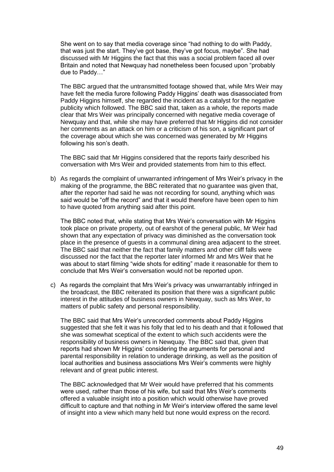She went on to say that media coverage since "had nothing to do with Paddy, that was just the start. They"ve got base, they"ve got focus, maybe". She had discussed with Mr Higgins the fact that this was a social problem faced all over Britain and noted that Newquay had nonetheless been focused upon "probably due to Paddy…"

The BBC argued that the untransmitted footage showed that, while Mrs Weir may have felt the media furore following Paddy Higgins" death was disassociated from Paddy Higgins himself, she regarded the incident as a catalyst for the negative publicity which followed. The BBC said that, taken as a whole, the reports made clear that Mrs Weir was principally concerned with negative media coverage of Newquay and that, while she may have preferred that Mr Higgins did not consider her comments as an attack on him or a criticism of his son, a significant part of the coverage about which she was concerned was generated by Mr Higgins following his son's death.

The BBC said that Mr Higgins considered that the reports fairly described his conversation with Mrs Weir and provided statements from him to this effect.

b) As regards the complaint of unwarranted infringement of Mrs Weir"s privacy in the making of the programme, the BBC reiterated that no guarantee was given that, after the reporter had said he was not recording for sound, anything which was said would be "off the record" and that it would therefore have been open to him to have quoted from anything said after this point.

The BBC noted that, while stating that Mrs Weir"s conversation with Mr Higgins took place on private property, out of earshot of the general public, Mr Weir had shown that any expectation of privacy was diminished as the conversation took place in the presence of guests in a communal dining area adjacent to the street. The BBC said that neither the fact that family matters and other cliff falls were discussed nor the fact that the reporter later informed Mr and Mrs Weir that he was about to start filming "wide shots for editing" made it reasonable for them to conclude that Mrs Weir"s conversation would not be reported upon.

c) As regards the complaint that Mrs Weir"s privacy was unwarrantably infringed in the broadcast, the BBC reiterated its position that there was a significant public interest in the attitudes of business owners in Newquay, such as Mrs Weir, to matters of public safety and personal responsibility.

The BBC said that Mrs Weir"s unrecorded comments about Paddy Higgins suggested that she felt it was his folly that led to his death and that it followed that she was somewhat sceptical of the extent to which such accidents were the responsibility of business owners in Newquay. The BBC said that, given that reports had shown Mr Higgins" considering the arguments for personal and parental responsibility in relation to underage drinking, as well as the position of local authorities and business associations Mrs Weir"s comments were highly relevant and of great public interest.

The BBC acknowledged that Mr Weir would have preferred that his comments were used, rather than those of his wife, but said that Mrs Weir"s comments offered a valuable insight into a position which would otherwise have proved difficult to capture and that nothing in Mr Weir"s interview offered the same level of insight into a view which many held but none would express on the record.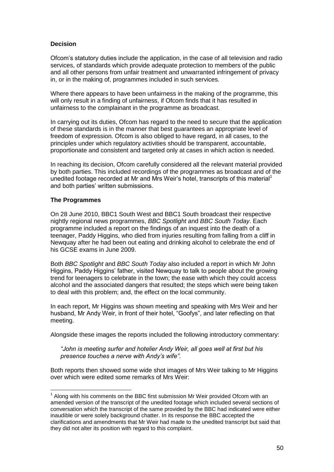## **Decision**

Ofcom"s statutory duties include the application, in the case of all television and radio services, of standards which provide adequate protection to members of the public and all other persons from unfair treatment and unwarranted infringement of privacy in, or in the making of, programmes included in such services.

Where there appears to have been unfairness in the making of the programme, this will only result in a finding of unfairness, if Ofcom finds that it has resulted in unfairness to the complainant in the programme as broadcast.

In carrying out its duties, Ofcom has regard to the need to secure that the application of these standards is in the manner that best guarantees an appropriate level of freedom of expression. Ofcom is also obliged to have regard, in all cases, to the principles under which regulatory activities should be transparent, accountable, proportionate and consistent and targeted only at cases in which action is needed.

In reaching its decision, Ofcom carefully considered all the relevant material provided by both parties. This included recordings of the programmes as broadcast and of the unedited footage recorded at Mr and Mrs Weir's hotel, transcripts of this material<sup>1</sup> and both parties" written submissions.

#### **The Programmes**

1

On 28 June 2010, BBC1 South West and BBC1 South broadcast their respective nightly regional news programmes, *BBC Spotlight* and *BBC South Today*. Each programme included a report on the findings of an inquest into the death of a teenager, Paddy Higgins, who died from injuries resulting from falling from a cliff in Newquay after he had been out eating and drinking alcohol to celebrate the end of his GCSE exams in June 2009.

Both *BBC Spotlight* and *BBC South Today* also included a report in which Mr John Higgins, Paddy Higgins" father, visited Newquay to talk to people about the growing trend for teenagers to celebrate in the town; the ease with which they could access alcohol and the associated dangers that resulted; the steps which were being taken to deal with this problem; and, the effect on the local community.

In each report, Mr Higgins was shown meeting and speaking with Mrs Weir and her husband, Mr Andy Weir, in front of their hotel, "Goofys", and later reflecting on that meeting.

Alongside these images the reports included the following introductory commentary:

*"John is meeting surfer and hotelier Andy Weir, all goes well at first but his presence touches a nerve with Andy"s wife"*.

Both reports then showed some wide shot images of Mrs Weir talking to Mr Higgins over which were edited some remarks of Mrs Weir:

 $1$  Along with his comments on the BBC first submission Mr Weir provided Ofcom with an amended version of the transcript of the unedited footage which included several sections of conversation which the transcript of the same provided by the BBC had indicated were either inaudible or were solely background chatter. In its response the BBC accepted the clarifications and amendments that Mr Weir had made to the unedited transcript but said that they did not alter its position with regard to this complaint.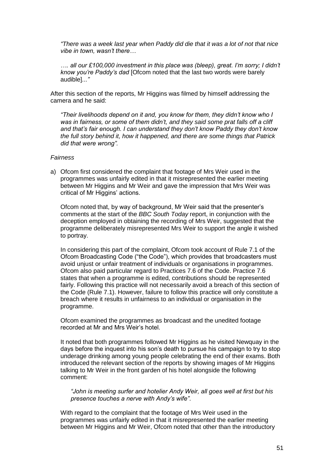*"There was a week last year when Paddy did die that it was a lot of not that nice vibe in town, wasn"t there…*

*…. all our £100,000 investment in this place was (bleep), great. I"m sorry; I didn"t know you"re Paddy"s dad* [Ofcom noted that the last two words were barely audible]*..."* 

After this section of the reports, Mr Higgins was filmed by himself addressing the camera and he said:

*"Their livelihoods depend on it and, you know for them, they didn"t know who I*  was in fairness, or some of them didn't, and they said some prat falls off a cliff *and that"s fair enough. I can understand they don"t know Paddy they don"t know the full story behind it, how it happened, and there are some things that Patrick did that were wrong".*

*Fairness*

a) Ofcom first considered the complaint that footage of Mrs Weir used in the programmes was unfairly edited in that it misrepresented the earlier meeting between Mr Higgins and Mr Weir and gave the impression that Mrs Weir was critical of Mr Higgins' actions.

Ofcom noted that, by way of background, Mr Weir said that the presenter"s comments at the start of the *BBC South Today* report, in conjunction with the deception employed in obtaining the recording of Mrs Weir, suggested that the programme deliberately misrepresented Mrs Weir to support the angle it wished to portray.

In considering this part of the complaint, Ofcom took account of Rule 7.1 of the Ofcom Broadcasting Code ("the Code"), which provides that broadcasters must avoid unjust or unfair treatment of individuals or organisations in programmes. Ofcom also paid particular regard to Practices 7.6 of the Code. Practice 7.6 states that when a programme is edited, contributions should be represented fairly. Following this practice will not necessarily avoid a breach of this section of the Code (Rule 7.1). However, failure to follow this practice will only constitute a breach where it results in unfairness to an individual or organisation in the programme.

Ofcom examined the programmes as broadcast and the unedited footage recorded at Mr and Mrs Weir"s hotel.

It noted that both programmes followed Mr Higgins as he visited Newquay in the days before the inquest into his son"s death to pursue his campaign to try to stop underage drinking among young people celebrating the end of their exams. Both introduced the relevant section of the reports by showing images of Mr Higgins talking to Mr Weir in the front garden of his hotel alongside the following comment:

*"John is meeting surfer and hotelier Andy Weir, all goes well at first but his presence touches a nerve with Andy"s wife"*.

With regard to the complaint that the footage of Mrs Weir used in the programmes was unfairly edited in that it misrepresented the earlier meeting between Mr Higgins and Mr Weir, Ofcom noted that other than the introductory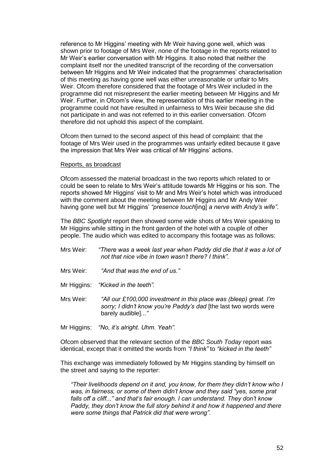reference to Mr Higgins" meeting with Mr Weir having gone well, which was shown prior to footage of Mrs Weir, none of the footage in the reports related to Mr Weir"s earlier conversation with Mr Higgins. It also noted that neither the complaint itself nor the unedited transcript of the recording of the conversation between Mr Higgins and Mr Weir indicated that the programmes' characterisation of this meeting as having gone well was either unreasonable or unfair to Mrs Weir. Ofcom therefore considered that the footage of Mrs Weir included in the programme did not misrepresent the earlier meeting between Mr Higgins and Mr Weir. Further, in Ofcom"s view, the representation of this earlier meeting in the programme could not have resulted in unfairness to Mrs Weir because she did not participate in and was not referred to in this earlier conversation. Ofcom therefore did not uphold this aspect of the complaint.

Ofcom then turned to the second aspect of this head of complaint: that the footage of Mrs Weir used in the programmes was unfairly edited because it gave the impression that Mrs Weir was critical of Mr Higgins' actions.

#### Reports, as broadcast

Ofcom assessed the material broadcast in the two reports which related to or could be seen to relate to Mrs Weir"s attitude towards Mr Higgins or his son. The reports showed Mr Higgins" visit to Mr and Mrs Weir"s hotel which was introduced with the comment about the meeting between Mr Higgins and Mr Andy Weir having gone well but Mr Higgins" *"presence touch*[ing] *a nerve with Andy"s wife"*.

The *BBC Spotlight* report then showed some wide shots of Mrs Weir speaking to Mr Higgins while sitting in the front garden of the hotel with a couple of other people. The audio which was edited to accompany this footage was as follows:

- Mrs Weir: *"There was a week last year when Paddy did die that it was a lot of not that nice vibe in town wasn"t there? I think".*
- Mrs Weir: *"And that was the end of us."*
- Mr Higgins: *"Kicked in the teeth".*
- Mrs Weir: *"All our £100,000 investment in this place was (bleep) great. I"m sorry; I didn"t know you"re Paddy"s dad* [the last two words were barely audible]*..."*
- Mr Higgins: *"No, it"s alright. Uhm. Yeah".*

Ofcom observed that the relevant section of the *BBC South Today* report was identical, except that it omitted the words from *"I think"* to *"kicked in the teeth"*

This exchange was immediately followed by Mr Higgins standing by himself on the street and saying to the reporter:

*"Their livelihoods depend on it and, you know, for them they didn"t know who I was, in fairness, or some of them didn"t know and they said "yes, some prat falls off a cliff..." and that"s fair enough. I can understand. They don"t know Paddy, they don"t know the full story behind it and how it happened and there were some things that Patrick did that were wrong".*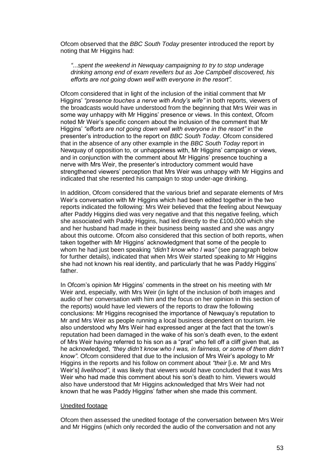Ofcom observed that the *BBC South Today* presenter introduced the report by noting that Mr Higgins had:

*"*...*spent the weekend in Newquay campaigning to try to stop underage drinking among end of exam revellers but as Joe Campbell discovered, his efforts are not going down well with everyone in the resort".*

Ofcom considered that in light of the inclusion of the initial comment that Mr Higgins" *"presence touches a nerve with Andy"s wife"* in both reports, viewers of the broadcasts would have understood from the beginning that Mrs Weir was in some way unhappy with Mr Higgins" presence or views. In this context, Ofcom noted Mr Weir"s specific concern about the inclusion of the comment that Mr Higgins" *"efforts are not going down well with everyone in the resort"* in the presenter"s introduction to the report on *BBC South Today*. Ofcom considered that in the absence of any other example in the *BBC South Today* report in Newquay of opposition to, or unhappiness with, Mr Higgins' campaign or views, and in conjunction with the comment about Mr Higgins" presence touching a nerve with Mrs Weir, the presenter"s introductory comment would have strengthened viewers" perception that Mrs Weir was unhappy with Mr Higgins and indicated that she resented his campaign to stop under-age drinking.

In addition, Ofcom considered that the various brief and separate elements of Mrs Weir"s conversation with Mr Higgins which had been edited together in the two reports indicated the following: Mrs Weir believed that the feeling about Newquay after Paddy Higgins died was very negative and that this negative feeling, which she associated with Paddy Higgins, had led directly to the £100,000 which she and her husband had made in their business being wasted and she was angry about this outcome. Ofcom also considered that this section of both reports, when taken together with Mr Higgins" acknowledgment that some of the people to whom he had just been speaking *"didn"t know who I was"* (see paragraph below for further details), indicated that when Mrs Weir started speaking to Mr Higgins she had not known his real identity, and particularly that he was Paddy Higgins" father.

In Ofcom's opinion Mr Higgins' comments in the street on his meeting with Mr Weir and, especially, with Mrs Weir (in light of the inclusion of both images and audio of her conversation with him and the focus on her opinion in this section of the reports) would have led viewers of the reports to draw the following conclusions: Mr Higgins recognised the importance of Newquay"s reputation to Mr and Mrs Weir as people running a local business dependent on tourism. He also understood why Mrs Weir had expressed anger at the fact that the town"s reputation had been damaged in the wake of his son"s death even, to the extent of Mrs Weir having referred to his son as a "prat" who fell off a cliff given that, as he acknowledged, *"they didn"t know who I was, in fairness, or some of them didn"t know"*. Ofcom considered that due to the inclusion of Mrs Weir"s apology to Mr Higgins in the reports and his follow on comment about *"their* [i.e. Mr and Mrs Weir"s] *livelihood"*, it was likely that viewers would have concluded that it was Mrs Weir who had made this comment about his son"s death to him. Viewers would also have understood that Mr Higgins acknowledged that Mrs Weir had not known that he was Paddy Higgins" father when she made this comment.

#### Unedited footage

Ofcom then assessed the unedited footage of the conversation between Mrs Weir and Mr Higgins (which only recorded the audio of the conversation and not any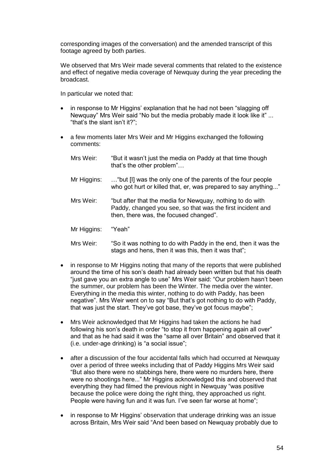corresponding images of the conversation) and the amended transcript of this footage agreed by both parties.

We observed that Mrs Weir made several comments that related to the existence and effect of negative media coverage of Newquay during the year preceding the broadcast.

In particular we noted that:

- in response to Mr Higgins" explanation that he had not been "slagging off Newquay" Mrs Weir said "No but the media probably made it look like it" ... "that"s the slant isn"t it?";
- a few moments later Mrs Weir and Mr Higgins exchanged the following comments:

| Mrs Weir:   | "But it wasn't just the media on Paddy at that time though<br>that's the other problem"                                                                           |
|-------------|-------------------------------------------------------------------------------------------------------------------------------------------------------------------|
| Mr Higgins: | "but [I] was the only one of the parents of the four people<br>who got hurt or killed that, er, was prepared to say anything"                                     |
| Mrs Weir:   | "but after that the media for Newquay, nothing to do with<br>Paddy, changed you see, so that was the first incident and<br>then, there was, the focused changed". |
| Mr Higgins: | "Yeah"                                                                                                                                                            |
| Mrs Weir:   | "So it was nothing to do with Paddy in the end, then it was the                                                                                                   |

stags and hens, then it was this, then it was that";

- in response to Mr Higgins noting that many of the reports that were published around the time of his son"s death had already been written but that his death "just gave you an extra angle to use" Mrs Weir said: "Our problem hasn"t been the summer, our problem has been the Winter. The media over the winter. Everything in the media this winter, nothing to do with Paddy, has been negative". Mrs Weir went on to say "But that"s got nothing to do with Paddy, that was just the start. They"ve got base, they"ve got focus maybe";
- Mrs Weir acknowledged that Mr Higgins had taken the actions he had following his son's death in order "to stop it from happening again all over" and that as he had said it was the "same all over Britain" and observed that it (i.e. under-age drinking) is "a social issue";
- after a discussion of the four accidental falls which had occurred at Newquay over a period of three weeks including that of Paddy Higgins Mrs Weir said "But also there were no stabbings here, there were no murders here, there were no shootings here..." Mr Higgins acknowledged this and observed that everything they had filmed the previous night in Newquay "was positive because the police were doing the right thing, they approached us right. People were having fun and it was fun. I've seen far worse at home";
- in response to Mr Higgins' observation that underage drinking was an issue across Britain, Mrs Weir said "And been based on Newquay probably due to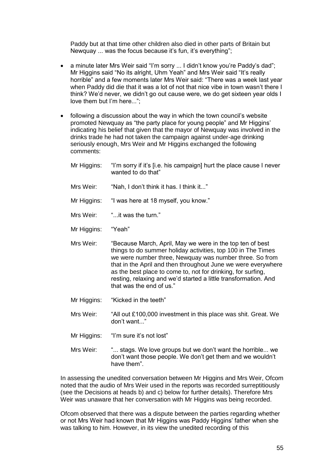Paddy but at that time other children also died in other parts of Britain but Newquay ... was the focus because it's fun, it's everything";

- a minute later Mrs Weir said "I'm sorry ... I didn't know you're Paddy's dad"; Mr Higgins said "No its alright, Uhm Yeah" and Mrs Weir said "It"s really horrible" and a few moments later Mrs Weir said: "There was a week last year when Paddy did die that it was a lot of not that nice vibe in town wasn"t there I think? We"d never, we didn"t go out cause were, we do get sixteen year olds I love them but I'm here...";
- following a discussion about the way in which the town council"s website promoted Newquay as "the party place for young people" and Mr Higgins" indicating his belief that given that the mayor of Newquay was involved in the drinks trade he had not taken the campaign against under-age drinking seriously enough, Mrs Weir and Mr Higgins exchanged the following comments:
	- Mr Higgins: "I"m sorry if it"s [i.e. his campaign] hurt the place cause I never wanted to do that"
	- Mrs Weir: "Nah, I don't think it has. I think it..."
	- Mr Higgins: "I was here at 18 myself, you know."
	- Mrs Weir: "...it was the turn."
	- Mr Higgins: "Yeah"
	- Mrs Weir: "Because March, April, May we were in the top ten of best things to do summer holiday activities, top 100 in The Times we were number three, Newquay was number three. So from that in the April and then throughout June we were everywhere as the best place to come to, not for drinking, for surfing, resting, relaxing and we"d started a little transformation. And that was the end of us."
	- Mr Higgins: "Kicked in the teeth"
	- Mrs Weir: "All out £100,000 investment in this place was shit. Great. We don"t want..."
	- Mr Higgins: "I'm sure it's not lost"
	- Mrs Weir: "... stags. We love groups but we don"t want the horrible... we don"t want those people. We don"t get them and we wouldn"t have them".

In assessing the unedited conversation between Mr Higgins and Mrs Weir, Ofcom noted that the audio of Mrs Weir used in the reports was recorded surreptitiously (see the Decisions at heads b) and c) below for further details). Therefore Mrs Weir was unaware that her conversation with Mr Higgins was being recorded.

Ofcom observed that there was a dispute between the parties regarding whether or not Mrs Weir had known that Mr Higgins was Paddy Higgins" father when she was talking to him. However, in its view the unedited recording of this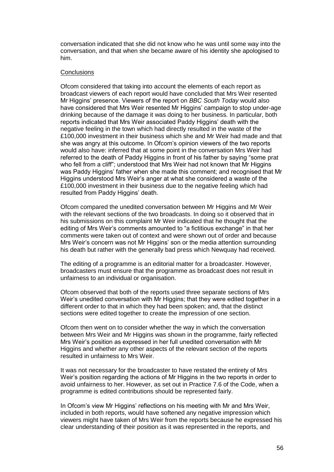conversation indicated that she did not know who he was until some way into the conversation, and that when she became aware of his identity she apologised to him.

#### **Conclusions**

Ofcom considered that taking into account the elements of each report as broadcast viewers of each report would have concluded that Mrs Weir resented Mr Higgins" presence. Viewers of the report on *BBC South Today* would also have considered that Mrs Weir resented Mr Higgins' campaign to stop under-age drinking because of the damage it was doing to her business. In particular, both reports indicated that Mrs Weir associated Paddy Higgins" death with the negative feeling in the town which had directly resulted in the waste of the £100,000 investment in their business which she and Mr Weir had made and that she was angry at this outcome. In Ofcom"s opinion viewers of the two reports would also have: inferred that at some point in the conversation Mrs Weir had referred to the death of Paddy Higgins in front of his father by saying "some prat who fell from a cliff"; understood that Mrs Weir had not known that Mr Higgins was Paddy Higgins" father when she made this comment; and recognised that Mr Higgins understood Mrs Weir"s anger at what she considered a waste of the £100,000 investment in their business due to the negative feeling which had resulted from Paddy Higgins' death.

Ofcom compared the unedited conversation between Mr Higgins and Mr Weir with the relevant sections of the two broadcasts. In doing so it observed that in his submissions on this complaint Mr Weir indicated that he thought that the editing of Mrs Weir"s comments amounted to "a fictitious exchange" in that her comments were taken out of context and were shown out of order and because Mrs Weir"s concern was not Mr Higgins" son or the media attention surrounding his death but rather with the generally bad press which Newquay had received.

The editing of a programme is an editorial matter for a broadcaster. However, broadcasters must ensure that the programme as broadcast does not result in unfairness to an individual or organisation.

Ofcom observed that both of the reports used three separate sections of Mrs Weir"s unedited conversation with Mr Higgins; that they were edited together in a different order to that in which they had been spoken; and, that the distinct sections were edited together to create the impression of one section.

Ofcom then went on to consider whether the way in which the conversation between Mrs Weir and Mr Higgins was shown in the programme, fairly reflected Mrs Weir"s position as expressed in her full unedited conversation with Mr Higgins and whether any other aspects of the relevant section of the reports resulted in unfairness to Mrs Weir.

It was not necessary for the broadcaster to have restated the entirety of Mrs Weir"s position regarding the actions of Mr Higgins in the two reports in order to avoid unfairness to her. However, as set out in Practice 7.6 of the Code, when a programme is edited contributions should be represented fairly.

In Ofcom"s view Mr Higgins" reflections on his meeting with Mr and Mrs Weir, included in both reports, would have softened any negative impression which viewers might have taken of Mrs Weir from the reports because he expressed his clear understanding of their position as it was represented in the reports, and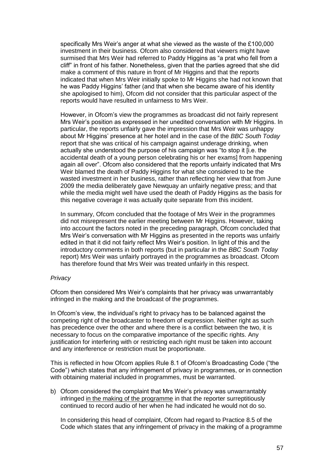specifically Mrs Weir"s anger at what she viewed as the waste of the £100,000 investment in their business. Ofcom also considered that viewers might have surmised that Mrs Weir had referred to Paddy Higgins as "a prat who fell from a cliff" in front of his father. Nonetheless, given that the parties agreed that she did make a comment of this nature in front of Mr Higgins and that the reports indicated that when Mrs Weir initially spoke to Mr Higgins she had not known that he was Paddy Higgins" father (and that when she became aware of his identity she apologised to him), Ofcom did not consider that this particular aspect of the reports would have resulted in unfairness to Mrs Weir.

However, in Ofcom"s view the programmes as broadcast did not fairly represent Mrs Weir"s position as expressed in her unedited conversation with Mr Higgins. In particular, the reports unfairly gave the impression that Mrs Weir was unhappy about Mr Higgins" presence at her hotel and in the case of the *BBC South Today* report that she was critical of his campaign against underage drinking, when actually she understood the purpose of his campaign was "to stop it [i.e. the accidental death of a young person celebrating his or her exams] from happening again all over". Ofcom also considered that the reports unfairly indicated that Mrs Weir blamed the death of Paddy Higgins for what she considered to be the wasted investment in her business, rather than reflecting her view that from June 2009 the media deliberately gave Newquay an unfairly negative press; and that while the media might well have used the death of Paddy Higgins as the basis for this negative coverage it was actually quite separate from this incident.

In summary, Ofcom concluded that the footage of Mrs Weir in the programmes did not misrepresent the earlier meeting between Mr Higgins. However, taking into account the factors noted in the preceding paragraph, Ofcom concluded that Mrs Weir"s conversation with Mr Higgins as presented in the reports was unfairly edited in that it did not fairly reflect Mrs Weir"s position. In light of this and the introductory comments in both reports (but in particular in the *BBC South Today* report) Mrs Weir was unfairly portrayed in the programmes as broadcast. Ofcom has therefore found that Mrs Weir was treated unfairly in this respect.

#### *Privacy*

Ofcom then considered Mrs Weir"s complaints that her privacy was unwarrantably infringed in the making and the broadcast of the programmes.

In Ofcom's view, the individual's right to privacy has to be balanced against the competing right of the broadcaster to freedom of expression. Neither right as such has precedence over the other and where there is a conflict between the two, it is necessary to focus on the comparative importance of the specific rights. Any justification for interfering with or restricting each right must be taken into account and any interference or restriction must be proportionate.

This is reflected in how Ofcom applies Rule 8.1 of Ofcom"s Broadcasting Code ("the Code") which states that any infringement of privacy in programmes, or in connection with obtaining material included in programmes, must be warranted.

b) Ofcom considered the complaint that Mrs Weir"s privacy was unwarrantably infringed in the making of the programme in that the reporter surreptitiously continued to record audio of her when he had indicated he would not do so.

In considering this head of complaint, Ofcom had regard to Practice 8.5 of the Code which states that any infringement of privacy in the making of a programme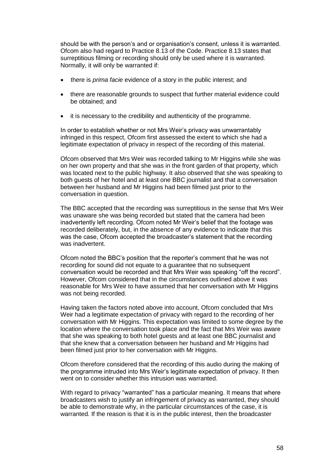should be with the person"s and or organisation"s consent, unless it is warranted. Ofcom also had regard to Practice 8.13 of the Code. Practice 8.13 states that surreptitious filming or recording should only be used where it is warranted. Normally, it will only be warranted if:

- there is *prima facie* evidence of a story in the public interest; and
- there are reasonable grounds to suspect that further material evidence could be obtained; and
- it is necessary to the credibility and authenticity of the programme.

In order to establish whether or not Mrs Weir"s privacy was unwarrantably infringed in this respect, Ofcom first assessed the extent to which she had a legitimate expectation of privacy in respect of the recording of this material.

Ofcom observed that Mrs Weir was recorded talking to Mr Higgins while she was on her own property and that she was in the front garden of that property, which was located next to the public highway. It also observed that she was speaking to both guests of her hotel and at least one BBC journalist and that a conversation between her husband and Mr Higgins had been filmed just prior to the conversation in question.

The BBC accepted that the recording was surreptitious in the sense that Mrs Weir was unaware she was being recorded but stated that the camera had been inadvertently left recording. Ofcom noted Mr Weir"s belief that the footage was recorded deliberately, but, in the absence of any evidence to indicate that this was the case, Ofcom accepted the broadcaster"s statement that the recording was inadvertent.

Ofcom noted the BBC"s position that the reporter"s comment that he was not recording for sound did not equate to a guarantee that no subsequent conversation would be recorded and that Mrs Weir was speaking "off the record". However, Ofcom considered that in the circumstances outlined above it was reasonable for Mrs Weir to have assumed that her conversation with Mr Higgins was not being recorded.

Having taken the factors noted above into account, Ofcom concluded that Mrs Weir had a legitimate expectation of privacy with regard to the recording of her conversation with Mr Higgins. This expectation was limited to some degree by the location where the conversation took place and the fact that Mrs Weir was aware that she was speaking to both hotel guests and at least one BBC journalist and that she knew that a conversation between her husband and Mr Higgins had been filmed just prior to her conversation with Mr Higgins.

Ofcom therefore considered that the recording of this audio during the making of the programme intruded into Mrs Weir"s legitimate expectation of privacy. It then went on to consider whether this intrusion was warranted.

With regard to privacy "warranted" has a particular meaning. It means that where broadcasters wish to justify an infringement of privacy as warranted, they should be able to demonstrate why, in the particular circumstances of the case, it is warranted. If the reason is that it is in the public interest, then the broadcaster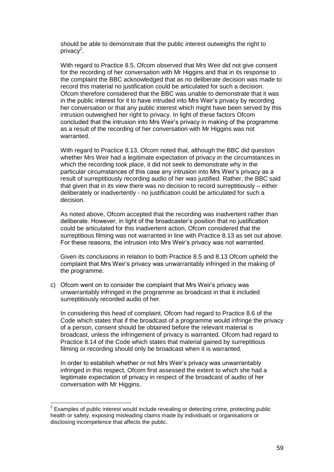should be able to demonstrate that the public interest outweighs the right to privacy<sup>2</sup>.

With regard to Practice 8.5, Ofcom observed that Mrs Weir did not give consent for the recording of her conversation with Mr Higgins and that in its response to the complaint the BBC acknowledged that as no deliberate decision was made to record this material no justification could be articulated for such a decision. Ofcom therefore considered that the BBC was unable to demonstrate that it was in the public interest for it to have intruded into Mrs Weir"s privacy by recording her conversation or that any public interest which might have been served by this intrusion outweighed her right to privacy. In light of these factors Ofcom concluded that the intrusion into Mrs Weir"s privacy in making of the programme as a result of the recording of her conversation with Mr Higgins was not warranted.

With regard to Practice 8.13, Ofcom noted that, although the BBC did question whether Mrs Weir had a legitimate expectation of privacy in the circumstances in which the recording took place, it did not seek to demonstrate why in the particular circumstances of this case any intrusion into Mrs Weir"s privacy as a result of surreptitiously recording audio of her was justified. Rather, the BBC said that given that in its view there was no decision to record surreptitiously – either deliberately or inadvertently - no justification could be articulated for such a decision.

As noted above, Ofcom accepted that the recording was inadvertent rather than deliberate. However, in light of the broadcaster"s position that no justification could be articulated for this inadvertent action, Ofcom considered that the surreptitious filming was not warranted in line with Practice 8.13 as set out above. For these reasons, the intrusion into Mrs Weir"s privacy was not warranted.

Given its conclusions in relation to both Practice 8.5 and 8.13 Ofcom upheld the complaint that Mrs Weir"s privacy was unwarrantably infringed in the making of the programme.

c) Ofcom went on to consider the complaint that Mrs Weir"s privacy was unwarrantably infringed in the programme as broadcast in that it included surreptitiously recorded audio of her.

In considering this head of complaint, Ofcom had regard to Practice 8.6 of the Code which states that if the broadcast of a programme would infringe the privacy of a person, consent should be obtained before the relevant material is broadcast, unless the infringement of privacy is warranted. Ofcom had regard to Practice 8.14 of the Code which states that material gained by surreptitious filming or recording should only be broadcast when it is warranted.

In order to establish whether or not Mrs Weir"s privacy was unwarrantably infringed in this respect, Ofcom first assessed the extent to which she had a legitimate expectation of privacy in respect of the broadcast of audio of her conversation with Mr Higgins.

1

 $2$  Examples of public interest would include revealing or detecting crime, protecting public health or safety, exposing misleading claims made by individuals or organisations or disclosing incompetence that affects the public.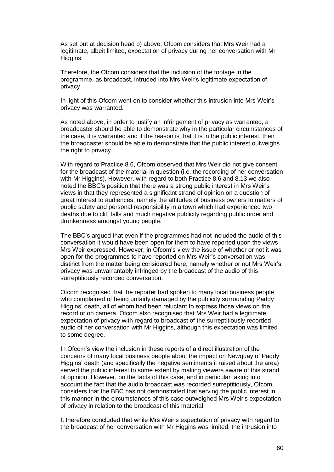As set out at decision head b) above, Ofcom considers that Mrs Weir had a legitimate, albeit limited, expectation of privacy during her conversation with Mr Higgins.

Therefore, the Ofcom considers that the inclusion of the footage in the programme, as broadcast, intruded into Mrs Weir"s legitimate expectation of privacy.

In light of this Ofcom went on to consider whether this intrusion into Mrs Weir"s privacy was warranted.

As noted above, in order to justify an infringement of privacy as warranted, a broadcaster should be able to demonstrate why in the particular circumstances of the case, it is warranted and if the reason is that it is in the public interest, then the broadcaster should be able to demonstrate that the public interest outweighs the right to privacy.

With regard to Practice 8.6, Ofcom observed that Mrs Weir did not give consent for the broadcast of the material in question (i.e. the recording of her conversation with Mr Higgins). However, with regard to both Practice 8.6 and 8.13 we also noted the BBC"s position that there was a strong public interest in Mrs Weir"s views in that they represented a significant strand of opinion on a question of great interest to audiences, namely the attitudes of business owners to matters of public safety and personal responsibility in a town which had experienced two deaths due to cliff falls and much negative publicity regarding public order and drunkenness amongst young people.

The BBC"s argued that even if the programmes had not included the audio of this conversation it would have been open for them to have reported upon the views Mrs Weir expressed. However, in Ofcom"s view the issue of whether or not it was open for the programmes to have reported on Mrs Weir"s conversation was distinct from the matter being considered here, namely whether or not Mrs Weir"s privacy was unwarrantably infringed by the broadcast of the audio of this surreptitiously recorded conversation.

Ofcom recognised that the reporter had spoken to many local business people who complained of being unfairly damaged by the publicity surrounding Paddy Higgins" death, all of whom had been reluctant to express those views on the record or on camera. Ofcom also recognised that Mrs Weir had a legitimate expectation of privacy with regard to broadcast of the surreptitiously recorded audio of her conversation with Mr Higgins, although this expectation was limited to some degree.

In Ofcom"s view the inclusion in these reports of a direct illustration of the concerns of many local business people about the impact on Newquay of Paddy Higgins" death (and specifically the negative sentiments it raised about the area) served the public interest to some extent by making viewers aware of this strand of opinion. However, on the facts of this case, and in particular taking into account the fact that the audio broadcast was recorded surreptitiously, Ofcom considers that the BBC has not demonstrated that serving the public interest in this manner in the circumstances of this case outweighed Mrs Weir"s expectation of privacy in relation to the broadcast of this material.

It therefore concluded that while Mrs Weir"s expectation of privacy with regard to the broadcast of her conversation with Mr Higgins was limited, the intrusion into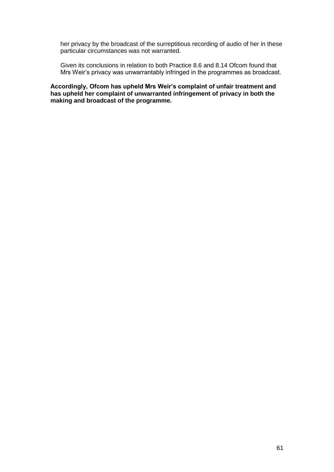her privacy by the broadcast of the surreptitious recording of audio of her in these particular circumstances was not warranted.

Given its conclusions in relation to both Practice 8.6 and 8.14 Ofcom found that Mrs Weir"s privacy was unwarrantably infringed in the programmes as broadcast.

**Accordingly, Ofcom has upheld Mrs Weir's complaint of unfair treatment and has upheld her complaint of unwarranted infringement of privacy in both the making and broadcast of the programme.**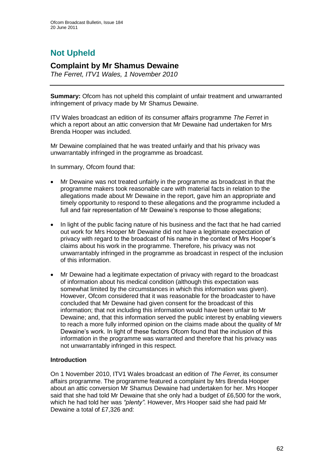# **Not Upheld**

# **Complaint by Mr Shamus Dewaine**

*The Ferret, ITV1 Wales, 1 November 2010*

**Summary:** Ofcom has not upheld this complaint of unfair treatment and unwarranted infringement of privacy made by Mr Shamus Dewaine.

ITV Wales broadcast an edition of its consumer affairs programme *The Ferret* in which a report about an attic conversion that Mr Dewaine had undertaken for Mrs Brenda Hooper was included.

Mr Dewaine complained that he was treated unfairly and that his privacy was unwarrantably infringed in the programme as broadcast.

In summary, Ofcom found that:

- Mr Dewaine was not treated unfairly in the programme as broadcast in that the programme makers took reasonable care with material facts in relation to the allegations made about Mr Dewaine in the report, gave him an appropriate and timely opportunity to respond to these allegations and the programme included a full and fair representation of Mr Dewaine's response to those allegations;
- In light of the public facing nature of his business and the fact that he had carried out work for Mrs Hooper Mr Dewaine did not have a legitimate expectation of privacy with regard to the broadcast of his name in the context of Mrs Hooper"s claims about his work in the programme. Therefore, his privacy was not unwarrantably infringed in the programme as broadcast in respect of the inclusion of this information.
- Mr Dewaine had a legitimate expectation of privacy with regard to the broadcast of information about his medical condition (although this expectation was somewhat limited by the circumstances in which this information was given). However, Ofcom considered that it was reasonable for the broadcaster to have concluded that Mr Dewaine had given consent for the broadcast of this information; that not including this information would have been unfair to Mr Dewaine; and, that this information served the public interest by enabling viewers to reach a more fully informed opinion on the claims made about the quality of Mr Dewaine"s work. In light of these factors Ofcom found that the inclusion of this information in the programme was warranted and therefore that his privacy was not unwarrantably infringed in this respect.

## **Introduction**

On 1 November 2010, ITV1 Wales broadcast an edition of *The Ferret*, its consumer affairs programme. The programme featured a complaint by Mrs Brenda Hooper about an attic conversion Mr Shamus Dewaine had undertaken for her. Mrs Hooper said that she had told Mr Dewaine that she only had a budget of £6,500 for the work, which he had told her was *"plenty"*. However, Mrs Hooper said she had paid Mr Dewaine a total of £7,326 and: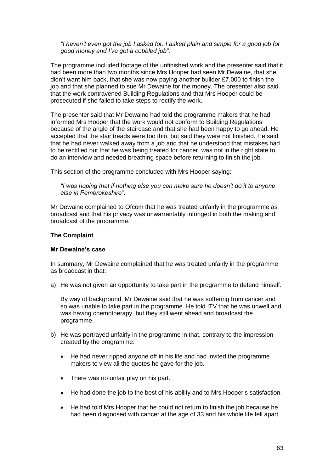*"I haven"t even got the job I asked for. I asked plain and simple for a good job for good money and I"ve got a cobbled job"*.

The programme included footage of the unfinished work and the presenter said that it had been more than two months since Mrs Hooper had seen Mr Dewaine, that she didn"t want him back, that she was now paying another builder £7,000 to finish the job and that she planned to sue Mr Dewaine for the money. The presenter also said that the work contravened Building Regulations and that Mrs Hooper could be prosecuted if she failed to take steps to rectify the work.

The presenter said that Mr Dewaine had told the programme makers that he had informed Mrs Hooper that the work would not conform to Building Regulations because of the angle of the staircase and that she had been happy to go ahead. He accepted that the stair treads were too thin, but said they were not finished. He said that he had never walked away from a job and that he understood that mistakes had to be rectified but that he was being treated for cancer, was not in the right state to do an interview and needed breathing space before returning to finish the job.

This section of the programme concluded with Mrs Hooper saying:

*"I was hoping that if nothing else you can make sure he doesn"t do it to anyone else in Pembrokeshire"*.

Mr Dewaine complained to Ofcom that he was treated unfairly in the programme as broadcast and that his privacy was unwarrantably infringed in both the making and broadcast of the programme.

## **The Complaint**

## **Mr Dewaine's case**

In summary, Mr Dewaine complained that he was treated unfairly in the programme as broadcast in that:

a) He was not given an opportunity to take part in the programme to defend himself.

By way of background, Mr Dewaine said that he was suffering from cancer and so was unable to take part in the programme. He told ITV that he was unwell and was having chemotherapy, but they still went ahead and broadcast the programme.

- b) He was portrayed unfairly in the programme in that, contrary to the impression created by the programme:
	- He had never ripped anyone off in his life and had invited the programme makers to view all the quotes he gave for the job.
	- There was no unfair play on his part.
	- He had done the job to the best of his ability and to Mrs Hooper"s satisfaction.
	- He had told Mrs Hooper that he could not return to finish the job because he had been diagnosed with cancer at the age of 33 and his whole life fell apart.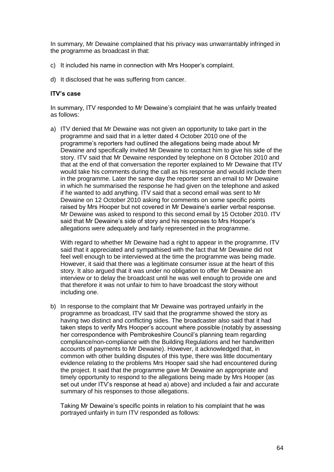In summary, Mr Dewaine complained that his privacy was unwarrantably infringed in the programme as broadcast in that:

- c) It included his name in connection with Mrs Hooper"s complaint.
- d) It disclosed that he was suffering from cancer.

#### **ITV's case**

In summary, ITV responded to Mr Dewaine's complaint that he was unfairly treated as follows:

a) ITV denied that Mr Dewaine was not given an opportunity to take part in the programme and said that in a letter dated 4 October 2010 one of the programme"s reporters had outlined the allegations being made about Mr Dewaine and specifically invited Mr Dewaine to contact him to give his side of the story. ITV said that Mr Dewaine responded by telephone on 8 October 2010 and that at the end of that conversation the reporter explained to Mr Dewaine that ITV would take his comments during the call as his response and would include them in the programme. Later the same day the reporter sent an email to Mr Dewaine in which he summarised the response he had given on the telephone and asked if he wanted to add anything. ITV said that a second email was sent to Mr Dewaine on 12 October 2010 asking for comments on some specific points raised by Mrs Hooper but not covered in Mr Dewaine"s earlier verbal response. Mr Dewaine was asked to respond to this second email by 15 October 2010. ITV said that Mr Dewaine's side of story and his responses to Mrs Hooper's allegations were adequately and fairly represented in the programme.

With regard to whether Mr Dewaine had a right to appear in the programme, ITV said that it appreciated and sympathised with the fact that Mr Dewaine did not feel well enough to be interviewed at the time the programme was being made. However, it said that there was a legitimate consumer issue at the heart of this story. It also argued that it was under no obligation to offer Mr Dewaine an interview or to delay the broadcast until he was well enough to provide one and that therefore it was not unfair to him to have broadcast the story without including one.

b) In response to the complaint that Mr Dewaine was portrayed unfairly in the programme as broadcast, ITV said that the programme showed the story as having two distinct and conflicting sides. The broadcaster also said that it had taken steps to verify Mrs Hooper"s account where possible (notably by assessing her correspondence with Pembrokeshire Council"s planning team regarding compliance/non-compliance with the Building Regulations and her handwritten accounts of payments to Mr Dewaine). However, it acknowledged that, in common with other building disputes of this type, there was little documentary evidence relating to the problems Mrs Hooper said she had encountered during the project. It said that the programme gave Mr Dewaine an appropriate and timely opportunity to respond to the allegations being made by Mrs Hooper (as set out under ITV"s response at head a) above) and included a fair and accurate summary of his responses to those allegations.

Taking Mr Dewaine"s specific points in relation to his complaint that he was portrayed unfairly in turn ITV responded as follows: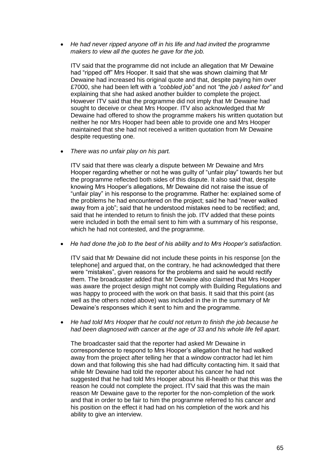*He had never ripped anyone off in his life and had invited the programme makers to view all the quotes he gave for the job.* 

ITV said that the programme did not include an allegation that Mr Dewaine had "ripped off" Mrs Hooper. It said that she was shown claiming that Mr Dewaine had increased his original quote and that, despite paying him over £7000, she had been left with a *"cobbled job"* and not *"the job I asked for"* and explaining that she had asked another builder to complete the project. However ITV said that the programme did not imply that Mr Dewaine had sought to deceive or cheat Mrs Hooper. ITV also acknowledged that Mr Dewaine had offered to show the programme makers his written quotation but neither he nor Mrs Hooper had been able to provide one and Mrs Hooper maintained that she had not received a written quotation from Mr Dewaine despite requesting one.

*There was no unfair play on his part.* 

ITV said that there was clearly a dispute between Mr Dewaine and Mrs Hooper regarding whether or not he was guilty of "unfair play" towards her but the programme reflected both sides of this dispute. It also said that, despite knowing Mrs Hooper"s allegations, Mr Dewaine did not raise the issue of "unfair play" in his response to the programme. Rather he: explained some of the problems he had encountered on the project; said he had "never walked away from a job"; said that he understood mistakes need to be rectified; and, said that he intended to return to finish the job. ITV added that these points were included in both the email sent to him with a summary of his response, which he had not contested, and the programme.

*He had done the job to the best of his ability and to Mrs Hooper"s satisfaction.*

ITV said that Mr Dewaine did not include these points in his response [on the telephone] and argued that, on the contrary, he had acknowledged that there were "mistakes", given reasons for the problems and said he would rectify them. The broadcaster added that Mr Dewaine also claimed that Mrs Hooper was aware the project design might not comply with Building Regulations and was happy to proceed with the work on that basis. It said that this point (as well as the others noted above) was included in the in the summary of Mr Dewaine's responses which it sent to him and the programme.

 *He had told Mrs Hooper that he could not return to finish the job because he had been diagnosed with cancer at the age of 33 and his whole life fell apart.*

The broadcaster said that the reporter had asked Mr Dewaine in correspondence to respond to Mrs Hooper"s allegation that he had walked away from the project after telling her that a window contractor had let him down and that following this she had had difficulty contacting him. It said that while Mr Dewaine had told the reporter about his cancer he had not suggested that he had told Mrs Hooper about his ill-health or that this was the reason he could not complete the project. ITV said that this was the main reason Mr Dewaine gave to the reporter for the non-completion of the work and that in order to be fair to him the programme referred to his cancer and his position on the effect it had had on his completion of the work and his ability to give an interview.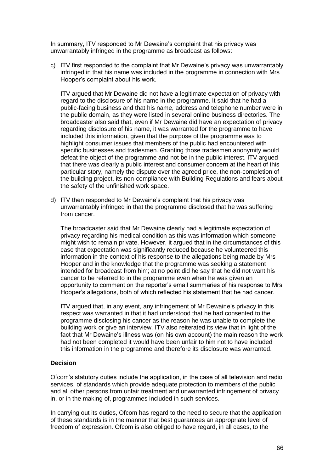In summary, ITV responded to Mr Dewaine"s complaint that his privacy was unwarrantably infringed in the programme as broadcast as follows:

c) ITV first responded to the complaint that Mr Dewaine"s privacy was unwarrantably infringed in that his name was included in the programme in connection with Mrs Hooper"s complaint about his work.

ITV argued that Mr Dewaine did not have a legitimate expectation of privacy with regard to the disclosure of his name in the programme. It said that he had a public-facing business and that his name, address and telephone number were in the public domain, as they were listed in several online business directories. The broadcaster also said that, even if Mr Dewaine did have an expectation of privacy regarding disclosure of his name, it was warranted for the programme to have included this information, given that the purpose of the programme was to highlight consumer issues that members of the public had encountered with specific businesses and tradesmen. Granting those tradesmen anonymity would defeat the object of the programme and not be in the public interest. ITV argued that there was clearly a public interest and consumer concern at the heart of this particular story, namely the dispute over the agreed price, the non-completion of the building project, its non-compliance with Building Regulations and fears about the safety of the unfinished work space.

d) ITV then responded to Mr Dewaine"s complaint that his privacy was unwarrantably infringed in that the programme disclosed that he was suffering from cancer.

The broadcaster said that Mr Dewaine clearly had a legitimate expectation of privacy regarding his medical condition as this was information which someone might wish to remain private. However, it argued that in the circumstances of this case that expectation was significantly reduced because he volunteered this information in the context of his response to the allegations being made by Mrs Hooper and in the knowledge that the programme was seeking a statement intended for broadcast from him; at no point did he say that he did not want his cancer to be referred to in the programme even when he was given an opportunity to comment on the reporter"s email summaries of his response to Mrs Hooper"s allegations, both of which reflected his statement that he had cancer.

ITV argued that, in any event, any infringement of Mr Dewaine"s privacy in this respect was warranted in that it had understood that he had consented to the programme disclosing his cancer as the reason he was unable to complete the building work or give an interview. ITV also reiterated its view that in light of the fact that Mr Dewaine's illness was (on his own account) the main reason the work had not been completed it would have been unfair to him not to have included this information in the programme and therefore its disclosure was warranted.

## **Decision**

Ofcom"s statutory duties include the application, in the case of all television and radio services, of standards which provide adequate protection to members of the public and all other persons from unfair treatment and unwarranted infringement of privacy in, or in the making of, programmes included in such services.

In carrying out its duties, Ofcom has regard to the need to secure that the application of these standards is in the manner that best guarantees an appropriate level of freedom of expression. Ofcom is also obliged to have regard, in all cases, to the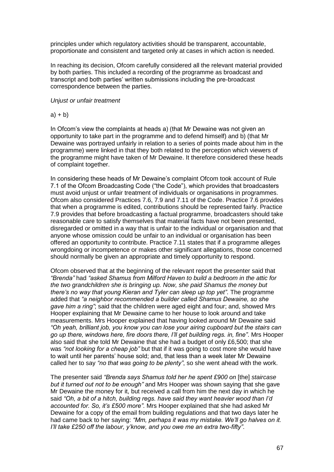principles under which regulatory activities should be transparent, accountable, proportionate and consistent and targeted only at cases in which action is needed.

In reaching its decision, Ofcom carefully considered all the relevant material provided by both parties. This included a recording of the programme as broadcast and transcript and both parties" written submissions including the pre-broadcast correspondence between the parties.

#### *Unjust or unfair treatment*

#### $a) + b)$

In Ofcom"s view the complaints at heads a) (that Mr Dewaine was not given an opportunity to take part in the programme and to defend himself) and b) (that Mr Dewaine was portrayed unfairly in relation to a series of points made about him in the programme) were linked in that they both related to the perception which viewers of the programme might have taken of Mr Dewaine. It therefore considered these heads of complaint together.

In considering these heads of Mr Dewaine"s complaint Ofcom took account of Rule 7.1 of the Ofcom Broadcasting Code ("the Code"), which provides that broadcasters must avoid unjust or unfair treatment of individuals or organisations in programmes. Ofcom also considered Practices 7.6, 7.9 and 7.11 of the Code. Practice 7.6 provides that when a programme is edited, contributions should be represented fairly. Practice 7.9 provides that before broadcasting a factual programme, broadcasters should take reasonable care to satisfy themselves that material facts have not been presented, disregarded or omitted in a way that is unfair to the individual or organisation and that anyone whose omission could be unfair to an individual or organisation has been offered an opportunity to contribute. Practice 7.11 states that if a programme alleges wrongdoing or incompetence or makes other significant allegations, those concerned should normally be given an appropriate and timely opportunity to respond.

Ofcom observed that at the beginning of the relevant report the presenter said that *"Brenda"* had *"asked Shamus from Milford Haven to build a bedroom in the attic for the two grandchildren she is bringing up. Now, she paid Shamus the money but there"s no way that young Kieran and Tyler can sleep up top yet"*. The programme added that *"a neighbor recommended a builder called Shamus Dewaine, so she gave him a ring"*; said that the children were aged eight and four; and, showed Mrs Hooper explaining that Mr Dewaine came to her house to look around and take measurements. Mrs Hooper explained that having looked around Mr Dewaine said *"Oh yeah, brilliant job, you know you can lose your airing cupboard but the stairs can go up there, windows here, fire doors there, I"ll get building regs. in, fine"*. Mrs Hooper also said that she told Mr Dewaine that she had a budget of only £6,500; that she was *"not looking for a cheap job"* but that if it was going to cost more she would have to wait until her parents" house sold; and, that less than a week later Mr Dewaine called her to say *"no that was going to be plenty"*, so she went ahead with the work.

The presenter said *"Brenda says Shamus told her he spent £900 on* [the] *staircase but it turned out not to be enough"* and Mrs Hooper was shown saying that she gave Mr Dewaine the money for it, but received a call from him the next day in which he said *"Oh, a bit of a hitch, building regs. have said they want heavier wood than I"d accounted for. So, it"s £500 more"*. Mrs Hooper explained that she had asked Mr Dewaine for a copy of the email from building regulations and that two days later he had came back to her saying: *"Mm, perhaps it was my mistake. We"ll go halves on it. I"ll take £250 off the labour, y"know, and you owe me an extra two-fifty"*.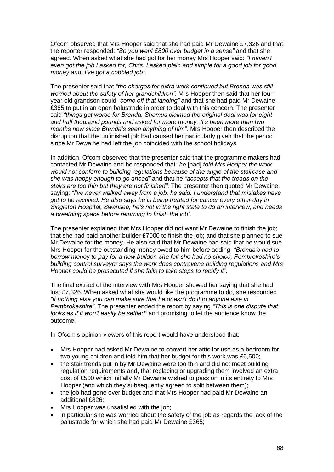Ofcom observed that Mrs Hooper said that she had paid Mr Dewaine £7,326 and that the reporter responded: *"So you went £800 over budget in a sense"* and that she agreed. When asked what she had got for her money Mrs Hooper said: *"I haven"t even got the job I asked for, Chris. I asked plain and simple for a good job for good money and, I"ve got a cobbled job"*.

The presenter said that *"the charges for extra work continued but Brenda was still worried about the safety of her grandchildren"*. Mrs Hooper then said that her four year old grandson could *"come off that landing"* and that she had paid Mr Dewaine £365 to put in an open balustrade in order to deal with this concern. The presenter said *"things got worse for Brenda. Shamus claimed the original deal was for eight and half thousand pounds and asked for more money. It"s been more than two months now since Brenda"s seen anything of him".* Mrs Hooper then described the disruption that the unfinished job had caused her particularly given that the period since Mr Dewaine had left the job coincided with the school holidays.

In addition, Ofcom observed that the presenter said that the programme makers had contacted Mr Dewaine and he responded that *"he* [had] *told Mrs Hooper the work would not conform to building regulations because of the angle of the staircase and she was happy enough to go ahead"* and that he *"accepts that the treads on the stairs are too thin but they are not finished"*. The presenter then quoted Mr Dewaine, saying: *"I"ve never walked away from a job, he said. I understand that mistakes have got to be rectified. He also says he is being treated for cancer every other day in Singleton Hospital, Swansea, he"s not in the right state to do an interview, and needs a breathing space before returning to finish the job"*.

The presenter explained that Mrs Hooper did not want Mr Dewaine to finish the job; that she had paid another builder £7000 to finish the job; and that she planned to sue Mr Dewaine for the money. He also said that Mr Dewaine had said that he would sue Mrs Hooper for the outstanding money owed to him before adding: *"Brenda"s had to borrow money to pay for a new builder, she felt she had no choice, Pembrokeshire"s building control surveyor says the work does contravene building regulations and Mrs Hooper could be prosecuted if she fails to take steps to rectify it"*.

The final extract of the interview with Mrs Hooper showed her saying that she had lost £7,326. When asked what she would like the programme to do, she responded *"if nothing else you can make sure that he doesn"t do it to anyone else in Pembrokeshire"*. The presenter ended the report by saying *"This is one dispute that looks as if it won"t easily be settled"* and promising to let the audience know the outcome.

In Ofcom's opinion viewers of this report would have understood that:

- Mrs Hooper had asked Mr Dewaine to convert her attic for use as a bedroom for two young children and told him that her budget for this work was £6,500;
- the stair trends put in by Mr Dewaine were too thin and did not meet building regulation requirements and, that replacing or upgrading them involved an extra cost of £500 which initially Mr Dewaine wished to pass on in its entirety to Mrs Hooper (and which they subsequently agreed to split between them);
- the job had gone over budget and that Mrs Hooper had paid Mr Dewaine an additional £826;
- Mrs Hooper was unsatisfied with the job;
- in particular she was worried about the safety of the job as regards the lack of the balustrade for which she had paid Mr Dewaine £365;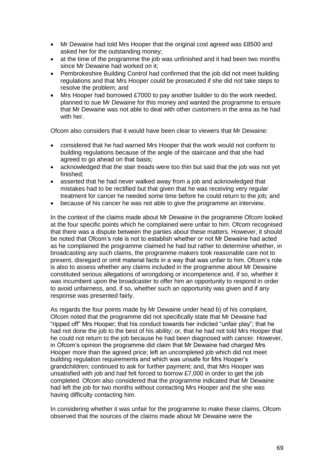- Mr Dewaine had told Mrs Hooper that the original cost agreed was £8500 and asked her for the outstanding money;
- at the time of the programme the job was unfinished and it had been two months since Mr Dewaine had worked on it;
- Pembrokeshire Building Control had confirmed that the job did not meet building regulations and that Mrs Hooper could be prosecuted if she did not take steps to resolve the problem; and
- Mrs Hooper had borrowed £7000 to pay another builder to do the work needed, planned to sue Mr Dewaine for this money and wanted the programme to ensure that Mr Dewaine was not able to deal with other customers in the area as he had with her

Ofcom also considers that it would have been clear to viewers that Mr Dewaine:

- considered that he had warned Mrs Hooper that the work would not conform to building regulations because of the angle of the staircase and that she had agreed to go ahead on that basis;
- acknowledged that the stair treads were too thin but said that the job was not yet finished;
- asserted that he had never walked away from a job and acknowledged that mistakes had to be rectified but that given that he was receiving very regular treatment for cancer he needed some time before he could return to the job; and
- because of his cancer he was not able to give the programme an interview.

In the context of the claims made about Mr Dewaine in the programme Ofcom looked at the four specific points which he complained were unfair to him. Ofcom recognised that there was a dispute between the parties about these matters. However, it should be noted that Ofcom"s role is not to establish whether or not Mr Dewaine had acted as he complained the programme claimed he had but rather to determine whether, in broadcasting any such claims, the programme makers took reasonable care not to present, disregard or omit material facts in a way that was unfair to him. Ofcom"s role is also to assess whether any claims included in the programme about Mr Dewaine constituted serious allegations of wrongdoing or incompetence and, if so, whether it was incumbent upon the broadcaster to offer him an opportunity to respond in order to avoid unfairness, and, if so, whether such an opportunity was given and if any response was presented fairly.

As regards the four points made by Mr Dewaine under head b) of his complaint, Ofcom noted that the programme did not specifically state that Mr Dewaine had "ripped off" Mrs Hooper; that his conduct towards her indicted "unfair play"; that he had not done the job to the best of his ability; or, that he had not told Mrs Hooper that he could not return to the job because he had been diagnosed with cancer. However, in Ofcom"s opinion the programme did claim that Mr Dewaine had charged Mrs Hooper more than the agreed price; left an uncompleted job which did not meet building regulation requirements and which was unsafe for Mrs Hooper"s grandchildren; continued to ask for further payment; and, that Mrs Hooper was unsatisfied with job and had felt forced to borrow £7,000 in order to get the job completed. Ofcom also considered that the programme indicated that Mr Dewaine had left the job for two months without contacting Mrs Hooper and the she was having difficulty contacting him.

In considering whether it was unfair for the programme to make these claims, Ofcom observed that the sources of the claims made about Mr Dewaine were the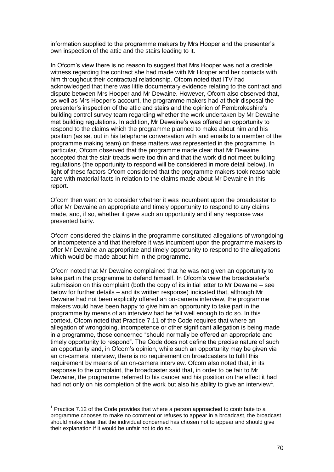information supplied to the programme makers by Mrs Hooper and the presenter"s own inspection of the attic and the stairs leading to it.

In Ofcom"s view there is no reason to suggest that Mrs Hooper was not a credible witness regarding the contract she had made with Mr Hooper and her contacts with him throughout their contractual relationship. Ofcom noted that ITV had acknowledged that there was little documentary evidence relating to the contract and dispute between Mrs Hooper and Mr Dewaine. However, Ofcom also observed that, as well as Mrs Hooper"s account, the programme makers had at their disposal the presenter"s inspection of the attic and stairs and the opinion of Pembrokeshire"s building control survey team regarding whether the work undertaken by Mr Dewaine met building regulations. In addition, Mr Dewaine"s was offered an opportunity to respond to the claims which the programme planned to make about him and his position (as set out in his telephone conversation with and emails to a member of the programme making team) on these matters was represented in the programme. In particular, Ofcom observed that the programme made clear that Mr Dewaine accepted that the stair treads were too thin and that the work did not meet building regulations (the opportunity to respond will be considered in more detail below). In light of these factors Ofcom considered that the programme makers took reasonable care with material facts in relation to the claims made about Mr Dewaine in this report.

Ofcom then went on to consider whether it was incumbent upon the broadcaster to offer Mr Dewaine an appropriate and timely opportunity to respond to any claims made, and, if so, whether it gave such an opportunity and if any response was presented fairly.

Ofcom considered the claims in the programme constituted allegations of wrongdoing or incompetence and that therefore it was incumbent upon the programme makers to offer Mr Dewaine an appropriate and timely opportunity to respond to the allegations which would be made about him in the programme.

Ofcom noted that Mr Dewaine complained that he was not given an opportunity to take part in the programme to defend himself. In Ofcom"s view the broadcaster"s submission on this complaint (both the copy of its initial letter to Mr Dewaine – see below for further details – and its written response) indicated that, although Mr Dewaine had not been explicitly offered an on-camera interview, the programme makers would have been happy to give him an opportunity to take part in the programme by means of an interview had he felt well enough to do so. In this context, Ofcom noted that Practice 7.11 of the Code requires that where an allegation of wrongdoing, incompetence or other significant allegation is being made in a programme, those concerned "should normally be offered an appropriate and timely opportunity to respond". The Code does not define the precise nature of such an opportunity and, in Ofcom"s opinion, while such an opportunity may be given via an on-camera interview, there is no requirement on broadcasters to fulfil this requirement by means of an on-camera interview. Ofcom also noted that, in its response to the complaint, the broadcaster said that, in order to be fair to Mr Dewaine, the programme referred to his cancer and his position on the effect it had had not only on his completion of the work but also his ability to give an interview<sup>1</sup>.

1

 $1$  Practice 7.12 of the Code provides that where a person approached to contribute to a programme chooses to make no comment or refuses to appear in a broadcast, the broadcast should make clear that the individual concerned has chosen not to appear and should give their explanation if it would be unfair not to do so.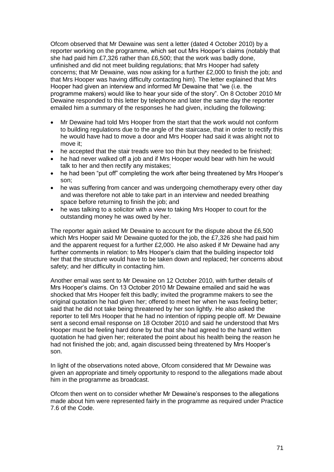Ofcom observed that Mr Dewaine was sent a letter (dated 4 October 2010) by a reporter working on the programme, which set out Mrs Hooper"s claims (notably that she had paid him £7,326 rather than £6,500; that the work was badly done, unfinished and did not meet building regulations; that Mrs Hooper had safety concerns; that Mr Dewaine, was now asking for a further £2,000 to finish the job; and that Mrs Hooper was having difficulty contacting him). The letter explained that Mrs Hooper had given an interview and informed Mr Dewaine that "we (i.e. the programme makers) would like to hear your side of the story". On 8 October 2010 Mr Dewaine responded to this letter by telephone and later the same day the reporter emailed him a summary of the responses he had given, including the following:

- Mr Dewaine had told Mrs Hooper from the start that the work would not conform to building regulations due to the angle of the staircase, that in order to rectify this he would have had to move a door and Mrs Hooper had said it was alright not to move it;
- he accepted that the stair treads were too thin but they needed to be finished;
- he had never walked off a job and if Mrs Hooper would bear with him he would talk to her and then rectify any mistakes;
- he had been "put off" completing the work after being threatened by Mrs Hooper's son;
- he was suffering from cancer and was undergoing chemotherapy every other day and was therefore not able to take part in an interview and needed breathing space before returning to finish the job; and
- he was talking to a solicitor with a view to taking Mrs Hooper to court for the outstanding money he was owed by her.

The reporter again asked Mr Dewaine to account for the dispute about the £6,500 which Mrs Hooper said Mr Dewaine quoted for the job, the £7,326 she had paid him and the apparent request for a further £2,000. He also asked if Mr Dewaine had any further comments in relation: to Mrs Hooper"s claim that the building inspector told her that the structure would have to be taken down and replaced; her concerns about safety; and her difficulty in contacting him.

Another email was sent to Mr Dewaine on 12 October 2010, with further details of Mrs Hooper"s claims. On 13 October 2010 Mr Dewaine emailed and said he was shocked that Mrs Hooper felt this badly; invited the programme makers to see the original quotation he had given her; offered to meet her when he was feeling better; said that he did not take being threatened by her son lightly. He also asked the reporter to tell Mrs Hooper that he had no intention of ripping people off. Mr Dewaine sent a second email response on 18 October 2010 and said he understood that Mrs Hooper must be feeling hard done by but that she had agreed to the hand written quotation he had given her; reiterated the point about his health being the reason he had not finished the job; and, again discussed being threatened by Mrs Hooper"s son.

In light of the observations noted above, Ofcom considered that Mr Dewaine was given an appropriate and timely opportunity to respond to the allegations made about him in the programme as broadcast.

Ofcom then went on to consider whether Mr Dewaine"s responses to the allegations made about him were represented fairly in the programme as required under Practice 7.6 of the Code.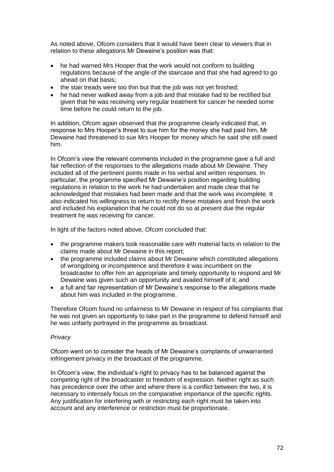As noted above, Ofcom considers that it would have been clear to viewers that in relation to these allegations Mr Dewaine's position was that:

- he had warned Mrs Hooper that the work would not conform to building regulations because of the angle of the staircase and that she had agreed to go ahead on that basis;
- the stair treads were too thin but that the job was not yet finished;
- he had never walked away from a job and that mistake had to be rectified but given that he was receiving very regular treatment for cancer he needed some time before he could return to the job.

In addition, Ofcom again observed that the programme clearly indicated that, in response to Mrs Hooper"s threat to sue him for the money she had paid him, Mr Dewaine had threatened to sue Mrs Hooper for money which he said she still owed him.

In Ofcom"s view the relevant comments included in the programme gave a full and fair reflection of the responses to the allegations made about Mr Dewaine. They included all of the pertinent points made in his verbal and written responses. In particular, the programme specified Mr Dewaine"s position regarding building regulations in relation to the work he had undertaken and made clear that he acknowledged that mistakes had been made and that the work was incomplete. It also indicated his willingness to return to rectify these mistakes and finish the work and included his explanation that he could not do so at present due the regular treatment he was receiving for cancer.

In light of the factors noted above, Ofcom concluded that:

- the programme makers took reasonable care with material facts in relation to the claims made about Mr Dewaine in this report;
- the programme included claims about Mr Dewaine which constituted allegations of wrongdoing or incompetence and therefore it was incumbent on the broadcaster to offer him an appropriate and timely opportunity to respond and Mr Dewaine was given such an opportunity and availed himself of it; and
- a full and fair representation of Mr Dewaine's response to the allegations made about him was included in the programme.

Therefore Ofcom found no unfairness to Mr Dewaine in respect of his complaints that he was not given an opportunity to take part in the programme to defend himself and he was unfairly portrayed in the programme as broadcast.

## *Privacy*

Ofcom went on to consider the heads of Mr Dewaine"s complaints of unwarranted infringement privacy in the broadcast of the programme.

In Ofcom"s view, the individual"s right to privacy has to be balanced against the competing right of the broadcaster to freedom of expression. Neither right as such has precedence over the other and where there is a conflict between the two, it is necessary to intensely focus on the comparative importance of the specific rights. Any justification for interfering with or restricting each right must be taken into account and any interference or restriction must be proportionate.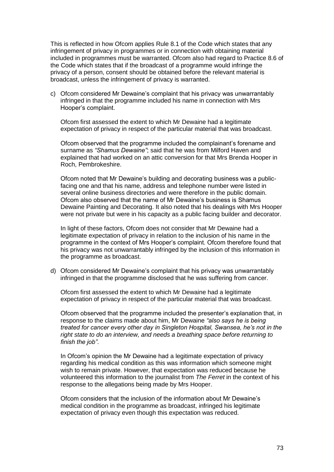This is reflected in how Ofcom applies Rule 8.1 of the Code which states that any infringement of privacy in programmes or in connection with obtaining material included in programmes must be warranted. Ofcom also had regard to Practice 8.6 of the Code which states that if the broadcast of a programme would infringe the privacy of a person, consent should be obtained before the relevant material is broadcast, unless the infringement of privacy is warranted.

c) Ofcom considered Mr Dewaine"s complaint that his privacy was unwarrantably infringed in that the programme included his name in connection with Mrs Hooper"s complaint.

Ofcom first assessed the extent to which Mr Dewaine had a legitimate expectation of privacy in respect of the particular material that was broadcast.

Ofcom observed that the programme included the complainant"s forename and surname as *"Shamus Dewaine"*; said that he was from Milford Haven and explained that had worked on an attic conversion for that Mrs Brenda Hooper in Roch, Pembrokeshire.

Ofcom noted that Mr Dewaine"s building and decorating business was a publicfacing one and that his name, address and telephone number were listed in several online business directories and were therefore in the public domain. Ofcom also observed that the name of Mr Dewaine"s business is Shamus Dewaine Painting and Decorating. It also noted that his dealings with Mrs Hooper were not private but were in his capacity as a public facing builder and decorator.

In light of these factors, Ofcom does not consider that Mr Dewaine had a legitimate expectation of privacy in relation to the inclusion of his name in the programme in the context of Mrs Hooper"s complaint. Ofcom therefore found that his privacy was not unwarrantably infringed by the inclusion of this information in the programme as broadcast.

d) Ofcom considered Mr Dewaine"s complaint that his privacy was unwarrantably infringed in that the programme disclosed that he was suffering from cancer.

Ofcom first assessed the extent to which Mr Dewaine had a legitimate expectation of privacy in respect of the particular material that was broadcast.

Ofcom observed that the programme included the presenter"s explanation that, in response to the claims made about him, Mr Dewaine *"also says he is being treated for cancer every other day in Singleton Hospital, Swansea, he"s not in the right state to do an interview, and needs a breathing space before returning to finish the job"*.

In Ofcom"s opinion the Mr Dewaine had a legitimate expectation of privacy regarding his medical condition as this was information which someone might wish to remain private. However, that expectation was reduced because he volunteered this information to the journalist from *The Ferret* in the context of his response to the allegations being made by Mrs Hooper.

Ofcom considers that the inclusion of the information about Mr Dewaine"s medical condition in the programme as broadcast, infringed his legitimate expectation of privacy even though this expectation was reduced.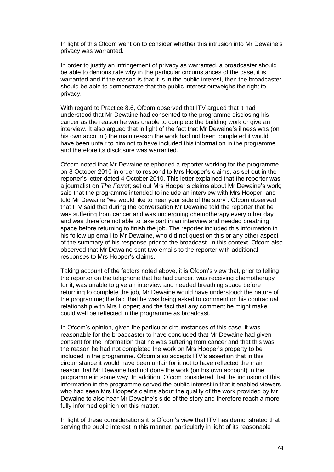In light of this Ofcom went on to consider whether this intrusion into Mr Dewaine"s privacy was warranted.

In order to justify an infringement of privacy as warranted, a broadcaster should be able to demonstrate why in the particular circumstances of the case, it is warranted and if the reason is that it is in the public interest, then the broadcaster should be able to demonstrate that the public interest outweighs the right to privacy.

With regard to Practice 8.6, Ofcom observed that ITV argued that it had understood that Mr Dewaine had consented to the programme disclosing his cancer as the reason he was unable to complete the building work or give an interview. It also argued that in light of the fact that Mr Dewaine"s illness was (on his own account) the main reason the work had not been completed it would have been unfair to him not to have included this information in the programme and therefore its disclosure was warranted.

Ofcom noted that Mr Dewaine telephoned a reporter working for the programme on 8 October 2010 in order to respond to Mrs Hooper"s claims, as set out in the reporter"s letter dated 4 October 2010. This letter explained that the reporter was a journalist on *The Ferret*; set out Mrs Hooper"s claims about Mr Dewaine"s work; said that the programme intended to include an interview with Mrs Hooper; and told Mr Dewaine "we would like to hear your side of the story". Ofcom observed that ITV said that during the conversation Mr Dewaine told the reporter that he was suffering from cancer and was undergoing chemotherapy every other day and was therefore not able to take part in an interview and needed breathing space before returning to finish the job. The reporter included this information in his follow up email to Mr Dewaine, who did not question this or any other aspect of the summary of his response prior to the broadcast. In this context, Ofcom also observed that Mr Dewaine sent two emails to the reporter with additional responses to Mrs Hooper"s claims.

Taking account of the factors noted above, it is Ofcom"s view that, prior to telling the reporter on the telephone that he had cancer, was receiving chemotherapy for it, was unable to give an interview and needed breathing space before returning to complete the job, Mr Dewaine would have understood: the nature of the programme; the fact that he was being asked to comment on his contractual relationship with Mrs Hooper; and the fact that any comment he might make could well be reflected in the programme as broadcast.

In Ofcom's opinion, given the particular circumstances of this case, it was reasonable for the broadcaster to have concluded that Mr Dewaine had given consent for the information that he was suffering from cancer and that this was the reason he had not completed the work on Mrs Hooper"s property to be included in the programme. Ofcom also accepts ITV"s assertion that in this circumstance it would have been unfair for it not to have reflected the main reason that Mr Dewaine had not done the work (on his own account) in the programme in some way. In addition, Ofcom considered that the inclusion of this information in the programme served the public interest in that it enabled viewers who had seen Mrs Hooper"s claims about the quality of the work provided by Mr Dewaine to also hear Mr Dewaine"s side of the story and therefore reach a more fully informed opinion on this matter.

In light of these considerations it is Ofcom's view that ITV has demonstrated that serving the public interest in this manner, particularly in light of its reasonable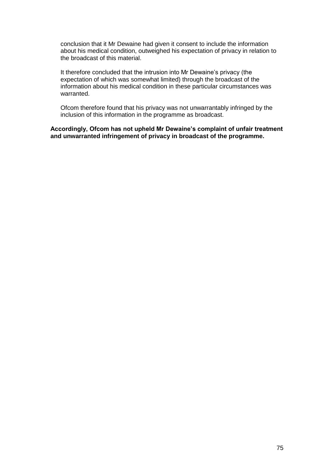conclusion that it Mr Dewaine had given it consent to include the information about his medical condition, outweighed his expectation of privacy in relation to the broadcast of this material.

It therefore concluded that the intrusion into Mr Dewaine's privacy (the expectation of which was somewhat limited) through the broadcast of the information about his medical condition in these particular circumstances was warranted.

Ofcom therefore found that his privacy was not unwarrantably infringed by the inclusion of this information in the programme as broadcast.

**Accordingly, Ofcom has not upheld Mr Dewaine's complaint of unfair treatment and unwarranted infringement of privacy in broadcast of the programme.**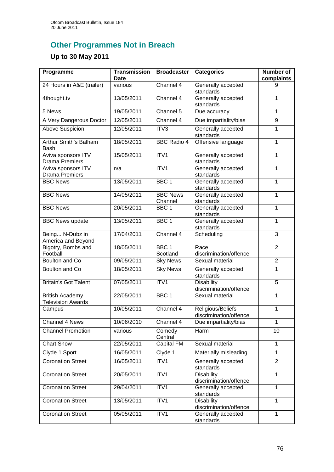## **Other Programmes Not in Breach**

## **Up to 30 May 2011**

| Programme                                          | <b>Transmission</b><br><b>Date</b> | <b>Broadcaster</b>           | <b>Categories</b>                           | <b>Number of</b><br>complaints |
|----------------------------------------------------|------------------------------------|------------------------------|---------------------------------------------|--------------------------------|
| 24 Hours in A&E (trailer)                          | various                            | Channel 4                    | Generally accepted<br>standards             | 9                              |
| 4thought.tv                                        | 13/05/2011                         | Channel 4                    | Generally accepted<br>standards             | $\mathbf{1}$                   |
| 5 News                                             | 19/05/2011                         | Channel 5                    | Due accuracy                                | 1                              |
| A Very Dangerous Doctor                            | 12/05/2011                         | Channel 4                    | Due impartiality/bias                       | 9                              |
| Above Suspicion                                    | 12/05/2011                         | ITV3                         | Generally accepted<br>standards             | 1                              |
| Arthur Smith's Balham<br>Bash                      | 18/05/2011                         | <b>BBC Radio 4</b>           | Offensive language                          | $\mathbf{1}$                   |
| Aviva sponsors ITV<br><b>Drama Premiers</b>        | 15/05/2011                         | ITV1                         | Generally accepted<br>standards             | $\mathbf{1}$                   |
| Aviva sponsors ITV<br><b>Drama Premiers</b>        | n/a                                | ITV1                         | Generally accepted<br>standards             | 1                              |
| <b>BBC News</b>                                    | 13/05/2011                         | BBC <sub>1</sub>             | Generally accepted<br>standards             | 1                              |
| <b>BBC News</b>                                    | 14/05/2011                         | <b>BBC News</b><br>Channel   | Generally accepted<br>standards             | 1                              |
| <b>BBC News</b>                                    | 20/05/2011                         | BBC <sub>1</sub>             | Generally accepted<br>standards             | 1                              |
| <b>BBC News update</b>                             | 13/05/2011                         | BBC <sub>1</sub>             | Generally accepted<br>standards             | 1                              |
| Being N-Dubz in<br>America and Beyond              | 17/04/2011                         | Channel 4                    | Scheduling                                  | $\overline{3}$                 |
| Bigotry, Bombs and<br>Football                     | 18/05/2011                         | BBC <sub>1</sub><br>Scotland | Race<br>discrimination/offence              | $\overline{2}$                 |
| Boulton and Co                                     | 09/05/2011                         | <b>Sky News</b>              | Sexual material                             | $\overline{2}$                 |
| Boulton and Co                                     | 18/05/2011                         | <b>Sky News</b>              | Generally accepted<br>standards             | 1                              |
| <b>Britain's Got Talent</b>                        | 07/05/2011                         | ITV1                         | <b>Disability</b><br>discrimination/offence | 5                              |
| <b>British Academy</b><br><b>Television Awards</b> | 22/05/2011                         | BBC <sub>1</sub>             | Sexual material                             | 1                              |
| Campus                                             | 10/05/2011                         | Channel 4                    | Religious/Beliefs<br>discrimination/offence | 1                              |
| Channel 4 News                                     | 10/06/2010                         | Channel 4                    | Due impartiality/bias                       | $\mathbf{1}$                   |
| <b>Channel Promotion</b>                           | various                            | Comedy<br>Central            | Harm                                        | 10                             |
| <b>Chart Show</b>                                  | 22/05/2011                         | Capital FM                   | Sexual material                             | $\mathbf{1}$                   |
| Clyde 1 Sport                                      | 16/05/2011                         | Clyde 1                      | Materially misleading                       | 1                              |
| <b>Coronation Street</b>                           | 16/05/2011                         | ITV1                         | Generally accepted<br>standards             | $\overline{2}$                 |
| <b>Coronation Street</b>                           | 20/05/2011                         | ITV1                         | <b>Disability</b><br>discrimination/offence | $\mathbf{1}$                   |
| <b>Coronation Street</b>                           | 29/04/2011                         | ITV1                         | Generally accepted<br>standards             | $\mathbf{1}$                   |
| <b>Coronation Street</b>                           | 13/05/2011                         | ITV1                         | <b>Disability</b><br>discrimination/offence | 1                              |
| <b>Coronation Street</b>                           | 05/05/2011                         | ITV1                         | Generally accepted<br>standards             | 1                              |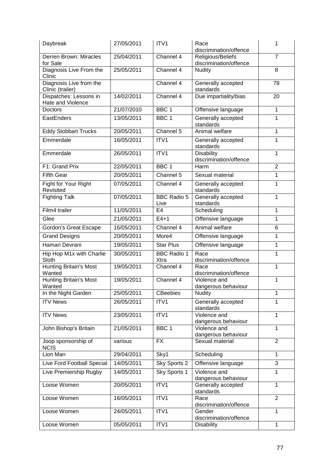| Daybreak                                    | 27/05/2011 | ITV <sub>1</sub>           | Race<br>discrimination/offence              | 1              |
|---------------------------------------------|------------|----------------------------|---------------------------------------------|----------------|
| Derren Brown: Miracles<br>for Sale          | 25/04/2011 | Channel $\overline{4}$     | Religious/Beliefs<br>discrimination/offence | $\overline{7}$ |
| Diagnosis Live From the<br>Clinic           | 25/05/2011 | Channel 4                  | Nudity                                      | 8              |
| Diagnosis Live from the<br>Clinic (trailer) |            | Channel 4                  | Generally accepted<br>standards             | 78             |
| Dispatches: Lessons in<br>Hate and Violence | 14/02/2011 | Channel 4                  | Due impartiality/bias                       | 20             |
| Doctors                                     | 21/07/2010 | BBC <sub>1</sub>           | Offensive language                          | 1              |
| EastEnders                                  | 13/05/2011 | BBC <sub>1</sub>           | Generally accepted<br>standards             | 1              |
| <b>Eddy Stobbart Trucks</b>                 | 20/05/2011 | Channel 5                  | Animal welfare                              | 1              |
| Emmerdale                                   | 16/05/2011 | ITV1                       | Generally accepted<br>standards             | 1              |
| Emmerdale                                   | 26/05/2011 | ITV1                       | <b>Disability</b><br>discrimination/offence | 1              |
| F1: Grand Prix                              | 22/05/2011 | BBC <sub>1</sub>           | Harm                                        | $\overline{2}$ |
| <b>Fifth Gear</b>                           | 20/05/2011 | Channel 5                  | Sexual material                             | 1              |
| Fight for Your Right<br>Revisited           | 07/05/2011 | Channel 4                  | Generally accepted<br>standards             | 1              |
| <b>Fighting Talk</b>                        | 07/05/2011 | <b>BBC Radio 5</b><br>Live | Generally accepted<br>standards             | 1              |
| Film4 trailer                               | 11/05/2011 | E <sub>4</sub>             | Scheduling                                  | 1              |
| Glee                                        | 21/05/2011 | $E4+1$                     | Offensive language                          | 1              |
| <b>Gordon's Great Escape</b>                | 16/05/2011 | Channel 4                  | Animal welfare                              | 6              |
| <b>Grand Designs</b>                        | 20/05/2011 | More4                      | Offensive language                          | 1              |
| Hamari Devrani                              | 19/05/2011 | <b>Star Plus</b>           | Offensive language                          | 1              |
| Hip Hop M1x with Charlie<br>Sloth           | 30/05/2011 | <b>BBC Radio 1</b><br>Xtra | Race<br>discrimination/offence              | 1              |
| <b>Hunting Britain's Most</b><br>Wanted     | 19/05/2011 | Channel 4                  | Race<br>discrimination/offence              | $\mathbf{1}$   |
| <b>Hunting Britain's Most</b><br>Wanted     | 19/05/2011 | Channel 4                  | Violence and<br>dangerous behaviour         | 1              |
| In the Night Garden                         | 25/05/2011 | <b>CBeebies</b>            | <b>Nudity</b>                               | 1              |
| <b>ITV News</b>                             | 26/05/2011 | ITV1                       | Generally accepted<br>standards             | 1              |
| <b>ITV News</b>                             | 23/05/2011 | ITV1                       | Violence and<br>dangerous behaviour         | $\mathbf{1}$   |
| John Bishop's Britain                       | 21/05/2011 | BBC <sub>1</sub>           | Violence and<br>dangerous behaviour         | 1              |
| Joop sponsorship of<br><b>NCIS</b>          | various    | <b>FX</b>                  | Sexual material                             | $\overline{2}$ |
| Lion Man                                    | 29/04/2011 | Sky1                       | Scheduling                                  | 1              |
| Live Ford Football Special                  | 14/05/2011 | Sky Sports 2               | Offensive language                          | 3              |
| Live Premiership Rugby                      | 14/05/2011 | Sky Sports 1               | Violence and<br>dangerous behaviour         | 1              |
| Loose Women                                 | 20/05/2011 | ITV1                       | Generally accepted<br>standards             | 1              |
| Loose Women                                 | 16/05/2011 | ITVI                       | Race<br>discrimination/offence              | $\overline{2}$ |
| Loose Women                                 | 24/05/2011 | ITV1                       | Gender<br>discrimination/offence            | 1              |
| Loose Women                                 | 05/05/2011 | ITV1                       | <b>Disability</b>                           | $\mathbf{1}$   |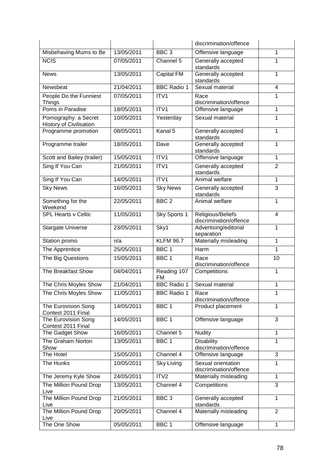|                                                         |            |                          | discrimination/offence                       |                |
|---------------------------------------------------------|------------|--------------------------|----------------------------------------------|----------------|
| Misbehaving Mums to Be                                  | 13/05/2011 | BBC <sub>3</sub>         | Offensive language                           | 1              |
| <b>NCIS</b>                                             | 07/05/2011 | Channel 5                | Generally accepted<br>standards              | 1              |
| <b>News</b>                                             | 13/05/2011 | <b>Capital FM</b>        | Generally accepted<br>standards              | 1              |
| Newsbeat                                                | 21/04/2011 | <b>BBC Radio 1</b>       | Sexual material                              | $\overline{4}$ |
| People Do the Funniest<br><b>Things</b>                 | 07/05/2011 | ITV1                     | Race<br>discrimination/offence               | 1              |
| Poms in Paradise                                        | 18/05/2011 | ITV1                     | Offensive language                           | 1              |
| Pornography: a Secret<br><b>History of Civilisation</b> | 10/05/2011 | Yesterday                | Sexual material                              | 1              |
| Programme promotion                                     | 08/05/2011 | Kanal 5                  | Generally accepted<br>standards              | 1              |
| Programme trailer                                       | 18/05/2011 | Dave                     | Generally accepted<br>standards              | $\mathbf{1}$   |
| Scott and Bailey (trailer)                              | 15/05/2011 | ITV1                     | Offensive language                           | 1              |
| Sing If You Can                                         | 21/05/2011 | ITV1                     | Generally accepted<br>standards              | $\overline{2}$ |
| Sing If You Can                                         | 14/05/2011 | ITV1                     | Animal welfare                               | $\mathbf{1}$   |
| <b>Sky News</b>                                         | 16/05/2011 | <b>Sky News</b>          | Generally accepted<br>standards              | 3              |
| Something for the<br>Weekend                            | 22/05/2011 | BBC <sub>2</sub>         | Animal welfare                               | 1              |
| <b>SPL Hearts v Celtic</b>                              | 11/05/2011 | Sky Sports 1             | Religious/Beliefs<br>discrimination/offence  | $\overline{4}$ |
| <b>Stargate Universe</b>                                | 23/05/2011 | Sky1                     | Advertising/editorial<br>separation          | 1              |
| Station promo                                           | n/a        | <b>KLFM 96.7</b>         | Materially misleading                        | 1              |
| The Apprentice                                          | 25/05/2011 | BBC <sub>1</sub>         | Harm                                         | 1              |
| The Big Questions                                       | 15/05/2011 | BBC <sub>1</sub>         | Race<br>discrimination/offence               | 10             |
| The Breakfast Show                                      | 04/04/2011 | Reading 107<br><b>FM</b> | Competitions                                 | 1              |
| The Chris Moyles Show                                   | 21/04/2011 | <b>BBC</b> Radio 1       | Sexual material                              | 1              |
| The Chris Moyles Show                                   | 11/05/2011 | <b>BBC Radio 1</b>       | Race<br>discrimination/offence               | 1              |
| The Eurovision Song<br>Contest 2011 Final               | 14/05/2011 | BBC <sub>1</sub>         | Product placement                            | $\mathbf{1}$   |
| The Eurovision Song<br>Contest 2011 Final               | 14/05/2011 | BBC <sub>1</sub>         | Offensive language                           | 3              |
| The Gadget Show                                         | 16/05/2011 | Channel 5                | <b>Nudity</b>                                | $\mathbf{1}$   |
| The Graham Norton<br>Show                               | 13/05/2011 | BBC <sub>1</sub>         | Disability<br>discrimination/offence         | $\mathbf{1}$   |
| The Hotel                                               | 15/05/2011 | Channel 4                | Offensive language                           | 3              |
| The Hunks                                               | 10/05/2011 | <b>Sky Living</b>        | Sexual orientation<br>discrimination/offence | 1              |
| The Jeremy Kyle Show                                    | 24/05/2011 | ITV2                     | Materially misleading                        | $\mathbf{1}$   |
| The Million Pound Drop<br>Live                          | 13/05/2011 | Channel 4                | Competitions                                 | 3              |
| The Million Pound Drop<br>Live                          | 21/05/2011 | BBC <sub>3</sub>         | Generally accepted<br>standards              | $\mathbf{1}$   |
| The Million Pound Drop<br>Live                          | 20/05/2011 | Channel 4                | Materially misleading                        | $\overline{2}$ |
| The One Show                                            | 05/05/2011 | BBC <sub>1</sub>         | Offensive language                           | $\mathbf{1}$   |